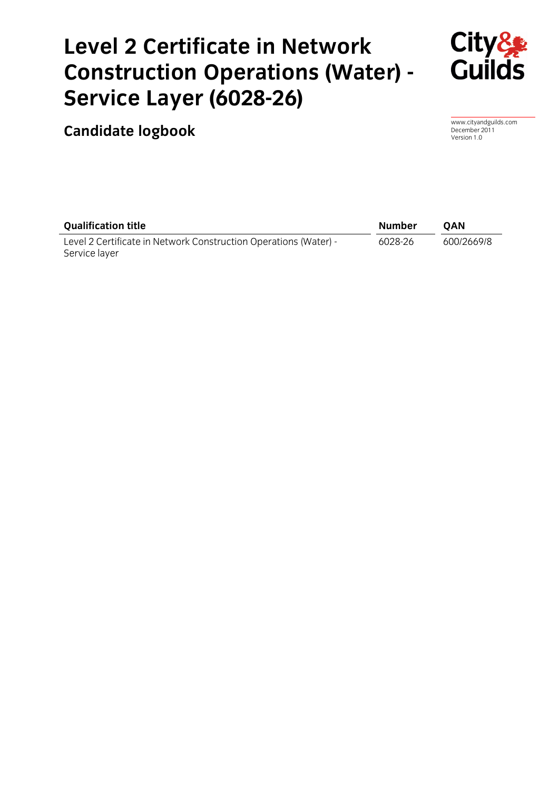# **Level 2 Certificate in Network Construction Operations (Water) - Service Layer (6028-26)**



**Candidate logbook** 

www.cityandguilds.com December 2011 Version 1.0

| <b>Qualification title</b>                                       | Number  | <b>OAN</b> |
|------------------------------------------------------------------|---------|------------|
| Level 2 Certificate in Network Construction Operations (Water) - | 6028-26 | 600/2669/8 |
| Service layer                                                    |         |            |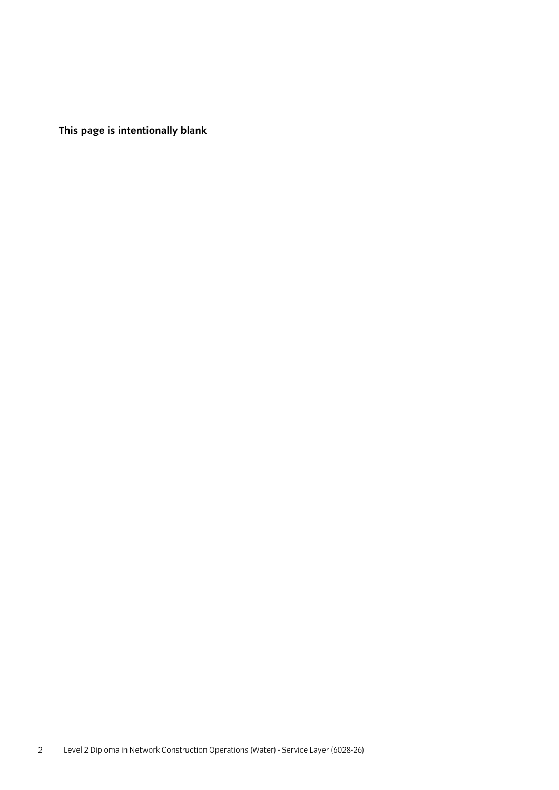**This page is intentionally blank**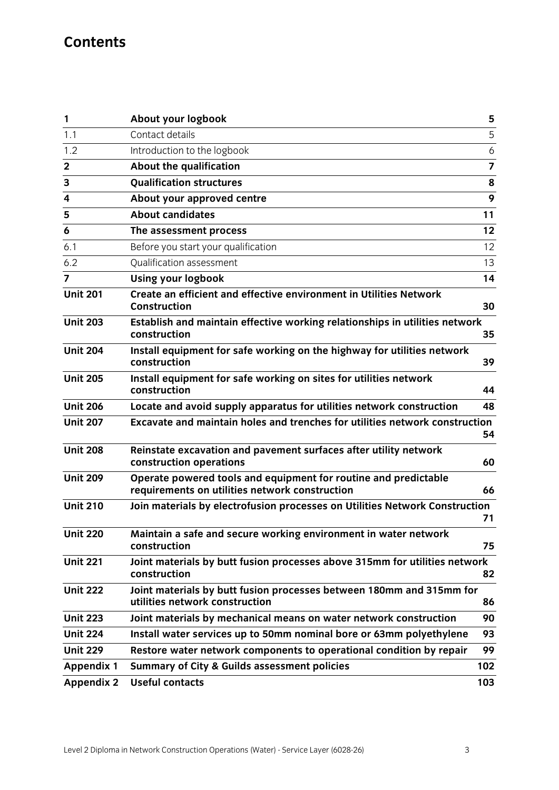## **Contents**

| 1                 | About your logbook                                                                                                | 5                       |
|-------------------|-------------------------------------------------------------------------------------------------------------------|-------------------------|
| 1.1               | Contact details                                                                                                   | 5                       |
| 1.2               | Introduction to the logbook                                                                                       | 6                       |
| $\mathbf{2}$      | About the qualification                                                                                           | $\overline{\mathbf{z}}$ |
| 3                 | <b>Qualification structures</b>                                                                                   | 8                       |
| 4                 | About your approved centre                                                                                        | 9                       |
| 5                 | <b>About candidates</b>                                                                                           | 11                      |
| 6                 | The assessment process                                                                                            | 12                      |
| 6.1               | Before you start your qualification                                                                               | 12                      |
| 6.2               | Qualification assessment                                                                                          | 13                      |
| $\overline{7}$    | <b>Using your logbook</b>                                                                                         | 14                      |
| <b>Unit 201</b>   | Create an efficient and effective environment in Utilities Network<br><b>Construction</b>                         | 30                      |
| <b>Unit 203</b>   | Establish and maintain effective working relationships in utilities network<br>construction                       | 35                      |
| <b>Unit 204</b>   | Install equipment for safe working on the highway for utilities network<br>construction                           | 39                      |
| <b>Unit 205</b>   | Install equipment for safe working on sites for utilities network<br>construction                                 | 44                      |
| <b>Unit 206</b>   | Locate and avoid supply apparatus for utilities network construction                                              | 48                      |
| <b>Unit 207</b>   | Excavate and maintain holes and trenches for utilities network construction                                       | 54                      |
| <b>Unit 208</b>   | Reinstate excavation and pavement surfaces after utility network<br>construction operations                       | 60                      |
| <b>Unit 209</b>   | Operate powered tools and equipment for routine and predictable<br>requirements on utilities network construction | 66                      |
| <b>Unit 210</b>   | Join materials by electrofusion processes on Utilities Network Construction                                       | 71                      |
| <b>Unit 220</b>   | Maintain a safe and secure working environment in water network<br>construction                                   | 75                      |
| <b>Unit 221</b>   | Joint materials by butt fusion processes above 315mm for utilities network<br>construction                        | 82                      |
| <b>Unit 222</b>   | Joint materials by butt fusion processes between 180mm and 315mm for<br>utilities network construction            | 86                      |
| <b>Unit 223</b>   | Joint materials by mechanical means on water network construction                                                 | 90                      |
| <b>Unit 224</b>   | Install water services up to 50mm nominal bore or 63mm polyethylene                                               | 93                      |
| <b>Unit 229</b>   | Restore water network components to operational condition by repair                                               | 99                      |
| <b>Appendix 1</b> | <b>Summary of City &amp; Guilds assessment policies</b>                                                           | 102                     |
| <b>Appendix 2</b> | <b>Useful contacts</b>                                                                                            | 103                     |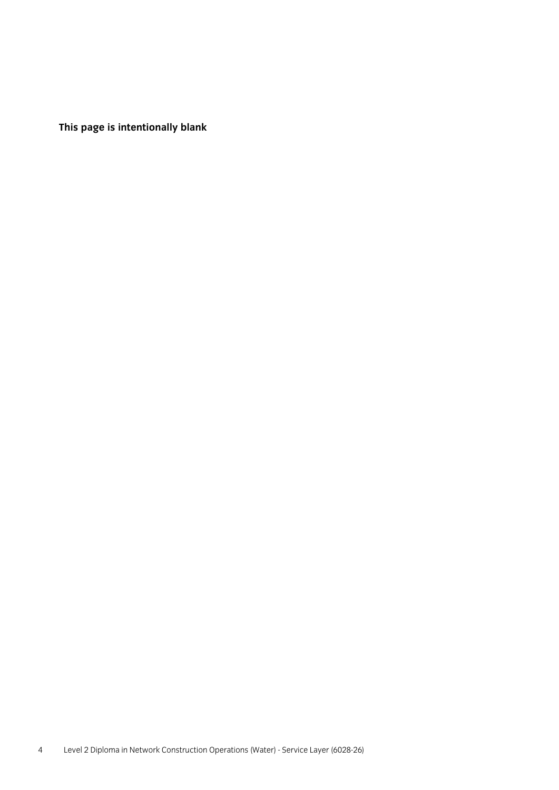**This page is intentionally blank**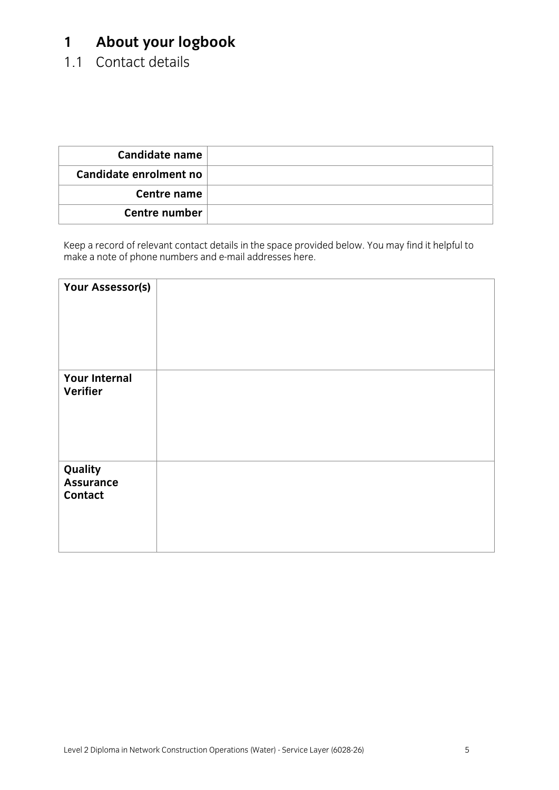## <span id="page-4-0"></span>**1 About your logbook**

<span id="page-4-1"></span>1.1 Contact details

| <b>Candidate name</b>  |  |
|------------------------|--|
| Candidate enrolment no |  |
| Centre name            |  |
| <b>Centre number</b>   |  |

Keep a record of relevant contact details in the space provided below. You may find it helpful to make a note of phone numbers and e-mail addresses here.

| Your Assessor(s)                              |  |
|-----------------------------------------------|--|
| <b>Your Internal</b><br>Verifier              |  |
| Quality<br><b>Assurance</b><br><b>Contact</b> |  |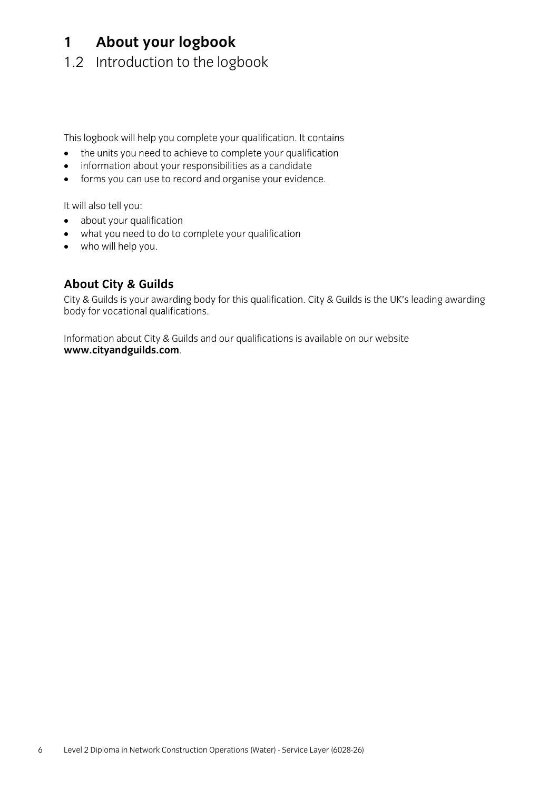## **1 About your logbook**

## <span id="page-5-0"></span>1.2 Introduction to the logbook

This logbook will help you complete your qualification. It contains

- the units you need to achieve to complete your qualification
- information about your responsibilities as a candidate
- forms you can use to record and organise your evidence.

It will also tell you:

- about your qualification
- what you need to do to complete your qualification
- who will help you.

### **About City & Guilds**

City & Guilds is your awarding body for this qualification. City & Guilds is the UK's leading awarding body for vocational qualifications.

Information about City & Guilds and our qualifications is available on our website **[www.cityandguilds.com](http://www.cityandguilds.com/)**.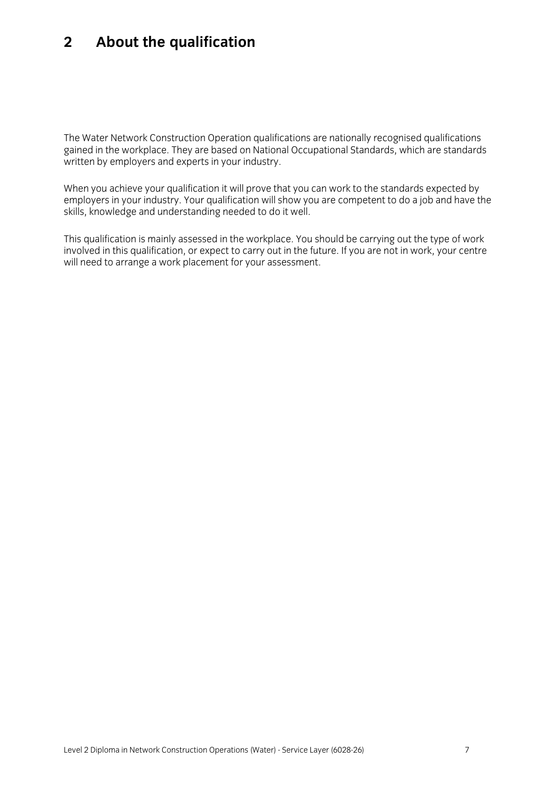### <span id="page-6-0"></span>**2 About the qualification**

The Water Network Construction Operation qualifications are nationally recognised qualifications gained in the workplace. They are based on National Occupational Standards, which are standards written by employers and experts in your industry.

When you achieve your qualification it will prove that you can work to the standards expected by employers in your industry. Your qualification will show you are competent to do a job and have the skills, knowledge and understanding needed to do it well.

This qualification is mainly assessed in the workplace. You should be carrying out the type of work involved in this qualification, or expect to carry out in the future. If you are not in work, your centre will need to arrange a work placement for your assessment.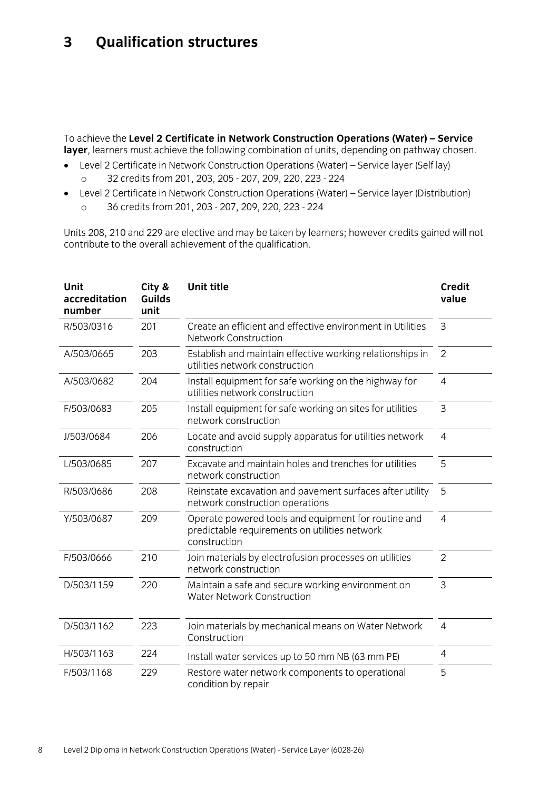### <span id="page-7-0"></span>**3 Qualification structures**

To achieve the **Level 2 Certificate in Network Construction Operations (Water) – Service layer**, learners must achieve the following combination of units, depending on pathway chosen.

- Level 2 Certificate in Network Construction Operations (Water) Service layer (Self lay) o 32 credits from 201, 203, 205 - 207, 209, 220, 223 - 224
- Level 2 Certificate in Network Construction Operations (Water) Service layer (Distribution) o 36 credits from 201, 203 - 207, 209, 220, 223 - 224

Units 208, 210 and 229 are elective and may be taken by learners; however credits gained will not contribute to the overall achievement of the qualification.

| Unit<br>accreditation<br>number | City &<br><b>Guilds</b><br>unit | <b>Unit title</b>                                                                                                    | <b>Credit</b><br>value |
|---------------------------------|---------------------------------|----------------------------------------------------------------------------------------------------------------------|------------------------|
| R/503/0316                      | 201                             | Create an efficient and effective environment in Utilities<br><b>Network Construction</b>                            | 3                      |
| A/503/0665                      | 203                             | Establish and maintain effective working relationships in<br>utilities network construction                          | $\overline{2}$         |
| A/503/0682                      | 204                             | Install equipment for safe working on the highway for<br>utilities network construction                              | $\overline{4}$         |
| F/503/0683                      | 205                             | Install equipment for safe working on sites for utilities<br>network construction                                    | 3                      |
| J/503/0684                      | 206                             | Locate and avoid supply apparatus for utilities network<br>construction                                              | $\overline{4}$         |
| L/503/0685                      | 207                             | Excavate and maintain holes and trenches for utilities<br>network construction                                       | 5                      |
| R/503/0686                      | 208                             | Reinstate excavation and pavement surfaces after utility<br>network construction operations                          | 5                      |
| Y/503/0687                      | 209                             | Operate powered tools and equipment for routine and<br>predictable requirements on utilities network<br>construction | $\overline{4}$         |
| F/503/0666                      | 210                             | Join materials by electrofusion processes on utilities<br>network construction                                       | $\overline{2}$         |
| D/503/1159                      | 220                             | Maintain a safe and secure working environment on<br><b>Water Network Construction</b>                               | 3                      |
| D/503/1162                      | 223                             | Join materials by mechanical means on Water Network<br>Construction                                                  | $\overline{4}$         |
| H/503/1163                      | 224                             | Install water services up to 50 mm NB (63 mm PE)                                                                     | $\overline{4}$         |
| F/503/1168                      | 229                             | Restore water network components to operational<br>condition by repair                                               | 5                      |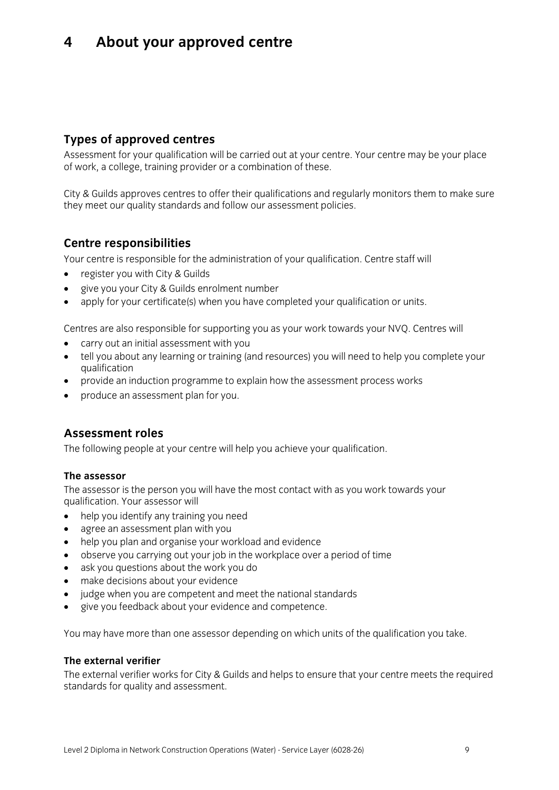### <span id="page-8-0"></span>**4 About your approved centre**

### **Types of approved centres**

Assessment for your qualification will be carried out at your centre. Your centre may be your place of work, a college, training provider or a combination of these.

City & Guilds approves centres to offer their qualifications and regularly monitors them to make sure they meet our quality standards and follow our assessment policies.

### **Centre responsibilities**

Your centre is responsible for the administration of your qualification. Centre staff will

- register you with City & Guilds
- give you your City & Guilds enrolment number
- apply for your certificate(s) when you have completed your qualification or units.

Centres are also responsible for supporting you as your work towards your NVQ. Centres will

- carry out an initial assessment with you
- tell you about any learning or training (and resources) you will need to help you complete your qualification
- provide an induction programme to explain how the assessment process works
- produce an assessment plan for you.

### **Assessment roles**

The following people at your centre will help you achieve your qualification.

#### **The assessor**

The assessor is the person you will have the most contact with as you work towards your qualification. Your assessor will

- help you identify any training you need
- agree an assessment plan with you
- help you plan and organise your workload and evidence
- observe you carrying out your job in the workplace over a period of time
- ask you questions about the work you do
- make decisions about your evidence
- judge when you are competent and meet the national standards
- give you feedback about your evidence and competence.

You may have more than one assessor depending on which units of the qualification you take.

#### **The external verifier**

The external verifier works for City & Guilds and helps to ensure that your centre meets the required standards for quality and assessment.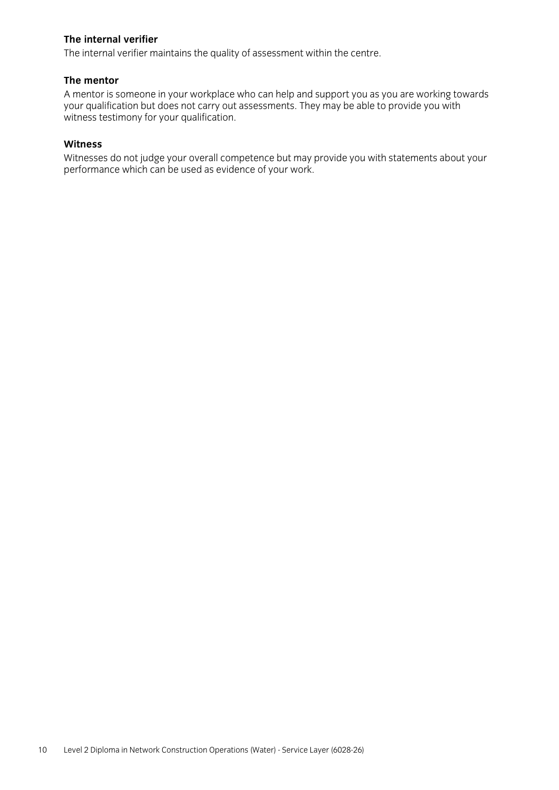#### **The internal verifier**

The internal verifier maintains the quality of assessment within the centre.

#### **The mentor**

A mentor is someone in your workplace who can help and support you as you are working towards your qualification but does not carry out assessments. They may be able to provide you with witness testimony for your qualification.

#### **Witness**

Witnesses do not judge your overall competence but may provide you with statements about your performance which can be used as evidence of your work.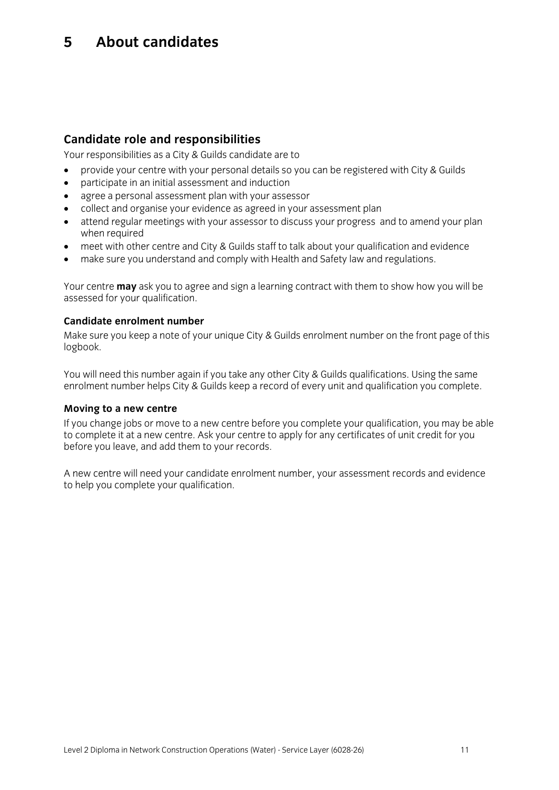### <span id="page-10-0"></span>**5 About candidates**

### **Candidate role and responsibilities**

Your responsibilities as a City & Guilds candidate are to

- provide your centre with your personal details so you can be registered with City & Guilds
- participate in an initial assessment and induction
- agree a personal assessment plan with your assessor
- collect and organise your evidence as agreed in your assessment plan
- attend regular meetings with your assessor to discuss your progress and to amend your plan when required
- meet with other centre and City & Guilds staff to talk about your qualification and evidence
- make sure you understand and comply with Health and Safety law and regulations.

Your centre **may** ask you to agree and sign a learning contract with them to show how you will be assessed for your qualification.

#### **Candidate enrolment number**

Make sure you keep a note of your unique City & Guilds enrolment number on the front page of this logbook.

You will need this number again if you take any other City & Guilds qualifications. Using the same enrolment number helps City & Guilds keep a record of every unit and qualification you complete.

#### **Moving to a new centre**

If you change jobs or move to a new centre before you complete your qualification, you may be able to complete it at a new centre. Ask your centre to apply for any certificates of unit credit for you before you leave, and add them to your records.

A new centre will need your candidate enrolment number, your assessment records and evidence to help you complete your qualification.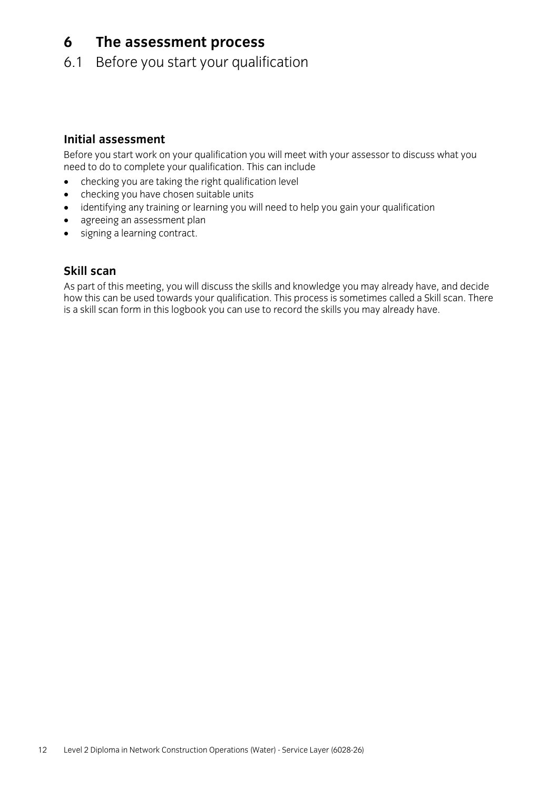### <span id="page-11-0"></span>**6 The assessment process**

<span id="page-11-1"></span>6.1 Before you start your qualification

### **Initial assessment**

Before you start work on your qualification you will meet with your assessor to discuss what you need to do to complete your qualification. This can include

- checking you are taking the right qualification level
- checking you have chosen suitable units
- identifying any training or learning you will need to help you gain your qualification
- agreeing an assessment plan
- signing a learning contract.

### **Skill scan**

As part of this meeting, you will discuss the skills and knowledge you may already have, and decide how this can be used towards your qualification. This process is sometimes called a Skill scan. There is a skill scan form in this logbook you can use to record the skills you may already have.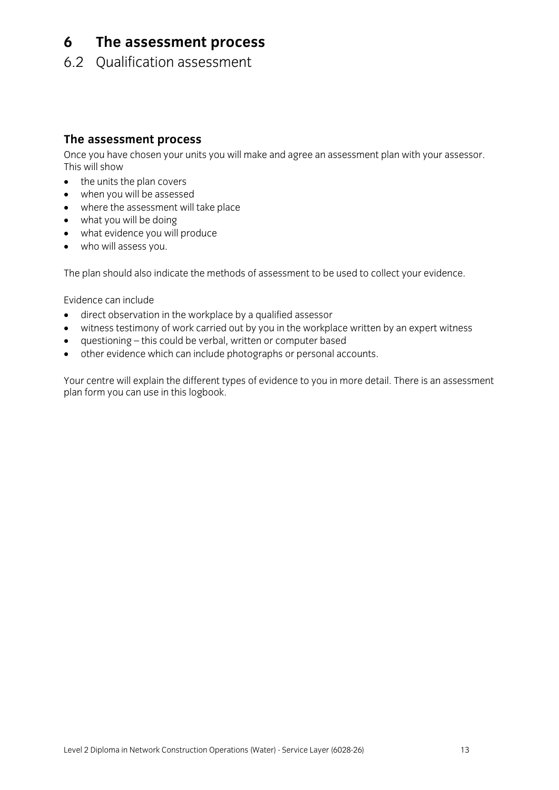### **6 The assessment process**

<span id="page-12-0"></span>6.2 Qualification assessment

### **The assessment process**

Once you have chosen your units you will make and agree an assessment plan with your assessor. This will show

- the units the plan covers
- when you will be assessed
- where the assessment will take place
- what you will be doing
- what evidence you will produce
- who will assess you.

The plan should also indicate the methods of assessment to be used to collect your evidence.

Evidence can include

- direct observation in the workplace by a qualified assessor
- witness testimony of work carried out by you in the workplace written by an expert witness
- questioning this could be verbal, written or computer based
- other evidence which can include photographs or personal accounts.

Your centre will explain the different types of evidence to you in more detail. There is an assessment plan form you can use in this logbook.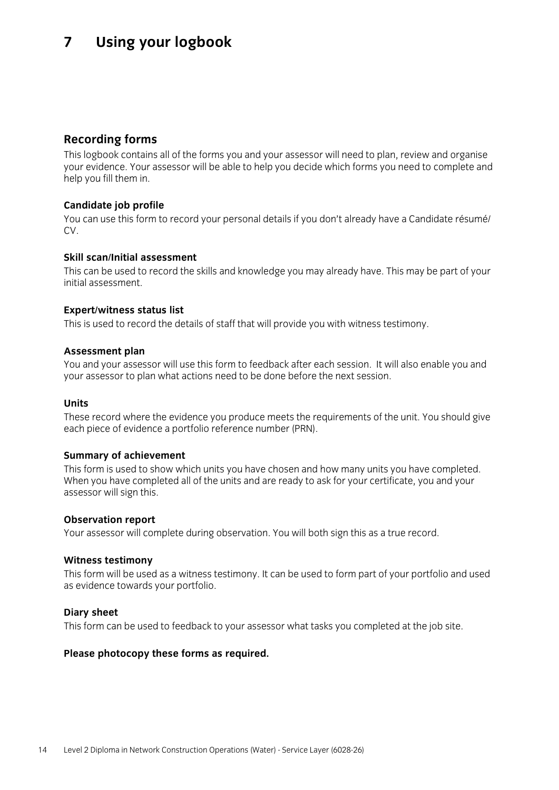### <span id="page-13-0"></span>**7 Using your logbook**

### **Recording forms**

This logbook contains all of the forms you and your assessor will need to plan, review and organise your evidence. Your assessor will be able to help you decide which forms you need to complete and help you fill them in.

#### **Candidate job profile**

You can use this form to record your personal details if you don't already have a Candidate résumé/ CV.

#### **Skill scan/Initial assessment**

This can be used to record the skills and knowledge you may already have. This may be part of your initial assessment.

#### **Expert/witness status list**

This is used to record the details of staff that will provide you with witness testimony.

#### **Assessment plan**

You and your assessor will use this form to feedback after each session. It will also enable you and your assessor to plan what actions need to be done before the next session.

#### **Units**

These record where the evidence you produce meets the requirements of the unit. You should give each piece of evidence a portfolio reference number (PRN).

#### **Summary of achievement**

This form is used to show which units you have chosen and how many units you have completed. When you have completed all of the units and are ready to ask for your certificate, you and your assessor will sign this.

#### **Observation report**

Your assessor will complete during observation. You will both sign this as a true record.

#### **Witness testimony**

This form will be used as a witness testimony. It can be used to form part of your portfolio and used as evidence towards your portfolio.

#### **Diary sheet**

This form can be used to feedback to your assessor what tasks you completed at the job site.

#### **Please photocopy these forms as required.**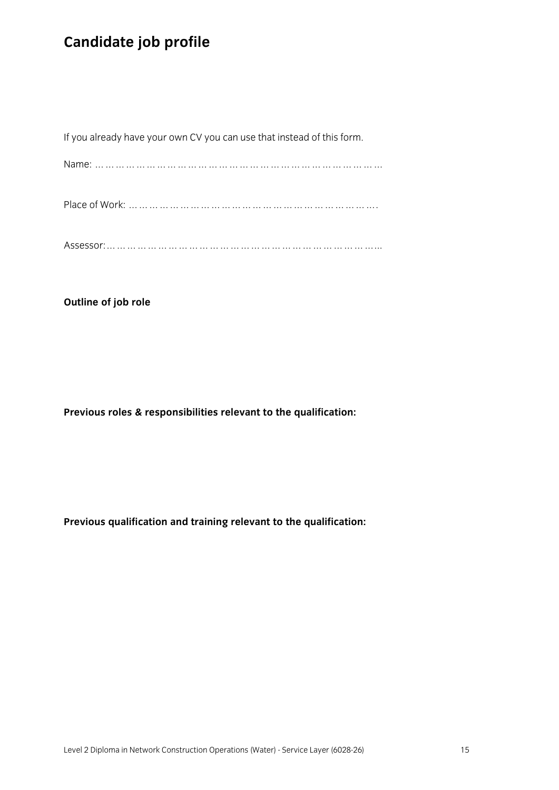## **Candidate job profile**

If you already have your own CV you can use that instead of this form.

Name: …………………………………………………………………………

Place of Work: ……………………………………………………………….

Assessor:……………………………………………………………………...

**Outline of job role** 

**Previous roles & responsibilities relevant to the qualification:** 

**Previous qualification and training relevant to the qualification:**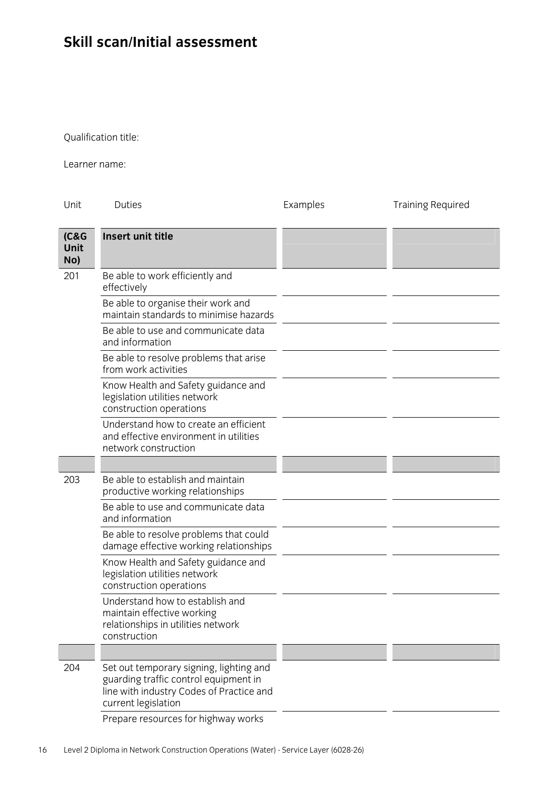## **Skill scan/Initial assessment**

Qualification title:

Learner name:

| Unit                | Duties                                                                                                                                              | Examples | <b>Training Required</b> |
|---------------------|-----------------------------------------------------------------------------------------------------------------------------------------------------|----------|--------------------------|
| (C&G<br>Unit<br>No) | Insert unit title                                                                                                                                   |          |                          |
| 201                 | Be able to work efficiently and<br>effectively                                                                                                      |          |                          |
|                     | Be able to organise their work and<br>maintain standards to minimise hazards                                                                        |          |                          |
|                     | Be able to use and communicate data<br>and information                                                                                              |          |                          |
|                     | Be able to resolve problems that arise<br>from work activities                                                                                      |          |                          |
|                     | Know Health and Safety guidance and<br>legislation utilities network<br>construction operations                                                     |          |                          |
|                     | Understand how to create an efficient<br>and effective environment in utilities<br>network construction                                             |          |                          |
|                     |                                                                                                                                                     |          |                          |
| 203                 | Be able to establish and maintain<br>productive working relationships                                                                               |          |                          |
|                     | Be able to use and communicate data<br>and information                                                                                              |          |                          |
|                     | Be able to resolve problems that could<br>damage effective working relationships                                                                    |          |                          |
|                     | Know Health and Safety guidance and<br>legislation utilities network<br>construction operations                                                     |          |                          |
|                     | Understand how to establish and<br>maintain effective working<br>relationships in utilities network<br>construction                                 |          |                          |
|                     |                                                                                                                                                     |          |                          |
| 204                 | Set out temporary signing, lighting and<br>guarding traffic control equipment in<br>line with industry Codes of Practice and<br>current legislation |          |                          |
|                     |                                                                                                                                                     |          |                          |

Prepare resources for highway works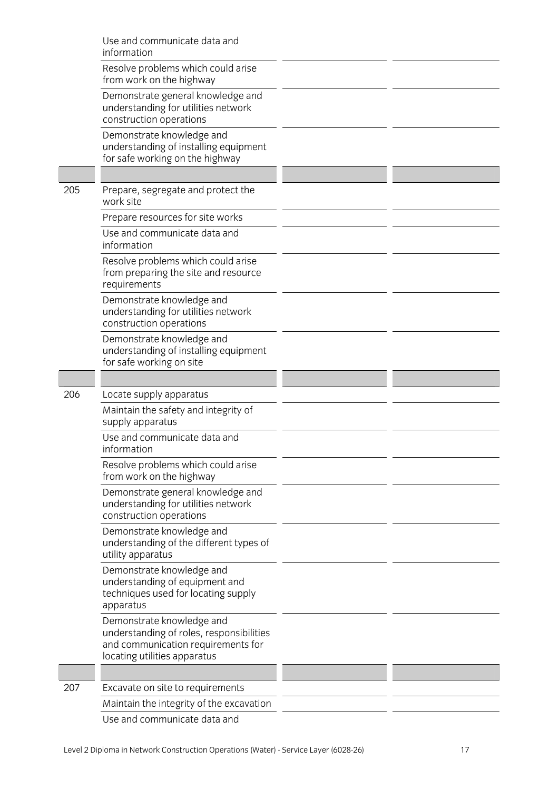|     | Use and communicate data and<br>information                                                                                                 |  |
|-----|---------------------------------------------------------------------------------------------------------------------------------------------|--|
|     | Resolve problems which could arise<br>from work on the highway                                                                              |  |
|     | Demonstrate general knowledge and<br>understanding for utilities network<br>construction operations                                         |  |
|     | Demonstrate knowledge and<br>understanding of installing equipment<br>for safe working on the highway                                       |  |
|     |                                                                                                                                             |  |
| 205 | Prepare, segregate and protect the<br>work site                                                                                             |  |
|     | Prepare resources for site works                                                                                                            |  |
|     | Use and communicate data and<br>information                                                                                                 |  |
|     | Resolve problems which could arise<br>from preparing the site and resource<br>requirements                                                  |  |
|     | Demonstrate knowledge and<br>understanding for utilities network<br>construction operations                                                 |  |
|     | Demonstrate knowledge and<br>understanding of installing equipment<br>for safe working on site                                              |  |
|     |                                                                                                                                             |  |
| 206 | Locate supply apparatus                                                                                                                     |  |
|     | Maintain the safety and integrity of<br>supply apparatus                                                                                    |  |
|     | Use and communicate data and<br>information                                                                                                 |  |
|     | Resolve problems which could arise                                                                                                          |  |
|     | from work on the highway                                                                                                                    |  |
|     | Demonstrate general knowledge and<br>understanding for utilities network<br>construction operations                                         |  |
|     | Demonstrate knowledge and<br>understanding of the different types of<br>utility apparatus                                                   |  |
|     | Demonstrate knowledge and<br>understanding of equipment and<br>techniques used for locating supply<br>apparatus                             |  |
|     | Demonstrate knowledge and<br>understanding of roles, responsibilities<br>and communication requirements for<br>locating utilities apparatus |  |
|     |                                                                                                                                             |  |
| 207 | Excavate on site to requirements                                                                                                            |  |
|     | Maintain the integrity of the excavation                                                                                                    |  |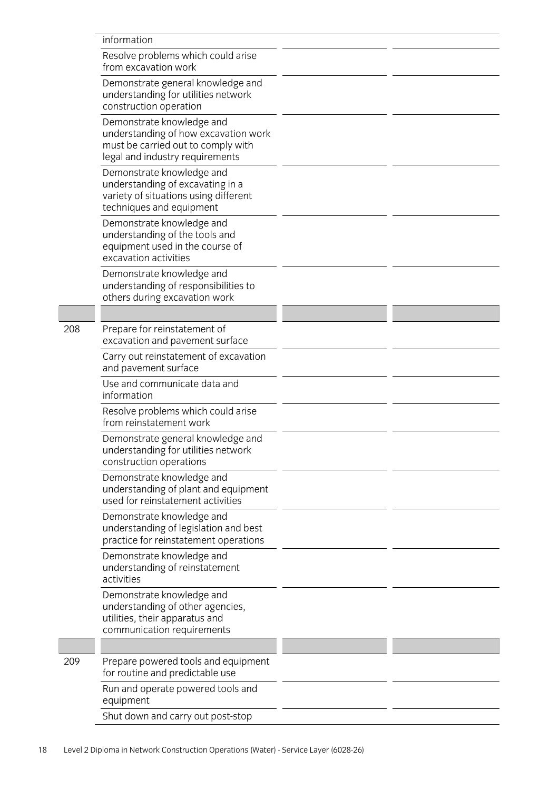|     | information                                                                                                                                |  |
|-----|--------------------------------------------------------------------------------------------------------------------------------------------|--|
|     | Resolve problems which could arise<br>from excavation work                                                                                 |  |
|     | Demonstrate general knowledge and<br>understanding for utilities network<br>construction operation                                         |  |
|     | Demonstrate knowledge and<br>understanding of how excavation work<br>must be carried out to comply with<br>legal and industry requirements |  |
|     | Demonstrate knowledge and<br>understanding of excavating in a<br>variety of situations using different<br>techniques and equipment         |  |
|     | Demonstrate knowledge and<br>understanding of the tools and<br>equipment used in the course of<br>excavation activities                    |  |
|     | Demonstrate knowledge and<br>understanding of responsibilities to<br>others during excavation work                                         |  |
| 208 | Prepare for reinstatement of                                                                                                               |  |
|     | excavation and pavement surface                                                                                                            |  |
|     | Carry out reinstatement of excavation<br>and pavement surface                                                                              |  |
|     | Use and communicate data and<br>information                                                                                                |  |
|     | Resolve problems which could arise<br>from reinstatement work                                                                              |  |
|     | Demonstrate general knowledge and<br>understanding for utilities network<br>construction operations                                        |  |
|     | Demonstrate knowledge and<br>understanding of plant and equipment<br>used for reinstatement activities                                     |  |
|     | Demonstrate knowledge and<br>understanding of legislation and best<br>practice for reinstatement operations                                |  |
|     | Demonstrate knowledge and<br>understanding of reinstatement<br>activities                                                                  |  |
|     | Demonstrate knowledge and<br>understanding of other agencies,<br>utilities, their apparatus and<br>communication requirements              |  |
|     |                                                                                                                                            |  |
| 209 | Prepare powered tools and equipment<br>for routine and predictable use                                                                     |  |
|     | Run and operate powered tools and<br>equipment                                                                                             |  |
|     | Shut down and carry out post-stop                                                                                                          |  |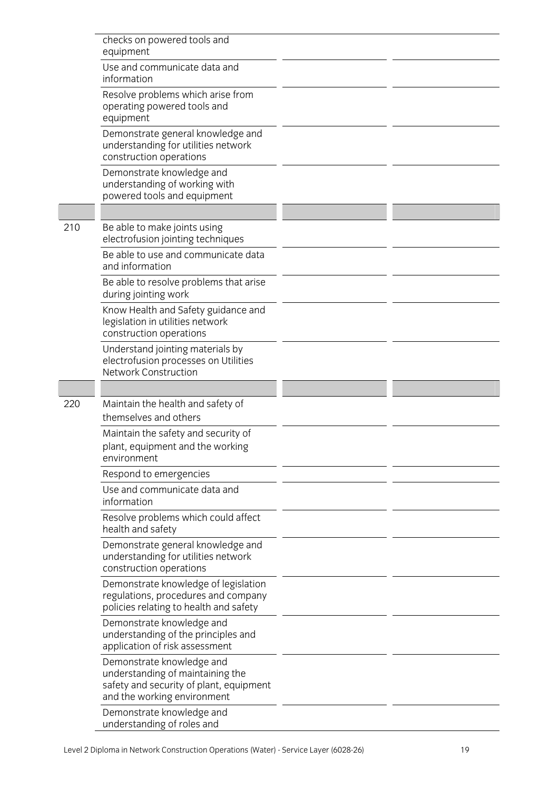|     | checks on powered tools and<br>equipment                                                                                                |  |
|-----|-----------------------------------------------------------------------------------------------------------------------------------------|--|
|     | Use and communicate data and<br>information                                                                                             |  |
|     | Resolve problems which arise from<br>operating powered tools and<br>equipment                                                           |  |
|     | Demonstrate general knowledge and<br>understanding for utilities network<br>construction operations                                     |  |
|     | Demonstrate knowledge and<br>understanding of working with<br>powered tools and equipment                                               |  |
|     |                                                                                                                                         |  |
| 210 | Be able to make joints using<br>electrofusion jointing techniques                                                                       |  |
|     | Be able to use and communicate data<br>and information                                                                                  |  |
|     | Be able to resolve problems that arise<br>during jointing work                                                                          |  |
|     | Know Health and Safety guidance and<br>legislation in utilities network<br>construction operations                                      |  |
|     | Understand jointing materials by<br>electrofusion processes on Utilities<br><b>Network Construction</b>                                 |  |
|     |                                                                                                                                         |  |
| 220 | Maintain the health and safety of<br>themselves and others                                                                              |  |
|     | Maintain the safety and security of                                                                                                     |  |
|     | plant, equipment and the working<br>environment                                                                                         |  |
|     | Respond to emergencies                                                                                                                  |  |
|     | Use and communicate data and<br>information                                                                                             |  |
|     | Resolve problems which could affect<br>health and safety                                                                                |  |
|     | Demonstrate general knowledge and<br>understanding for utilities network<br>construction operations                                     |  |
|     | Demonstrate knowledge of legislation<br>regulations, procedures and company<br>policies relating to health and safety                   |  |
|     | Demonstrate knowledge and<br>understanding of the principles and<br>application of risk assessment                                      |  |
|     | Demonstrate knowledge and<br>understanding of maintaining the<br>safety and security of plant, equipment<br>and the working environment |  |
|     | Demonstrate knowledge and<br>understanding of roles and                                                                                 |  |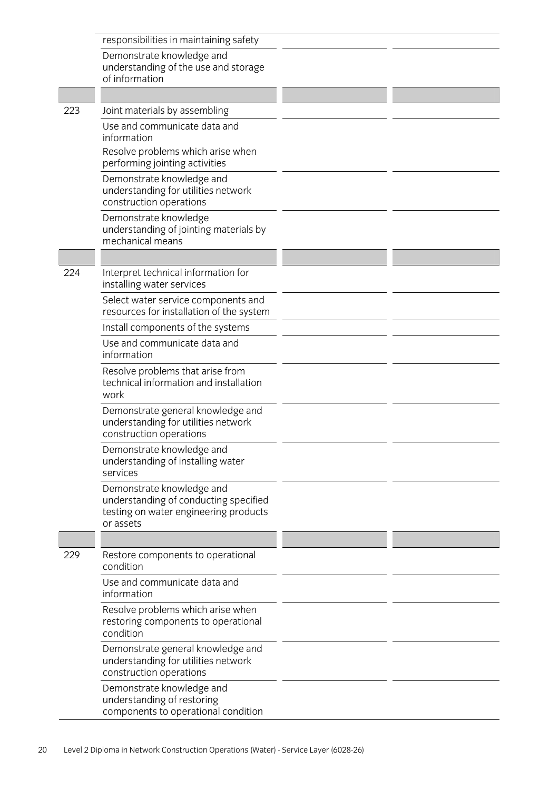|     | responsibilities in maintaining safety                                                                                   |  |
|-----|--------------------------------------------------------------------------------------------------------------------------|--|
|     | Demonstrate knowledge and<br>understanding of the use and storage<br>of information                                      |  |
|     |                                                                                                                          |  |
| 223 | Joint materials by assembling                                                                                            |  |
|     | Use and communicate data and<br>information<br>Resolve problems which arise when<br>performing jointing activities       |  |
|     | Demonstrate knowledge and<br>understanding for utilities network<br>construction operations                              |  |
|     | Demonstrate knowledge<br>understanding of jointing materials by<br>mechanical means                                      |  |
|     |                                                                                                                          |  |
| 224 | Interpret technical information for<br>installing water services                                                         |  |
|     | Select water service components and<br>resources for installation of the system                                          |  |
|     | Install components of the systems                                                                                        |  |
|     | Use and communicate data and<br>information                                                                              |  |
|     | Resolve problems that arise from<br>technical information and installation<br>work                                       |  |
|     | Demonstrate general knowledge and<br>understanding for utilities network<br>construction operations                      |  |
|     | Demonstrate knowledge and<br>understanding of installing water<br>services                                               |  |
|     | Demonstrate knowledge and<br>understanding of conducting specified<br>testing on water engineering products<br>or assets |  |
|     |                                                                                                                          |  |
| 229 | Restore components to operational<br>condition                                                                           |  |
|     | Use and communicate data and<br>information                                                                              |  |
|     | Resolve problems which arise when<br>restoring components to operational<br>condition                                    |  |
|     | Demonstrate general knowledge and<br>understanding for utilities network<br>construction operations                      |  |
|     | Demonstrate knowledge and<br>understanding of restoring<br>components to operational condition                           |  |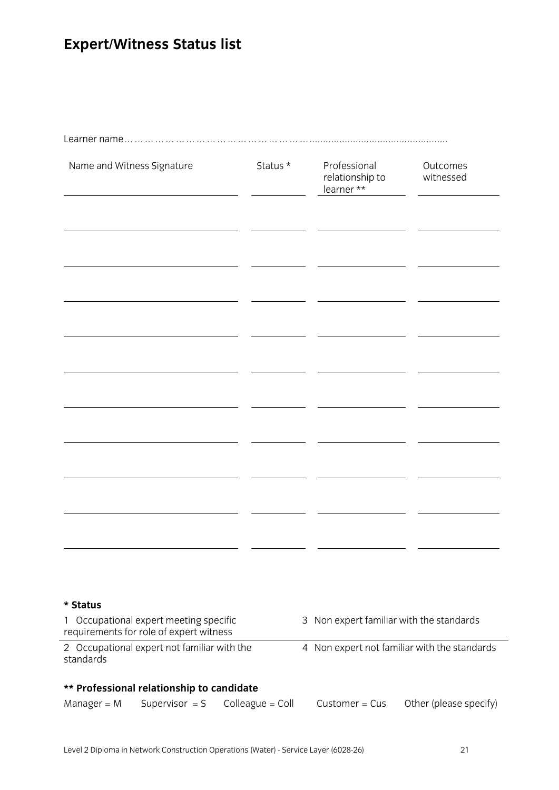## **Expert/Witness Status list**

| Learner name $\dots \dots$                                                        |                  |                                               |                                              |
|-----------------------------------------------------------------------------------|------------------|-----------------------------------------------|----------------------------------------------|
| Name and Witness Signature                                                        | Status *         | Professional<br>relationship to<br>learner ** | Outcomes<br>witnessed                        |
|                                                                                   |                  |                                               |                                              |
|                                                                                   |                  |                                               |                                              |
|                                                                                   |                  |                                               |                                              |
|                                                                                   |                  |                                               |                                              |
|                                                                                   |                  |                                               |                                              |
|                                                                                   |                  |                                               |                                              |
|                                                                                   |                  |                                               |                                              |
|                                                                                   |                  |                                               |                                              |
|                                                                                   |                  |                                               |                                              |
|                                                                                   |                  |                                               |                                              |
|                                                                                   |                  |                                               |                                              |
|                                                                                   |                  |                                               |                                              |
| * Status                                                                          |                  |                                               |                                              |
| 1 Occupational expert meeting specific<br>requirements for role of expert witness |                  | 3 Non expert familiar with the standards      |                                              |
| 2 Occupational expert not familiar with the<br>standards                          |                  |                                               | 4 Non expert not familiar with the standards |
| ** Professional relationship to candidate                                         |                  |                                               |                                              |
| Supervisor $=$ S<br>$Manager = M$                                                 | Colleague = Coll | $Customer = Cus$                              | Other (please specify)                       |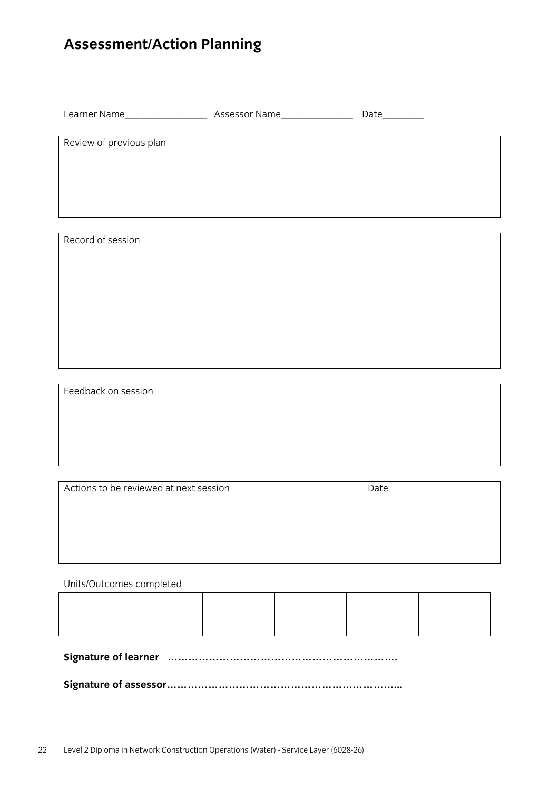## **Assessment/Action Planning**

|  | Learner Name | Assessor Name | Jate |
|--|--------------|---------------|------|
|--|--------------|---------------|------|

Review of previous plan

Record of session

Feedback on session

Actions to be reviewed at next session Date

Units/Outcomes completed

**Signature of learner ………………………………………………………….**

**Signature of assessor…………………………………………………………...**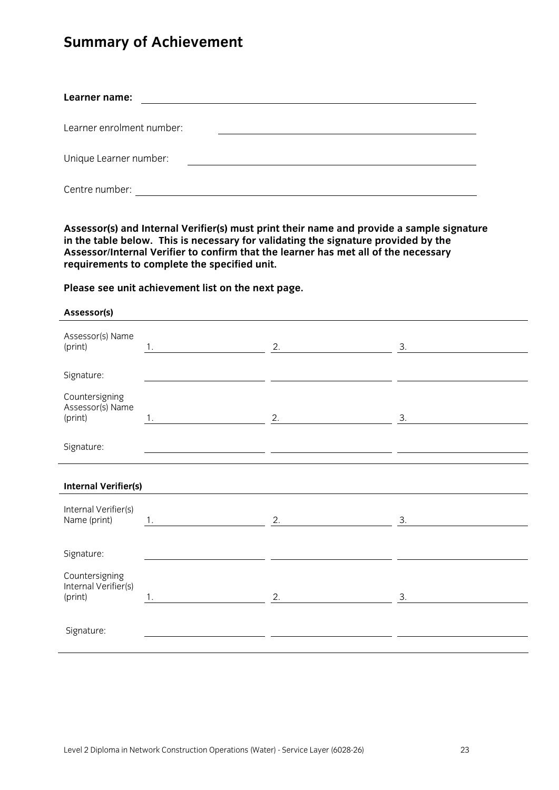### **Summary of Achievement**

| Learner name:             |  |
|---------------------------|--|
|                           |  |
| Learner enrolment number: |  |
|                           |  |
| Unique Learner number:    |  |
|                           |  |
| Centre number:            |  |

**Assessor(s) and Internal Verifier(s) must print their name and provide a sample signature in the table below. This is necessary for validating the signature provided by the Assessor/Internal Verifier to confirm that the learner has met all of the necessary requirements to complete the specified unit.** 

**Please see unit achievement list on the next page.**

| Assessor(s)                                       |                                  |                                                            |    |  |
|---------------------------------------------------|----------------------------------|------------------------------------------------------------|----|--|
| Assessor(s) Name<br>(print)                       | $1_{1}$                          | $\frac{2}{2}$                                              | 3. |  |
| Signature:                                        |                                  |                                                            |    |  |
| Countersigning<br>Assessor(s) Name<br>(print)     | 1. <u>______________________</u> | 2. $\qquad \qquad$                                         | 3. |  |
| Signature:                                        |                                  |                                                            |    |  |
| <b>Internal Verifier(s)</b>                       |                                  |                                                            |    |  |
| Internal Verifier(s)<br>Name (print)              |                                  | 1. $\overline{\phantom{a}}$ 2.                             | 3. |  |
| Signature:                                        |                                  | <u> 1989 - Johann Barn, amerikansk politiker (d. 1989)</u> |    |  |
| Countersigning<br>Internal Verifier(s)<br>(print) | $1_{-}$                          | $\frac{2}{2}$                                              | 3. |  |
| Signature:                                        |                                  |                                                            |    |  |
|                                                   |                                  |                                                            |    |  |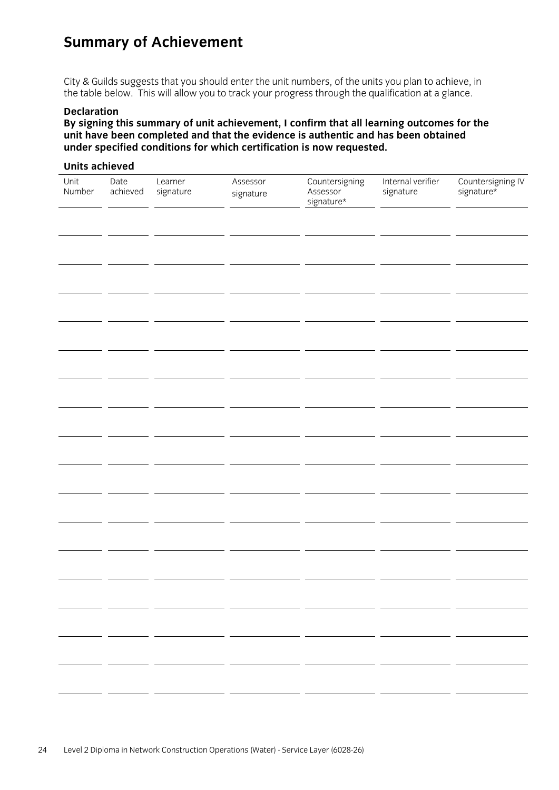### **Summary of Achievement**

City & Guilds suggests that you should enter the unit numbers, of the units you plan to achieve, in the table below. This will allow you to track your progress through the qualification at a glance.

#### **Declaration**

#### **By signing this summary of unit achievement, I confirm that all learning outcomes for the unit have been completed and that the evidence is authentic and has been obtained under specified conditions for which certification is now requested.**

| <b>Units achieved</b> |                  |                      |                       |                                          |                                |                                 |
|-----------------------|------------------|----------------------|-----------------------|------------------------------------------|--------------------------------|---------------------------------|
| Unit<br>Number        | Date<br>achieved | Learner<br>signature | Assessor<br>signature | Countersigning<br>Assessor<br>signature* | Internal verifier<br>signature | Countersigning IV<br>signature* |
|                       |                  |                      |                       |                                          |                                |                                 |
|                       |                  |                      |                       |                                          |                                |                                 |
|                       |                  |                      |                       |                                          |                                |                                 |
|                       |                  |                      |                       |                                          |                                |                                 |
|                       |                  |                      |                       |                                          |                                |                                 |
|                       |                  |                      |                       |                                          |                                |                                 |
|                       |                  |                      |                       |                                          |                                |                                 |
|                       |                  |                      |                       |                                          |                                |                                 |
|                       |                  |                      |                       |                                          |                                |                                 |
|                       |                  |                      |                       |                                          |                                |                                 |
|                       |                  |                      |                       |                                          |                                |                                 |
|                       |                  |                      |                       |                                          |                                |                                 |
|                       |                  |                      |                       |                                          |                                |                                 |
|                       |                  |                      |                       |                                          |                                |                                 |
|                       |                  |                      |                       |                                          |                                |                                 |
|                       |                  |                      |                       |                                          |                                |                                 |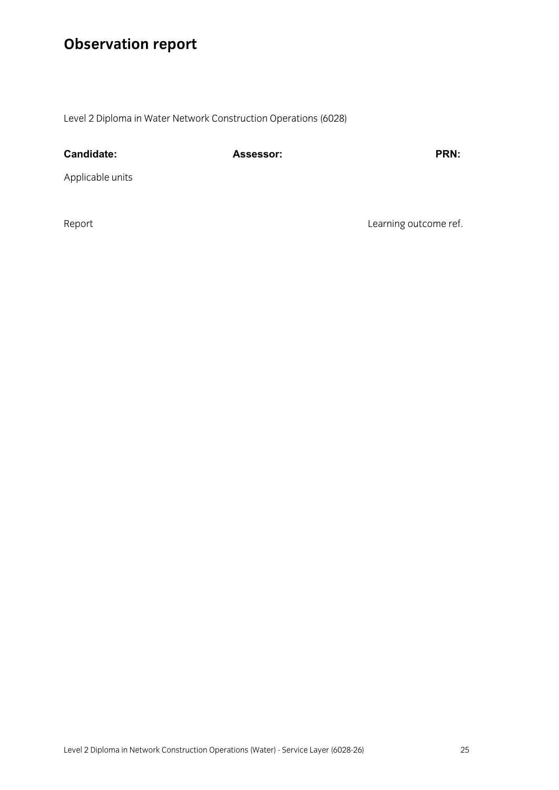## **Observation report**

Level 2 Diploma in Water Network Construction Operations (6028)

### **Candidate: Assessor: PRN: PRN: PRN:**

Applicable units

Report **Learning outcome ref.**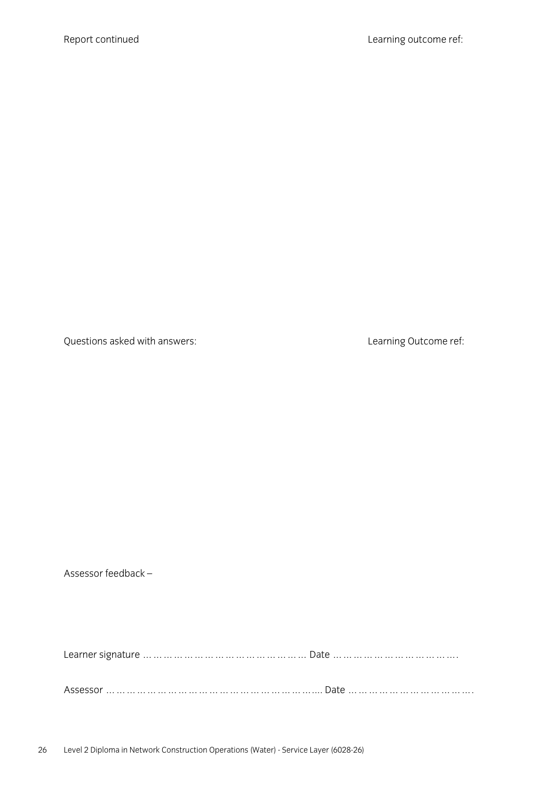Questions asked with answers: Learning Outcome ref:

Assessor feedback –

Learner signature … … … … … … … … … … … … … … Date … … … … … … … … … … … …

Assessor …………………………………………………….... Date ……………………………….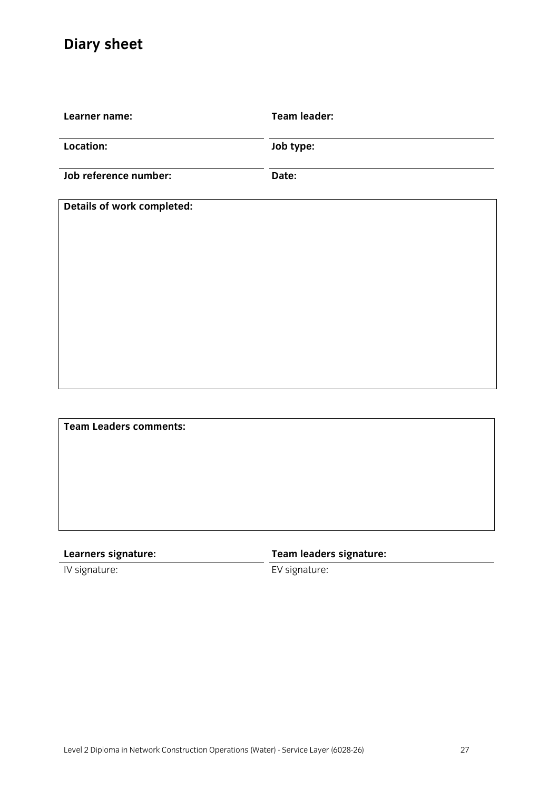## **Diary sheet**

| Learner name:                 | <b>Team leader:</b>     |
|-------------------------------|-------------------------|
| Location:                     | Job type:               |
| Job reference number:         | Date:                   |
| Details of work completed:    |                         |
|                               |                         |
|                               |                         |
|                               |                         |
|                               |                         |
|                               |                         |
|                               |                         |
|                               |                         |
| <b>Team Leaders comments:</b> |                         |
|                               |                         |
|                               |                         |
|                               |                         |
| Learners signature:           | Team leaders signature: |

IV signature: EV signature: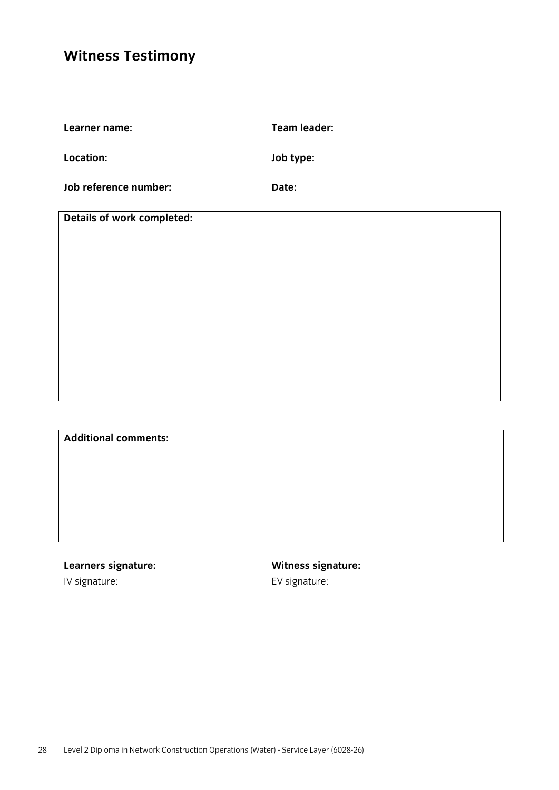## **Witness Testimony**

| Learner name:               | <b>Team leader:</b> |
|-----------------------------|---------------------|
| Location:                   | Job type:           |
| Job reference number:       | Date:               |
| Details of work completed:  |                     |
|                             |                     |
|                             |                     |
|                             |                     |
|                             |                     |
|                             |                     |
|                             |                     |
| <b>Additional comments:</b> |                     |
|                             |                     |

| <b>Additional comments:</b> |  |  |  |  |  |  |
|-----------------------------|--|--|--|--|--|--|
|                             |  |  |  |  |  |  |
|                             |  |  |  |  |  |  |
|                             |  |  |  |  |  |  |
|                             |  |  |  |  |  |  |
|                             |  |  |  |  |  |  |
|                             |  |  |  |  |  |  |

Learners signature: **Witness signature:** 

IV signature: EV signature: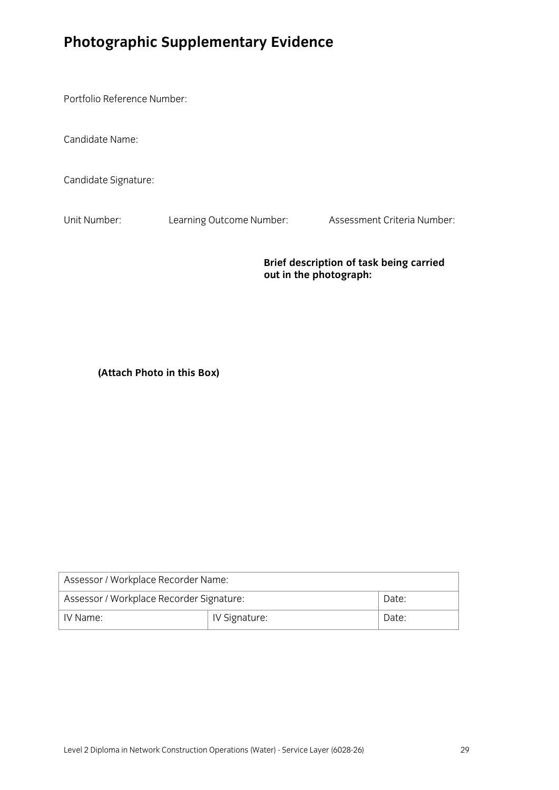## **Photographic Supplementary Evidence**

Portfolio Reference Number:

Candidate Name:

Candidate Signature:

Unit Number: Learning Outcome Number: Assessment Criteria Number:

**Brief description of task being carried out in the photograph:** 

**(Attach Photo in this Box)** 

| Assessor / Workplace Recorder Name:      |                 |       |  |
|------------------------------------------|-----------------|-------|--|
| Assessor / Workplace Recorder Signature: |                 | Date: |  |
| IV Name:                                 | I IV Signature: | Date: |  |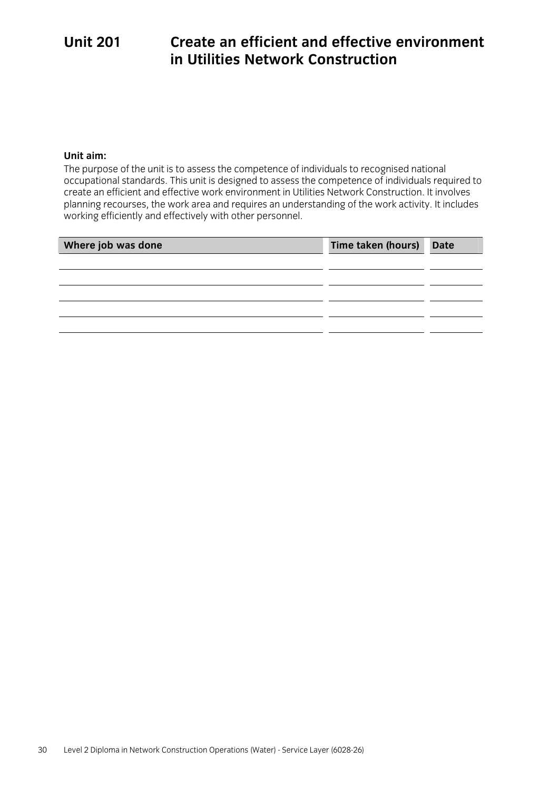<span id="page-29-0"></span>

#### **Unit aim:**

The purpose of the unit is to assess the competence of individuals to recognised national occupational standards. This unit is designed to assess the competence of individuals required to create an efficient and effective work environment in Utilities Network Construction. It involves planning recourses, the work area and requires an understanding of the work activity. It includes working efficiently and effectively with other personnel.

| Where job was done | Time taken (hours) Date |  |
|--------------------|-------------------------|--|
|                    |                         |  |
|                    |                         |  |
|                    |                         |  |
|                    |                         |  |
|                    |                         |  |
|                    |                         |  |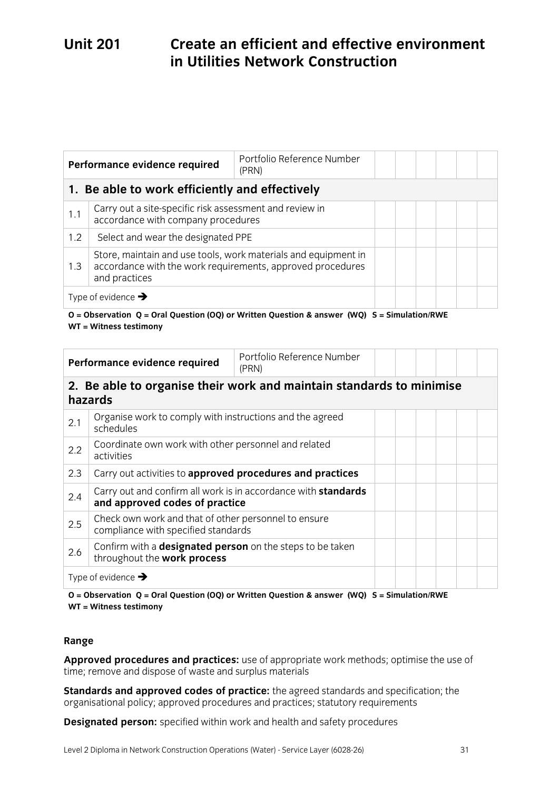### **Unit 201 Create an efficient and effective environment in Utilities Network Construction**

|     | Performance evidence required                                                                                                                 | Portfolio Reference Number<br>(PRN) |  |  |  |  |  |
|-----|-----------------------------------------------------------------------------------------------------------------------------------------------|-------------------------------------|--|--|--|--|--|
|     | 1. Be able to work efficiently and effectively                                                                                                |                                     |  |  |  |  |  |
| 1.1 | Carry out a site-specific risk assessment and review in<br>accordance with company procedures                                                 |                                     |  |  |  |  |  |
| 1.2 | Select and wear the designated PPE                                                                                                            |                                     |  |  |  |  |  |
| 1.3 | Store, maintain and use tools, work materials and equipment in<br>accordance with the work requirements, approved procedures<br>and practices |                                     |  |  |  |  |  |
|     | Type of evidence $\rightarrow$                                                                                                                |                                     |  |  |  |  |  |

#### **O = Observation Q = Oral Question (OQ) or Written Question & answer (WQ) S = Simulation/RWE WT = Witness testimony**

|     | Performance evidence required                                                                           | Portfolio Reference Number<br>(PRN) |  |  |  |  |
|-----|---------------------------------------------------------------------------------------------------------|-------------------------------------|--|--|--|--|
|     | 2. Be able to organise their work and maintain standards to minimise<br>hazards                         |                                     |  |  |  |  |
| 2.1 | Organise work to comply with instructions and the agreed<br>schedules                                   |                                     |  |  |  |  |
| 2.2 | Coordinate own work with other personnel and related<br>activities                                      |                                     |  |  |  |  |
| 2.3 | Carry out activities to approved procedures and practices                                               |                                     |  |  |  |  |
| 2.4 | Carry out and confirm all work is in accordance with <b>standards</b><br>and approved codes of practice |                                     |  |  |  |  |
| 2.5 | Check own work and that of other personnel to ensure<br>compliance with specified standards             |                                     |  |  |  |  |
| 2.6 | Confirm with a designated person on the steps to be taken<br>throughout the work process                |                                     |  |  |  |  |
|     | Type of evidence $\rightarrow$                                                                          |                                     |  |  |  |  |

**O = Observation Q = Oral Question (OQ) or Written Question & answer (WQ) S = Simulation/RWE WT = Witness testimony**

#### **Range**

**Approved procedures and practices:** use of appropriate work methods; optimise the use of time; remove and dispose of waste and surplus materials

**Standards and approved codes of practice:** the agreed standards and specification; the organisational policy; approved procedures and practices; statutory requirements

**Designated person:** specified within work and health and safety procedures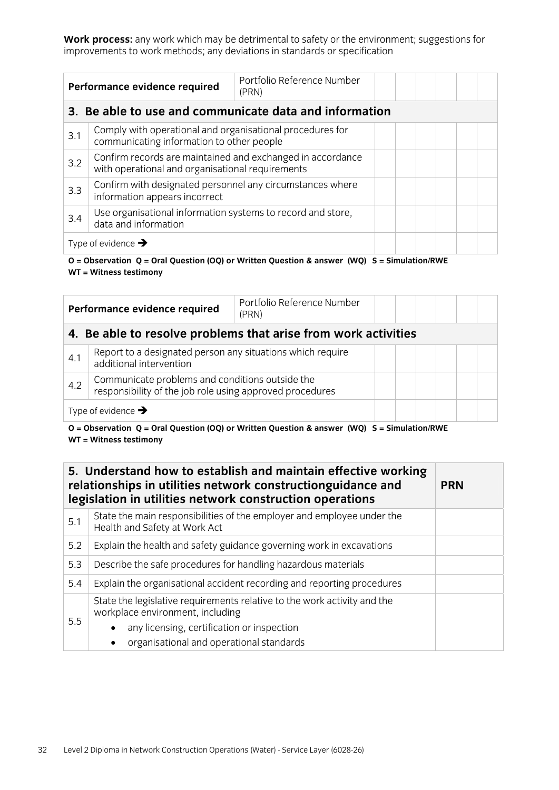**Work process:** any work which may be detrimental to safety or the environment; suggestions for improvements to work methods; any deviations in standards or specification

|     | Performance evidence required                                                                                  | Portfolio Reference Number<br>(PRN) |  |  |  |  |  |
|-----|----------------------------------------------------------------------------------------------------------------|-------------------------------------|--|--|--|--|--|
|     | 3. Be able to use and communicate data and information                                                         |                                     |  |  |  |  |  |
| 3.1 | Comply with operational and organisational procedures for<br>communicating information to other people         |                                     |  |  |  |  |  |
| 3.2 | Confirm records are maintained and exchanged in accordance<br>with operational and organisational requirements |                                     |  |  |  |  |  |
| 3.3 | Confirm with designated personnel any circumstances where<br>information appears incorrect                     |                                     |  |  |  |  |  |
| 3.4 | Use organisational information systems to record and store,<br>data and information                            |                                     |  |  |  |  |  |
|     | Type of evidence $\rightarrow$                                                                                 |                                     |  |  |  |  |  |

#### **O = Observation Q = Oral Question (OQ) or Written Question & answer (WQ) S = Simulation/RWE WT = Witness testimony**

| Performance evidence required                                  |                                                                                                             | Portfolio Reference Number<br>(PRN) |  |  |  |  |  |  |
|----------------------------------------------------------------|-------------------------------------------------------------------------------------------------------------|-------------------------------------|--|--|--|--|--|--|
| 4. Be able to resolve problems that arise from work activities |                                                                                                             |                                     |  |  |  |  |  |  |
| 4.1                                                            | Report to a designated person any situations which require<br>additional intervention                       |                                     |  |  |  |  |  |  |
| 4.2                                                            | Communicate problems and conditions outside the<br>responsibility of the job role using approved procedures |                                     |  |  |  |  |  |  |
| Type of evidence $\rightarrow$                                 |                                                                                                             |                                     |  |  |  |  |  |  |

**O = Observation Q = Oral Question (OQ) or Written Question & answer (WQ) S = Simulation/RWE WT = Witness testimony**

| 5. Understand how to establish and maintain effective working<br>relationships in utilities network constructionguidance and<br>legislation in utilities network construction operations | <b>PRN</b>                                                                                                   |  |
|------------------------------------------------------------------------------------------------------------------------------------------------------------------------------------------|--------------------------------------------------------------------------------------------------------------|--|
| 5.1                                                                                                                                                                                      | State the main responsibilities of the employer and employee under the<br>Health and Safety at Work Act      |  |
| 5.2                                                                                                                                                                                      | Explain the health and safety guidance governing work in excavations                                         |  |
| 5.3                                                                                                                                                                                      | Describe the safe procedures for handling hazardous materials                                                |  |
| 5.4                                                                                                                                                                                      | Explain the organisational accident recording and reporting procedures                                       |  |
| 5.5                                                                                                                                                                                      | State the legislative requirements relative to the work activity and the<br>workplace environment, including |  |
|                                                                                                                                                                                          | any licensing, certification or inspection<br>$\bullet$                                                      |  |
|                                                                                                                                                                                          | organisational and operational standards<br>$\bullet$                                                        |  |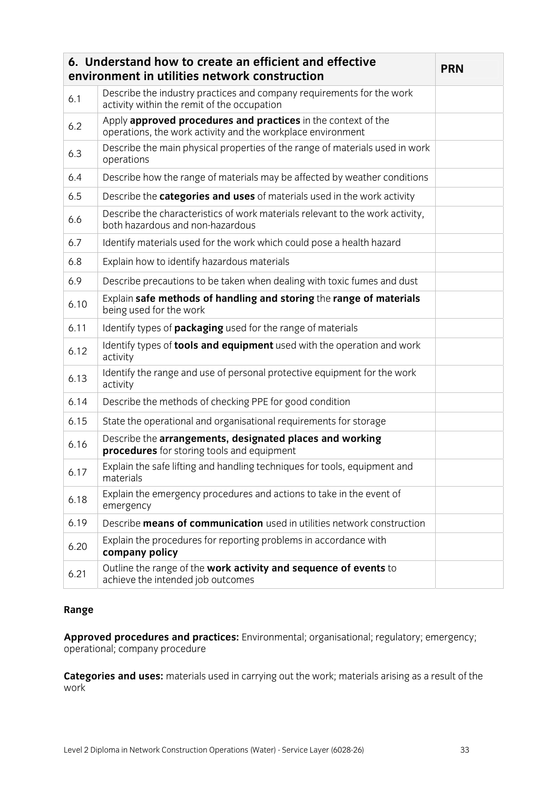| 6. Understand how to create an efficient and effective<br>environment in utilities network construction | <b>PRN</b>                                                                                                                   |  |
|---------------------------------------------------------------------------------------------------------|------------------------------------------------------------------------------------------------------------------------------|--|
| 6.1                                                                                                     | Describe the industry practices and company requirements for the work<br>activity within the remit of the occupation         |  |
| 6.2                                                                                                     | Apply approved procedures and practices in the context of the<br>operations, the work activity and the workplace environment |  |
| 6.3                                                                                                     | Describe the main physical properties of the range of materials used in work<br>operations                                   |  |
| 6.4                                                                                                     | Describe how the range of materials may be affected by weather conditions                                                    |  |
| 6.5                                                                                                     | Describe the categories and uses of materials used in the work activity                                                      |  |
| 6.6                                                                                                     | Describe the characteristics of work materials relevant to the work activity,<br>both hazardous and non-hazardous            |  |
| 6.7                                                                                                     | Identify materials used for the work which could pose a health hazard                                                        |  |
| 6.8                                                                                                     | Explain how to identify hazardous materials                                                                                  |  |
| 6.9                                                                                                     | Describe precautions to be taken when dealing with toxic fumes and dust                                                      |  |
| 6.10                                                                                                    | Explain safe methods of handling and storing the range of materials<br>being used for the work                               |  |
| 6.11                                                                                                    | Identify types of <b>packaging</b> used for the range of materials                                                           |  |
| 6.12                                                                                                    | Identify types of <b>tools and equipment</b> used with the operation and work<br>activity                                    |  |
| 6.13                                                                                                    | Identify the range and use of personal protective equipment for the work<br>activity                                         |  |
| 6.14                                                                                                    | Describe the methods of checking PPE for good condition                                                                      |  |
| 6.15                                                                                                    | State the operational and organisational requirements for storage                                                            |  |
| 6.16                                                                                                    | Describe the arrangements, designated places and working<br>procedures for storing tools and equipment                       |  |
| 6.17                                                                                                    | Explain the safe lifting and handling techniques for tools, equipment and<br>materials                                       |  |
| 6.18                                                                                                    | Explain the emergency procedures and actions to take in the event of<br>emergency                                            |  |
| 6.19                                                                                                    | Describe means of communication used in utilities network construction                                                       |  |
| 6.20                                                                                                    | Explain the procedures for reporting problems in accordance with<br>company policy                                           |  |
| 6.21                                                                                                    | Outline the range of the work activity and sequence of events to<br>achieve the intended job outcomes                        |  |

#### **Range**

**Approved procedures and practices:** Environmental; organisational; regulatory; emergency; operational; company procedure

**Categories and uses:** materials used in carrying out the work; materials arising as a result of the work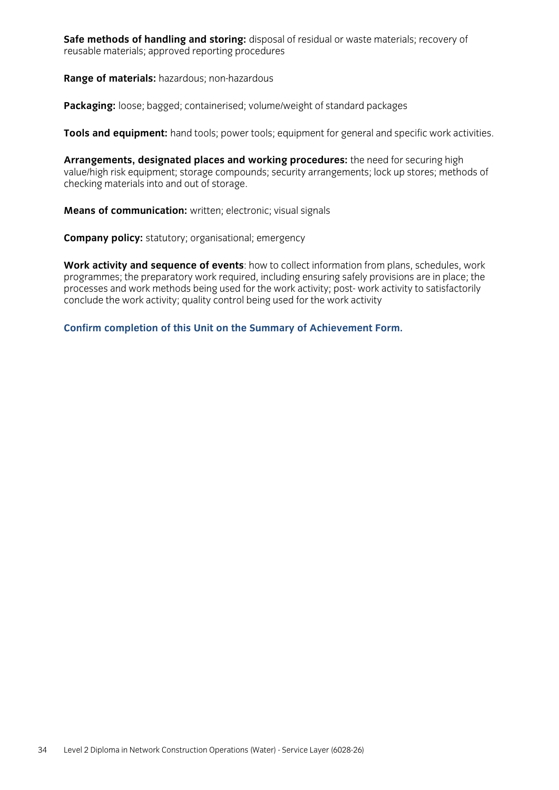**Safe methods of handling and storing:** disposal of residual or waste materials; recovery of reusable materials; approved reporting procedures

**Range of materials:** hazardous; non-hazardous

**Packaging:** loose; bagged; containerised; volume/weight of standard packages

**Tools and equipment:** hand tools; power tools; equipment for general and specific work activities.

**Arrangements, designated places and working procedures:** the need for securing high value/high risk equipment; storage compounds; security arrangements; lock up stores; methods of checking materials into and out of storage.

**Means of communication:** written; electronic; visual signals

**Company policy:** statutory; organisational; emergency

**Work activity and sequence of events**: how to collect information from plans, schedules, work programmes; the preparatory work required, including ensuring safely provisions are in place; the processes and work methods being used for the work activity; post- work activity to satisfactorily conclude the work activity; quality control being used for the work activity

**Confirm completion of this Unit on the Summary of Achievement Form.**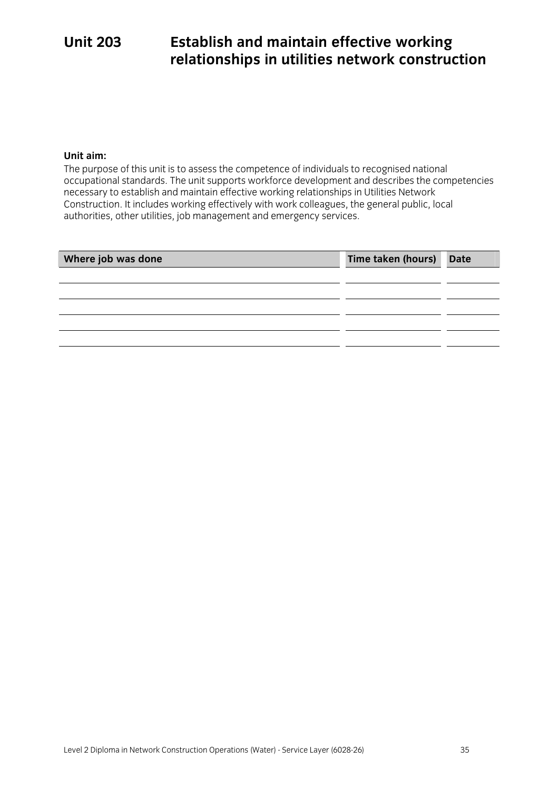### <span id="page-34-0"></span>**Unit 203 Establish and maintain effective working relationships in utilities network construction**

#### **Unit aim:**

The purpose of this unit is to assess the competence of individuals to recognised national occupational standards. The unit supports workforce development and describes the competencies necessary to establish and maintain effective working relationships in Utilities Network Construction. It includes working effectively with work colleagues, the general public, local authorities, other utilities, job management and emergency services.

| Time taken (hours) Date |  |
|-------------------------|--|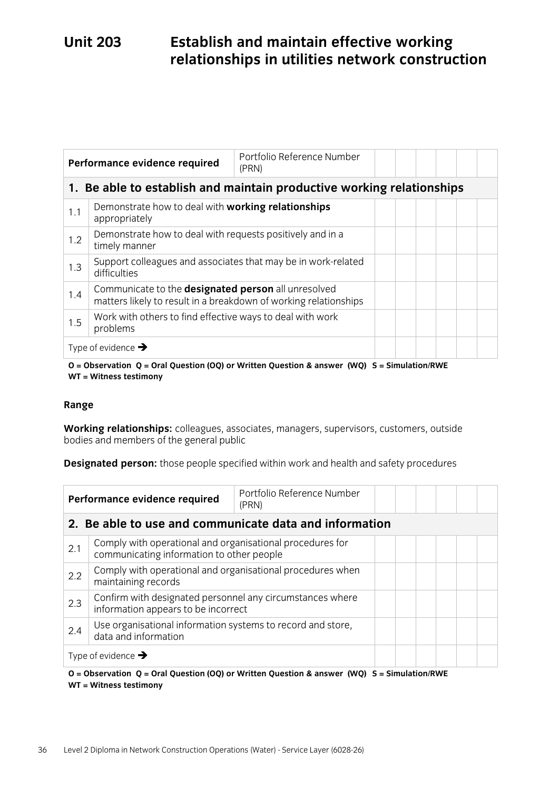### **Unit 203 Establish and maintain effective working relationships in utilities network construction**

| Performance evidence required                                         |                                                                                                                         | Portfolio Reference Number<br>(PRN) |  |  |  |  |  |
|-----------------------------------------------------------------------|-------------------------------------------------------------------------------------------------------------------------|-------------------------------------|--|--|--|--|--|
| 1. Be able to establish and maintain productive working relationships |                                                                                                                         |                                     |  |  |  |  |  |
| 1.1                                                                   | Demonstrate how to deal with working relationships<br>appropriately                                                     |                                     |  |  |  |  |  |
| 1.2                                                                   | Demonstrate how to deal with requests positively and in a<br>timely manner                                              |                                     |  |  |  |  |  |
| 1.3                                                                   | Support colleagues and associates that may be in work-related<br>difficulties                                           |                                     |  |  |  |  |  |
| 1.4                                                                   | Communicate to the designated person all unresolved<br>matters likely to result in a breakdown of working relationships |                                     |  |  |  |  |  |
| 1.5                                                                   | Work with others to find effective ways to deal with work<br>problems                                                   |                                     |  |  |  |  |  |
| Type of evidence $\rightarrow$                                        |                                                                                                                         |                                     |  |  |  |  |  |

**O = Observation Q = Oral Question (OQ) or Written Question & answer (WQ) S = Simulation/RWE WT = Witness testimony**

#### **Range**

**Working relationships:** colleagues, associates, managers, supervisors, customers, outside bodies and members of the general public

**Designated person:** those people specified within work and health and safety procedures

| Performance evidence required                          |                                                                                                        | Portfolio Reference Number<br>(PRN) |  |  |  |  |  |  |
|--------------------------------------------------------|--------------------------------------------------------------------------------------------------------|-------------------------------------|--|--|--|--|--|--|
| 2. Be able to use and communicate data and information |                                                                                                        |                                     |  |  |  |  |  |  |
| 2.1                                                    | Comply with operational and organisational procedures for<br>communicating information to other people |                                     |  |  |  |  |  |  |
| 2.2                                                    | Comply with operational and organisational procedures when<br>maintaining records                      |                                     |  |  |  |  |  |  |
| 2.3                                                    | Confirm with designated personnel any circumstances where<br>information appears to be incorrect       |                                     |  |  |  |  |  |  |
| 2.4                                                    | Use organisational information systems to record and store,<br>data and information                    |                                     |  |  |  |  |  |  |
| Type of evidence $\rightarrow$                         |                                                                                                        |                                     |  |  |  |  |  |  |

**O = Observation Q = Oral Question (OQ) or Written Question & answer (WQ) S = Simulation/RWE WT = Witness testimony**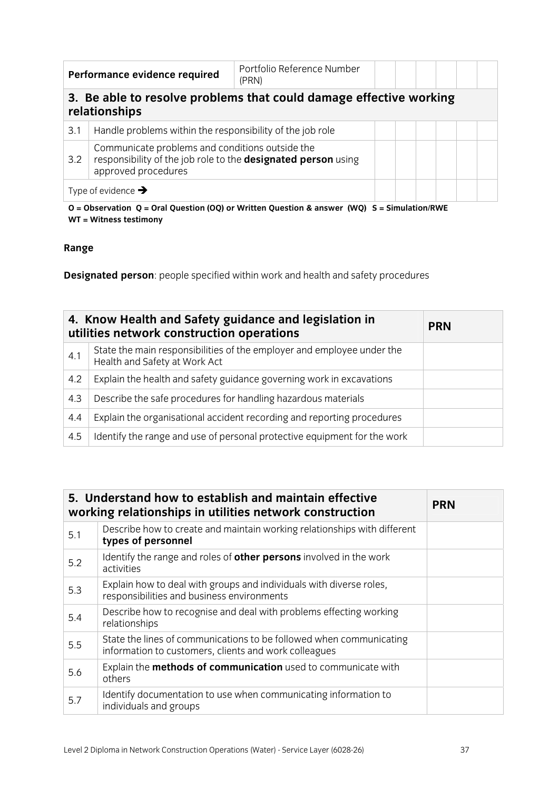|                                | Performance evidence required                                                                                                           | Portfolio Reference Number<br>(PRN) |  |  |  |  |  |  |
|--------------------------------|-----------------------------------------------------------------------------------------------------------------------------------------|-------------------------------------|--|--|--|--|--|--|
|                                | 3. Be able to resolve problems that could damage effective working<br>relationships                                                     |                                     |  |  |  |  |  |  |
| 3.1                            | Handle problems within the responsibility of the job role                                                                               |                                     |  |  |  |  |  |  |
| 3.2                            | Communicate problems and conditions outside the<br>responsibility of the job role to the designated person using<br>approved procedures |                                     |  |  |  |  |  |  |
| Type of evidence $\rightarrow$ |                                                                                                                                         |                                     |  |  |  |  |  |  |

### **Range**

**Designated person**: people specified within work and health and safety procedures

| 4. Know Health and Safety guidance and legislation in<br>utilities network construction operations | <b>PRN</b>                                                                                              |  |
|----------------------------------------------------------------------------------------------------|---------------------------------------------------------------------------------------------------------|--|
| 4.1                                                                                                | State the main responsibilities of the employer and employee under the<br>Health and Safety at Work Act |  |
| 4.2                                                                                                | Explain the health and safety guidance governing work in excavations                                    |  |
| 4.3                                                                                                | Describe the safe procedures for handling hazardous materials                                           |  |
| 4.4                                                                                                | Explain the organisational accident recording and reporting procedures                                  |  |
| 4.5                                                                                                | Identify the range and use of personal protective equipment for the work                                |  |

| 5. Understand how to establish and maintain effective<br>working relationships in utilities network construction | <b>PRN</b>                                                                                                                   |  |
|------------------------------------------------------------------------------------------------------------------|------------------------------------------------------------------------------------------------------------------------------|--|
| 5.1                                                                                                              | Describe how to create and maintain working relationships with different<br>types of personnel                               |  |
| 5.2                                                                                                              | Identify the range and roles of <b>other persons</b> involved in the work<br>activities                                      |  |
| 5.3                                                                                                              | Explain how to deal with groups and individuals with diverse roles,<br>responsibilities and business environments            |  |
| 5.4                                                                                                              | Describe how to recognise and deal with problems effecting working<br>relationships                                          |  |
| 5.5                                                                                                              | State the lines of communications to be followed when communicating<br>information to customers, clients and work colleagues |  |
| 5.6                                                                                                              | Explain the <b>methods of communication</b> used to communicate with<br>others                                               |  |
| 5.7                                                                                                              | Identify documentation to use when communicating information to<br>individuals and groups                                    |  |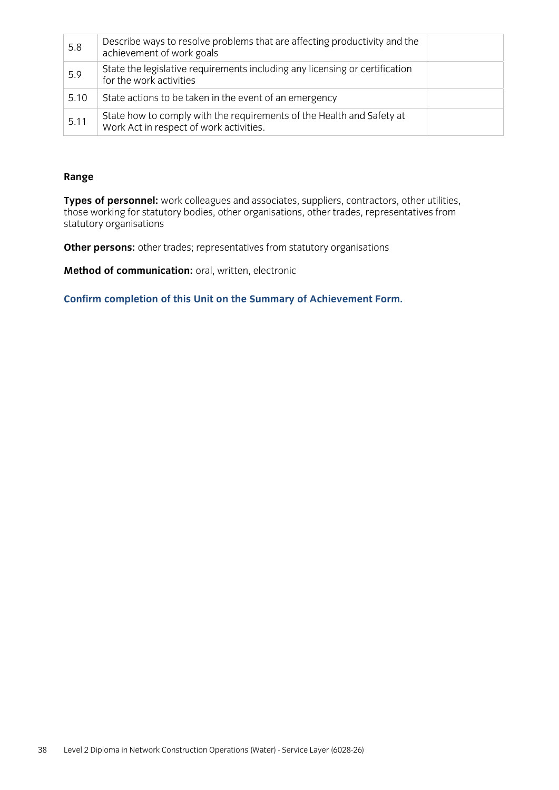| 5.8  | Describe ways to resolve problems that are affecting productivity and the<br>achievement of work goals           |  |
|------|------------------------------------------------------------------------------------------------------------------|--|
| 5.9  | State the legislative requirements including any licensing or certification<br>for the work activities           |  |
| 5.10 | State actions to be taken in the event of an emergency                                                           |  |
| 5.11 | State how to comply with the requirements of the Health and Safety at<br>Work Act in respect of work activities. |  |

**Types of personnel:** work colleagues and associates, suppliers, contractors, other utilities, those working for statutory bodies, other organisations, other trades, representatives from statutory organisations

**Other persons:** other trades; representatives from statutory organisations

**Method of communication:** oral, written, electronic

**Confirm completion of this Unit on the Summary of Achievement Form.**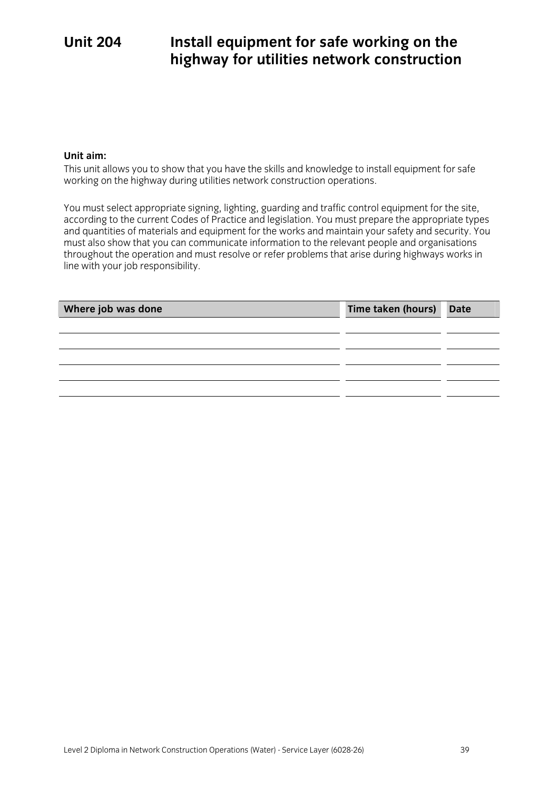## **Unit 204 Install equipment for safe working on the highway for utilities network construction**

#### **Unit aim:**

This unit allows you to show that you have the skills and knowledge to install equipment for safe working on the highway during utilities network construction operations.

You must select appropriate signing, lighting, guarding and traffic control equipment for the site, according to the current Codes of Practice and legislation. You must prepare the appropriate types and quantities of materials and equipment for the works and maintain your safety and security. You must also show that you can communicate information to the relevant people and organisations throughout the operation and must resolve or refer problems that arise during highways works in line with your job responsibility.

| Where job was done | Time taken (hours) Date |  |  |
|--------------------|-------------------------|--|--|
|                    |                         |  |  |
|                    |                         |  |  |
|                    |                         |  |  |
|                    |                         |  |  |
|                    |                         |  |  |
|                    |                         |  |  |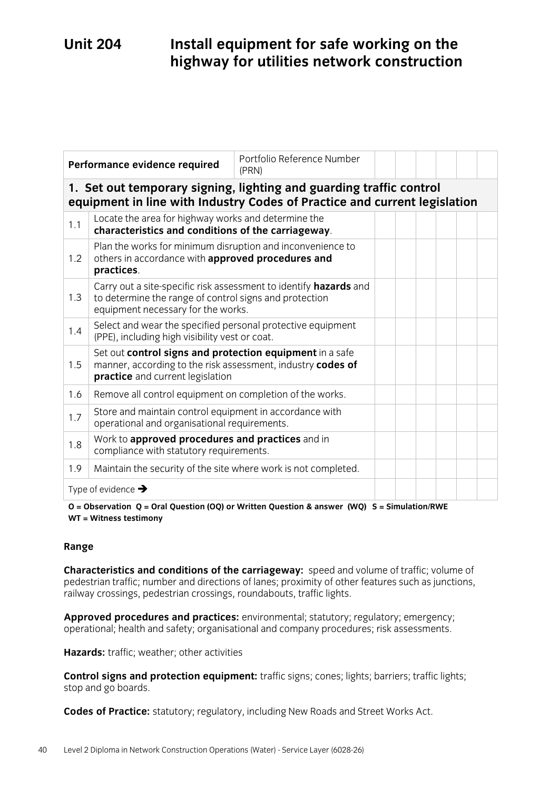# **Unit 204 Install equipment for safe working on the highway for utilities network construction**

| Performance evidence required |                                                                                                                                                                   | Portfolio Reference Number<br>(PRN) |  |  |  |  |  |  |
|-------------------------------|-------------------------------------------------------------------------------------------------------------------------------------------------------------------|-------------------------------------|--|--|--|--|--|--|
|                               | 1. Set out temporary signing, lighting and guarding traffic control<br>equipment in line with Industry Codes of Practice and current legislation                  |                                     |  |  |  |  |  |  |
| 1.1                           | Locate the area for highway works and determine the<br>characteristics and conditions of the carriageway.                                                         |                                     |  |  |  |  |  |  |
| 1.2                           | Plan the works for minimum disruption and inconvenience to<br>others in accordance with approved procedures and<br>practices.                                     |                                     |  |  |  |  |  |  |
| 1.3                           | Carry out a site-specific risk assessment to identify hazards and<br>to determine the range of control signs and protection<br>equipment necessary for the works. |                                     |  |  |  |  |  |  |
| 1.4                           | Select and wear the specified personal protective equipment<br>(PPE), including high visibility vest or coat.                                                     |                                     |  |  |  |  |  |  |
| 1.5                           | Set out control signs and protection equipment in a safe<br>manner, according to the risk assessment, industry codes of<br>practice and current legislation       |                                     |  |  |  |  |  |  |
| 1.6                           | Remove all control equipment on completion of the works.                                                                                                          |                                     |  |  |  |  |  |  |
| 1.7                           | Store and maintain control equipment in accordance with<br>operational and organisational requirements.                                                           |                                     |  |  |  |  |  |  |
| 1.8                           | Work to approved procedures and practices and in<br>compliance with statutory requirements.                                                                       |                                     |  |  |  |  |  |  |
| 1.9                           | Maintain the security of the site where work is not completed.                                                                                                    |                                     |  |  |  |  |  |  |
|                               | Type of evidence $\rightarrow$                                                                                                                                    |                                     |  |  |  |  |  |  |

**O = Observation Q = Oral Question (OQ) or Written Question & answer (WQ) S = Simulation/RWE WT = Witness testimony**

### **Range**

**Characteristics and conditions of the carriageway:** speed and volume of traffic; volume of pedestrian traffic; number and directions of lanes; proximity of other features such as junctions, railway crossings, pedestrian crossings, roundabouts, traffic lights.

**Approved procedures and practices:** environmental; statutory; regulatory; emergency; operational; health and safety; organisational and company procedures; risk assessments.

**Hazards:** traffic; weather; other activities

**Control signs and protection equipment:** traffic signs; cones; lights; barriers; traffic lights; stop and go boards.

**Codes of Practice:** statutory; regulatory, including New Roads and Street Works Act.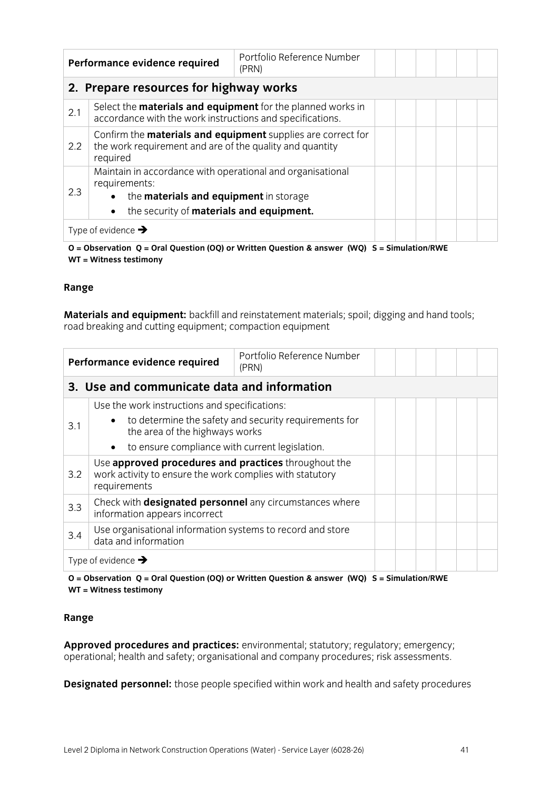| Portfolio Reference Number<br>Performance evidence required<br>(PRN) |                                                                                                                                                                                             |  |  |  |  |  |  |
|----------------------------------------------------------------------|---------------------------------------------------------------------------------------------------------------------------------------------------------------------------------------------|--|--|--|--|--|--|
|                                                                      | 2. Prepare resources for highway works                                                                                                                                                      |  |  |  |  |  |  |
| 2.1                                                                  | Select the materials and equipment for the planned works in<br>accordance with the work instructions and specifications.                                                                    |  |  |  |  |  |  |
| 2.2                                                                  | Confirm the materials and equipment supplies are correct for<br>the work requirement and are of the quality and quantity<br>required                                                        |  |  |  |  |  |  |
| 2.3                                                                  | Maintain in accordance with operational and organisational<br>requirements:<br>the materials and equipment in storage<br>$\bullet$<br>the security of materials and equipment.<br>$\bullet$ |  |  |  |  |  |  |
|                                                                      | Type of evidence $\rightarrow$                                                                                                                                                              |  |  |  |  |  |  |

#### **Range**

**Materials and equipment:** backfill and reinstatement materials; spoil; digging and hand tools; road breaking and cutting equipment; compaction equipment

| Performance evidence required  |                                                                                                                                   | Portfolio Reference Number<br>(PRN)                   |  |  |  |  |
|--------------------------------|-----------------------------------------------------------------------------------------------------------------------------------|-------------------------------------------------------|--|--|--|--|
|                                | 3. Use and communicate data and information                                                                                       |                                                       |  |  |  |  |
| 3.1                            | Use the work instructions and specifications:<br>the area of the highways works<br>to ensure compliance with current legislation. | to determine the safety and security requirements for |  |  |  |  |
| 3.2                            | Use approved procedures and practices throughout the<br>work activity to ensure the work complies with statutory<br>requirements  |                                                       |  |  |  |  |
| 3.3                            | Check with designated personnel any circumstances where<br>information appears incorrect                                          |                                                       |  |  |  |  |
| 3.4                            | Use organisational information systems to record and store<br>data and information                                                |                                                       |  |  |  |  |
| Type of evidence $\rightarrow$ |                                                                                                                                   |                                                       |  |  |  |  |

**O = Observation Q = Oral Question (OQ) or Written Question & answer (WQ) S = Simulation/RWE WT = Witness testimony**

### **Range**

**Approved procedures and practices:** environmental; statutory; regulatory; emergency; operational; health and safety; organisational and company procedures; risk assessments.

**Designated personnel:** those people specified within work and health and safety procedures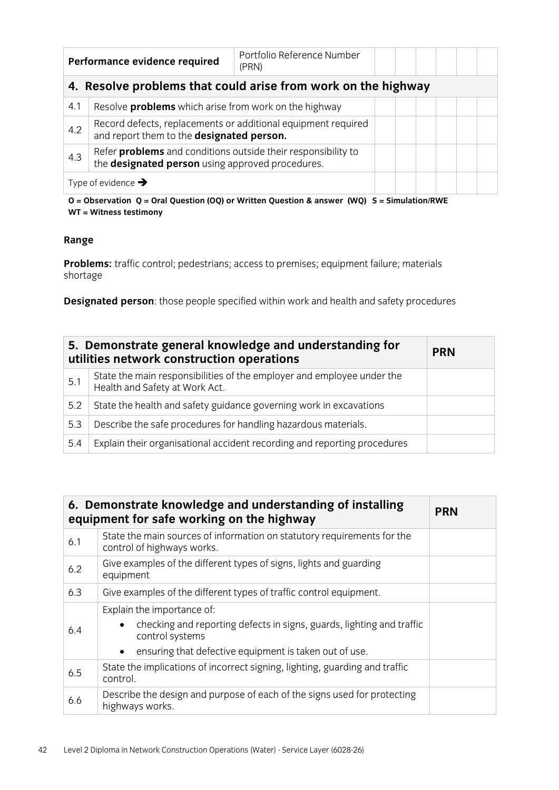| Performance evidence required  |                                                                                                                   | Portfolio Reference Number<br>(PRN) |  |  |  |  |  |  |
|--------------------------------|-------------------------------------------------------------------------------------------------------------------|-------------------------------------|--|--|--|--|--|--|
|                                | 4. Resolve problems that could arise from work on the highway                                                     |                                     |  |  |  |  |  |  |
| 4.1                            | Resolve <b>problems</b> which arise from work on the highway                                                      |                                     |  |  |  |  |  |  |
| 4.2                            | Record defects, replacements or additional equipment required<br>and report them to the designated person.        |                                     |  |  |  |  |  |  |
| 4.3                            | Refer problems and conditions outside their responsibility to<br>the designated person using approved procedures. |                                     |  |  |  |  |  |  |
| Type of evidence $\rightarrow$ |                                                                                                                   |                                     |  |  |  |  |  |  |

#### **Range**

**Problems:** traffic control; pedestrians; access to premises; equipment failure; materials shortage

**Designated person**: those people specified within work and health and safety procedures

| 5. Demonstrate general knowledge and understanding for<br>utilities network construction operations | <b>PRN</b>                                                                                               |  |
|-----------------------------------------------------------------------------------------------------|----------------------------------------------------------------------------------------------------------|--|
| 5.1                                                                                                 | State the main responsibilities of the employer and employee under the<br>Health and Safety at Work Act. |  |
| 5.2                                                                                                 | State the health and safety guidance governing work in excavations                                       |  |
| 5.3                                                                                                 | Describe the safe procedures for handling hazardous materials.                                           |  |
| 5.4                                                                                                 | Explain their organisational accident recording and reporting procedures                                 |  |

| 6. Demonstrate knowledge and understanding of installing<br>equipment for safe working on the highway | <b>PRN</b>                                                                                                                                                                                    |  |
|-------------------------------------------------------------------------------------------------------|-----------------------------------------------------------------------------------------------------------------------------------------------------------------------------------------------|--|
| 6.1                                                                                                   | State the main sources of information on statutory requirements for the<br>control of highways works.                                                                                         |  |
| 6.2                                                                                                   | Give examples of the different types of signs, lights and guarding<br>equipment                                                                                                               |  |
| 6.3                                                                                                   | Give examples of the different types of traffic control equipment.                                                                                                                            |  |
| 6.4                                                                                                   | Explain the importance of:<br>checking and reporting defects in signs, guards, lighting and traffic<br>control systems<br>ensuring that defective equipment is taken out of use.<br>$\bullet$ |  |
| 6.5                                                                                                   | State the implications of incorrect signing, lighting, guarding and traffic<br>control.                                                                                                       |  |
| 6.6                                                                                                   | Describe the design and purpose of each of the signs used for protecting<br>highways works.                                                                                                   |  |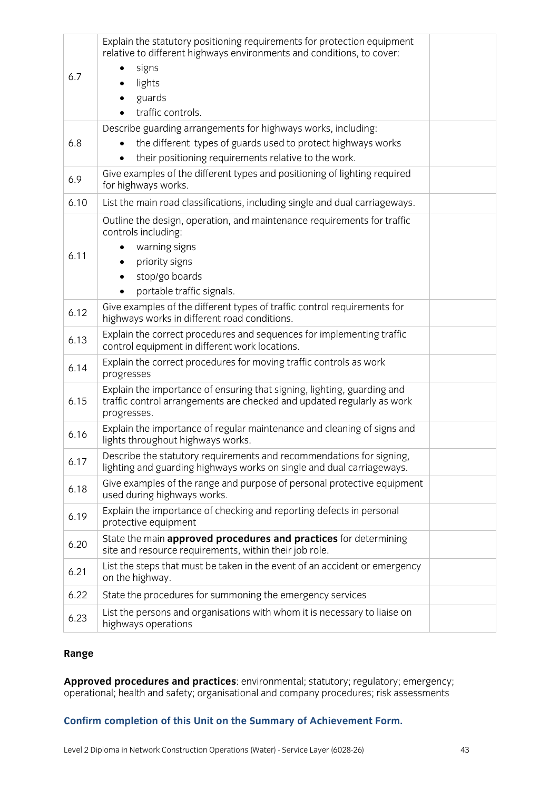|      | Explain the statutory positioning requirements for protection equipment<br>relative to different highways environments and conditions, to cover:                 |  |
|------|------------------------------------------------------------------------------------------------------------------------------------------------------------------|--|
|      | signs                                                                                                                                                            |  |
| 6.7  | lights                                                                                                                                                           |  |
|      | guards                                                                                                                                                           |  |
|      | traffic controls.                                                                                                                                                |  |
|      | Describe guarding arrangements for highways works, including:                                                                                                    |  |
| 6.8  | the different types of guards used to protect highways works<br>$\bullet$                                                                                        |  |
|      | their positioning requirements relative to the work.                                                                                                             |  |
| 6.9  | Give examples of the different types and positioning of lighting required<br>for highways works.                                                                 |  |
| 6.10 | List the main road classifications, including single and dual carriageways.                                                                                      |  |
|      | Outline the design, operation, and maintenance requirements for traffic<br>controls including:                                                                   |  |
| 6.11 | warning signs                                                                                                                                                    |  |
|      | priority signs                                                                                                                                                   |  |
|      | stop/go boards                                                                                                                                                   |  |
|      | portable traffic signals.                                                                                                                                        |  |
| 6.12 | Give examples of the different types of traffic control requirements for<br>highways works in different road conditions.                                         |  |
| 6.13 | Explain the correct procedures and sequences for implementing traffic<br>control equipment in different work locations.                                          |  |
| 6.14 | Explain the correct procedures for moving traffic controls as work<br>progresses                                                                                 |  |
| 6.15 | Explain the importance of ensuring that signing, lighting, guarding and<br>traffic control arrangements are checked and updated regularly as work<br>progresses. |  |
| 6.16 | Explain the importance of regular maintenance and cleaning of signs and<br>lights throughout highways works.                                                     |  |
| 6.17 | Describe the statutory requirements and recommendations for signing,<br>lighting and guarding highways works on single and dual carriageways.                    |  |
| 6.18 | Give examples of the range and purpose of personal protective equipment<br>used during highways works.                                                           |  |
| 6.19 | Explain the importance of checking and reporting defects in personal<br>protective equipment                                                                     |  |
| 6.20 | State the main approved procedures and practices for determining<br>site and resource requirements, within their job role.                                       |  |
| 6.21 | List the steps that must be taken in the event of an accident or emergency<br>on the highway.                                                                    |  |
| 6.22 | State the procedures for summoning the emergency services                                                                                                        |  |
| 6.23 | List the persons and organisations with whom it is necessary to liaise on<br>highways operations                                                                 |  |

**Approved procedures and practices**: environmental; statutory; regulatory; emergency; operational; health and safety; organisational and company procedures; risk assessments

### **Confirm completion of this Unit on the Summary of Achievement Form.**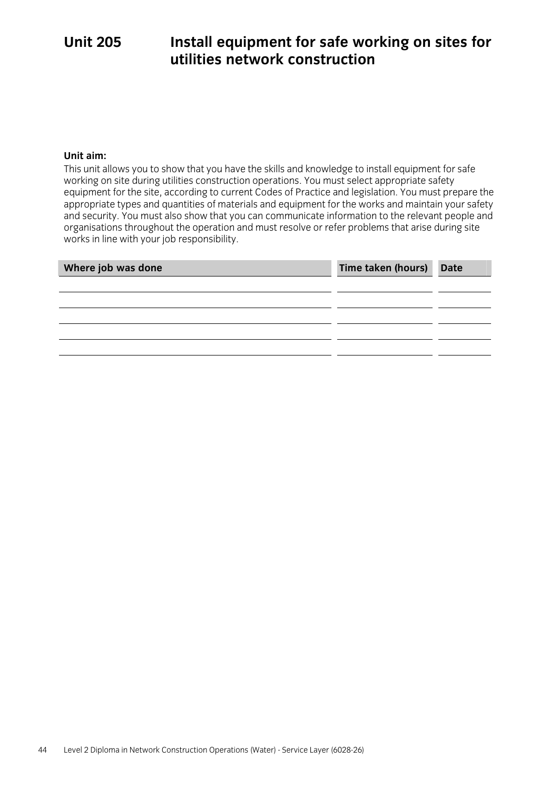# **Unit 205 Install equipment for safe working on sites for utilities network construction**

#### **Unit aim:**

This unit allows you to show that you have the skills and knowledge to install equipment for safe working on site during utilities construction operations. You must select appropriate safety equipment for the site, according to current Codes of Practice and legislation. You must prepare the appropriate types and quantities of materials and equipment for the works and maintain your safety and security. You must also show that you can communicate information to the relevant people and organisations throughout the operation and must resolve or refer problems that arise during site works in line with your job responsibility.

| Where job was done | Time taken (hours) Date |  |
|--------------------|-------------------------|--|
|                    |                         |  |
|                    |                         |  |
|                    |                         |  |
|                    |                         |  |
|                    |                         |  |
|                    |                         |  |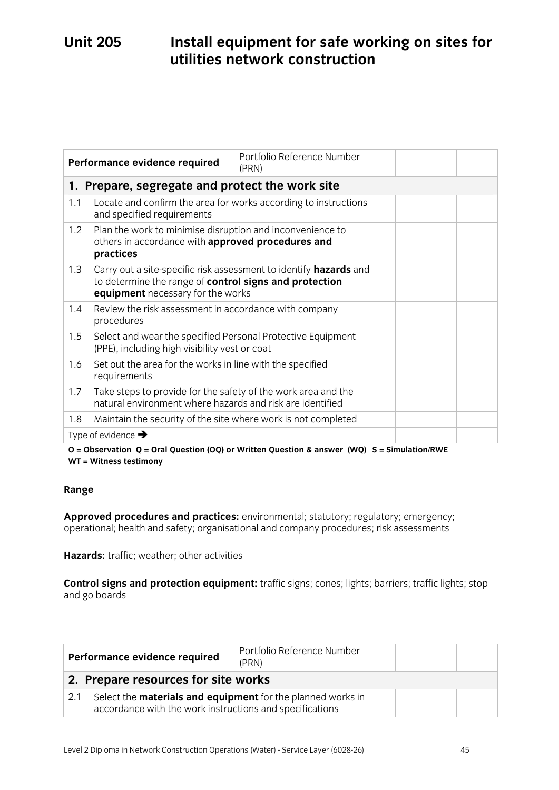# **Unit 205 Install equipment for safe working on sites for utilities network construction**

|     | Performance evidence required                                                                                                                                           | Portfolio Reference Number<br>(PRN) |  |  |  |  |  |
|-----|-------------------------------------------------------------------------------------------------------------------------------------------------------------------------|-------------------------------------|--|--|--|--|--|
|     | 1. Prepare, segregate and protect the work site                                                                                                                         |                                     |  |  |  |  |  |
| 1.1 | Locate and confirm the area for works according to instructions<br>and specified requirements                                                                           |                                     |  |  |  |  |  |
| 1.2 | Plan the work to minimise disruption and inconvenience to<br>others in accordance with approved procedures and<br>practices                                             |                                     |  |  |  |  |  |
| 1.3 | Carry out a site-specific risk assessment to identify <b>hazards</b> and<br>to determine the range of control signs and protection<br>equipment necessary for the works |                                     |  |  |  |  |  |
| 1.4 | Review the risk assessment in accordance with company<br>procedures                                                                                                     |                                     |  |  |  |  |  |
| 1.5 | Select and wear the specified Personal Protective Equipment<br>(PPE), including high visibility vest or coat                                                            |                                     |  |  |  |  |  |
| 1.6 | Set out the area for the works in line with the specified<br>requirements                                                                                               |                                     |  |  |  |  |  |
| 1.7 | Take steps to provide for the safety of the work area and the<br>natural environment where hazards and risk are identified                                              |                                     |  |  |  |  |  |
| 1.8 | Maintain the security of the site where work is not completed                                                                                                           |                                     |  |  |  |  |  |
|     | Type of evidence $\rightarrow$                                                                                                                                          |                                     |  |  |  |  |  |

**O = Observation Q = Oral Question (OQ) or Written Question & answer (WQ) S = Simulation/RWE WT = Witness testimony**

### **Range**

**Approved procedures and practices:** environmental; statutory; regulatory; emergency; operational; health and safety; organisational and company procedures; risk assessments

**Hazards:** traffic; weather; other activities

**Control signs and protection equipment:** traffic signs; cones; lights; barriers; traffic lights; stop and go boards

| Performance evidence required |                                                                                                                                | Portfolio Reference Number<br>(PRN) |  |  |  |  |  |  |
|-------------------------------|--------------------------------------------------------------------------------------------------------------------------------|-------------------------------------|--|--|--|--|--|--|
|                               | 2. Prepare resources for site works                                                                                            |                                     |  |  |  |  |  |  |
| 2.1                           | Select the <b>materials and equipment</b> for the planned works in<br>accordance with the work instructions and specifications |                                     |  |  |  |  |  |  |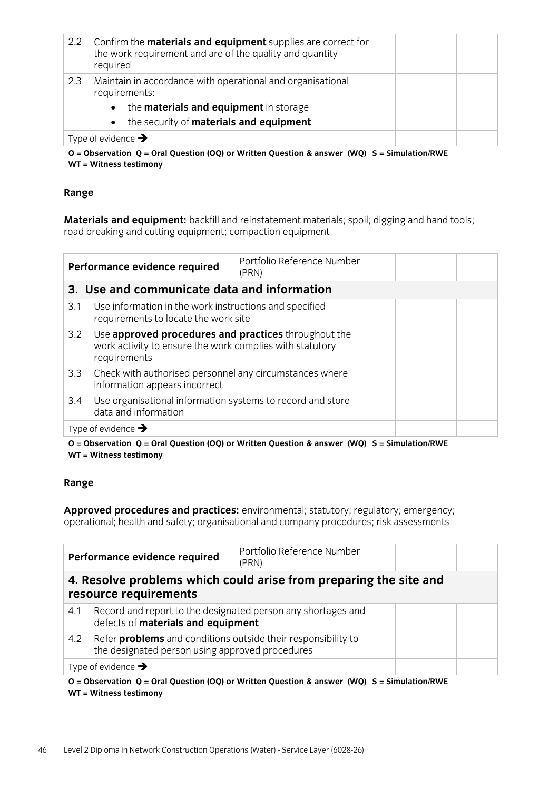| 2.2 | Confirm the <b>materials and equipment</b> supplies are correct for<br>the work requirement and are of the quality and quantity<br>required |  |  |  |  |
|-----|---------------------------------------------------------------------------------------------------------------------------------------------|--|--|--|--|
| 2.3 | Maintain in accordance with operational and organisational<br>requirements:                                                                 |  |  |  |  |
|     | the materials and equipment in storage<br>$\bullet$                                                                                         |  |  |  |  |
|     | the security of materials and equipment<br>$\bullet$                                                                                        |  |  |  |  |
|     | Type of evidence $\rightarrow$                                                                                                              |  |  |  |  |

#### **Range**

**Materials and equipment:** backfill and reinstatement materials; spoil; digging and hand tools; road breaking and cutting equipment; compaction equipment

|     | Performance evidence required                                                                                                    | Portfolio Reference Number<br>(PRN) |  |  |  |  |  |
|-----|----------------------------------------------------------------------------------------------------------------------------------|-------------------------------------|--|--|--|--|--|
|     | 3. Use and communicate data and information                                                                                      |                                     |  |  |  |  |  |
| 3.1 | Use information in the work instructions and specified<br>requirements to locate the work site                                   |                                     |  |  |  |  |  |
| 3.2 | Use approved procedures and practices throughout the<br>work activity to ensure the work complies with statutory<br>requirements |                                     |  |  |  |  |  |
| 3.3 | Check with authorised personnel any circumstances where<br>information appears incorrect                                         |                                     |  |  |  |  |  |
| 3.4 | Use organisational information systems to record and store<br>data and information                                               |                                     |  |  |  |  |  |
|     | Type of evidence $\rightarrow$                                                                                                   |                                     |  |  |  |  |  |

**O = Observation Q = Oral Question (OQ) or Written Question & answer (WQ) S = Simulation/RWE WT = Witness testimony**

### **Range**

**Approved procedures and practices:** environmental; statutory; regulatory; emergency; operational; health and safety; organisational and company procedures; risk assessments

| Performance evidence required                                                              |                                                                                                                  | Portfolio Reference Number<br>(PRN) |  |  |  |  |  |  |
|--------------------------------------------------------------------------------------------|------------------------------------------------------------------------------------------------------------------|-------------------------------------|--|--|--|--|--|--|
| 4. Resolve problems which could arise from preparing the site and<br>resource requirements |                                                                                                                  |                                     |  |  |  |  |  |  |
| 4.1                                                                                        | Record and report to the designated person any shortages and<br>defects of materials and equipment               |                                     |  |  |  |  |  |  |
| 4.2                                                                                        | Refer problems and conditions outside their responsibility to<br>the designated person using approved procedures |                                     |  |  |  |  |  |  |
|                                                                                            | Type of evidence $\rightarrow$                                                                                   |                                     |  |  |  |  |  |  |

**O = Observation Q = Oral Question (OQ) or Written Question & answer (WQ) S = Simulation/RWE WT = Witness testimony**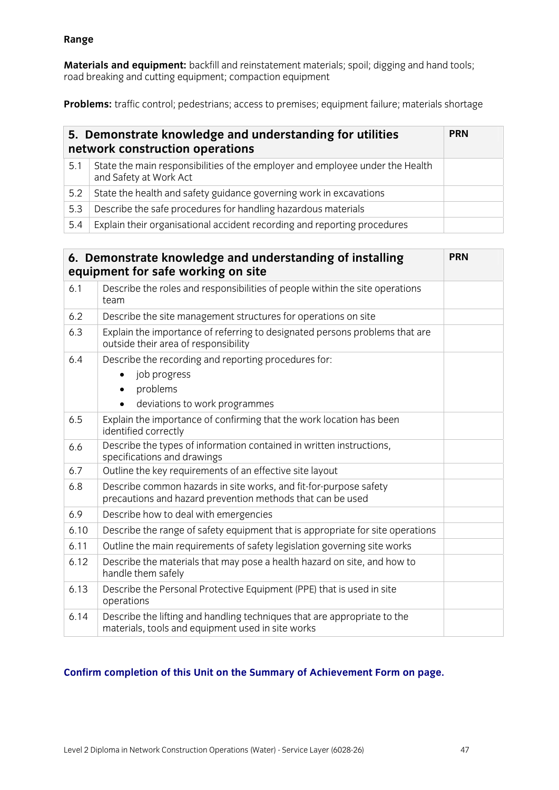**Materials and equipment:** backfill and reinstatement materials; spoil; digging and hand tools; road breaking and cutting equipment; compaction equipment

**Problems:** traffic control; pedestrians; access to premises; equipment failure; materials shortage

|     | 5. Demonstrate knowledge and understanding for utilities<br>network construction operations             | <b>PRN</b> |
|-----|---------------------------------------------------------------------------------------------------------|------------|
| 5.1 | State the main responsibilities of the employer and employee under the Health<br>and Safety at Work Act |            |
| 5.2 | State the health and safety guidance governing work in excavations                                      |            |
| 5.3 | Describe the safe procedures for handling hazardous materials                                           |            |
| 5.4 | Explain their organisational accident recording and reporting procedures                                |            |

|      | 6. Demonstrate knowledge and understanding of installing<br>equipment for safe working on site                                                           | <b>PRN</b> |
|------|----------------------------------------------------------------------------------------------------------------------------------------------------------|------------|
| 6.1  | Describe the roles and responsibilities of people within the site operations<br>team                                                                     |            |
| 6.2  | Describe the site management structures for operations on site                                                                                           |            |
| 6.3  | Explain the importance of referring to designated persons problems that are<br>outside their area of responsibility                                      |            |
| 6.4  | Describe the recording and reporting procedures for:<br>job progress<br>$\bullet$<br>problems<br>$\bullet$<br>deviations to work programmes<br>$\bullet$ |            |
| 6.5  | Explain the importance of confirming that the work location has been<br>identified correctly                                                             |            |
| 6.6  | Describe the types of information contained in written instructions,<br>specifications and drawings                                                      |            |
| 6.7  | Outline the key requirements of an effective site layout                                                                                                 |            |
| 6.8  | Describe common hazards in site works, and fit-for-purpose safety<br>precautions and hazard prevention methods that can be used                          |            |
| 6.9  | Describe how to deal with emergencies                                                                                                                    |            |
| 6.10 | Describe the range of safety equipment that is appropriate for site operations                                                                           |            |
| 6.11 | Outline the main requirements of safety legislation governing site works                                                                                 |            |
| 6.12 | Describe the materials that may pose a health hazard on site, and how to<br>handle them safely                                                           |            |
| 6.13 | Describe the Personal Protective Equipment (PPE) that is used in site<br>operations                                                                      |            |
| 6.14 | Describe the lifting and handling techniques that are appropriate to the<br>materials, tools and equipment used in site works                            |            |

### **Confirm completion of this Unit on the Summary of Achievement Form on page.**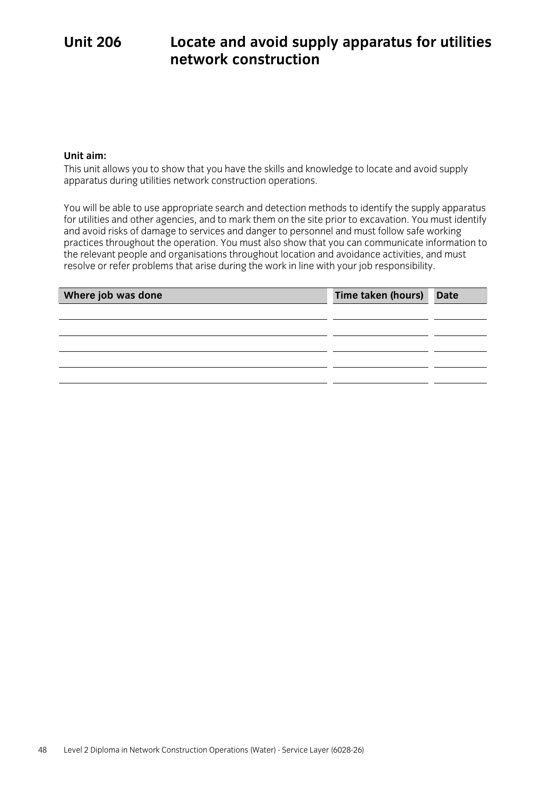## **Unit 206 Locate and avoid supply apparatus for utilities network construction**

#### **Unit aim:**

This unit allows you to show that you have the skills and knowledge to locate and avoid supply apparatus during utilities network construction operations.

You will be able to use appropriate search and detection methods to identify the supply apparatus for utilities and other agencies, and to mark them on the site prior to excavation. You must identify and avoid risks of damage to services and danger to personnel and must follow safe working practices throughout the operation. You must also show that you can communicate information to the relevant people and organisations throughout location and avoidance activities, and must resolve or refer problems that arise during the work in line with your job responsibility.

| Where job was done | Time taken (hours) Date |  |
|--------------------|-------------------------|--|
|                    |                         |  |
|                    |                         |  |
|                    |                         |  |
|                    |                         |  |
|                    |                         |  |
|                    |                         |  |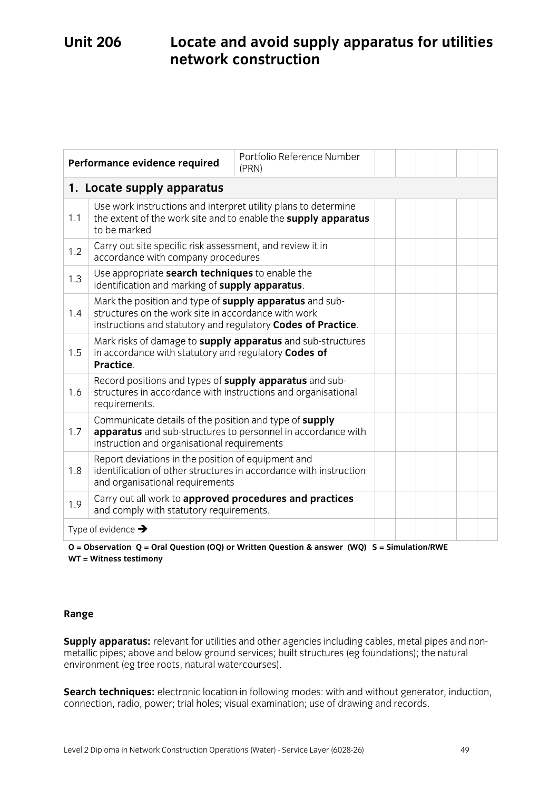## **Unit 206 Locate and avoid supply apparatus for utilities network construction**

|     | Performance evidence required                                                                                                                                                  | Portfolio Reference Number<br>(PRN) |  |  |  |
|-----|--------------------------------------------------------------------------------------------------------------------------------------------------------------------------------|-------------------------------------|--|--|--|
|     | 1. Locate supply apparatus                                                                                                                                                     |                                     |  |  |  |
| 1.1 | Use work instructions and interpret utility plans to determine<br>the extent of the work site and to enable the supply apparatus<br>to be marked                               |                                     |  |  |  |
| 1.2 | Carry out site specific risk assessment, and review it in<br>accordance with company procedures                                                                                |                                     |  |  |  |
| 1.3 | Use appropriate search techniques to enable the<br>identification and marking of supply apparatus.                                                                             |                                     |  |  |  |
| 1.4 | Mark the position and type of supply apparatus and sub-<br>structures on the work site in accordance with work<br>instructions and statutory and regulatory Codes of Practice. |                                     |  |  |  |
| 1.5 | Mark risks of damage to supply apparatus and sub-structures<br>in accordance with statutory and regulatory Codes of<br>Practice.                                               |                                     |  |  |  |
| 1.6 | Record positions and types of supply apparatus and sub-<br>structures in accordance with instructions and organisational<br>requirements.                                      |                                     |  |  |  |
| 1.7 | Communicate details of the position and type of supply<br>apparatus and sub-structures to personnel in accordance with<br>instruction and organisational requirements          |                                     |  |  |  |
| 1.8 | Report deviations in the position of equipment and<br>identification of other structures in accordance with instruction<br>and organisational requirements                     |                                     |  |  |  |
| 1.9 | Carry out all work to approved procedures and practices<br>and comply with statutory requirements.                                                                             |                                     |  |  |  |
|     | Type of evidence $\rightarrow$                                                                                                                                                 |                                     |  |  |  |

**O = Observation Q = Oral Question (OQ) or Written Question & answer (WQ) S = Simulation/RWE WT = Witness testimony**

### **Range**

**Supply apparatus:** relevant for utilities and other agencies including cables, metal pipes and nonmetallic pipes; above and below ground services; built structures (eg foundations); the natural environment (eg tree roots, natural watercourses).

**Search techniques:** electronic location in following modes: with and without generator, induction, connection, radio, power; trial holes; visual examination; use of drawing and records.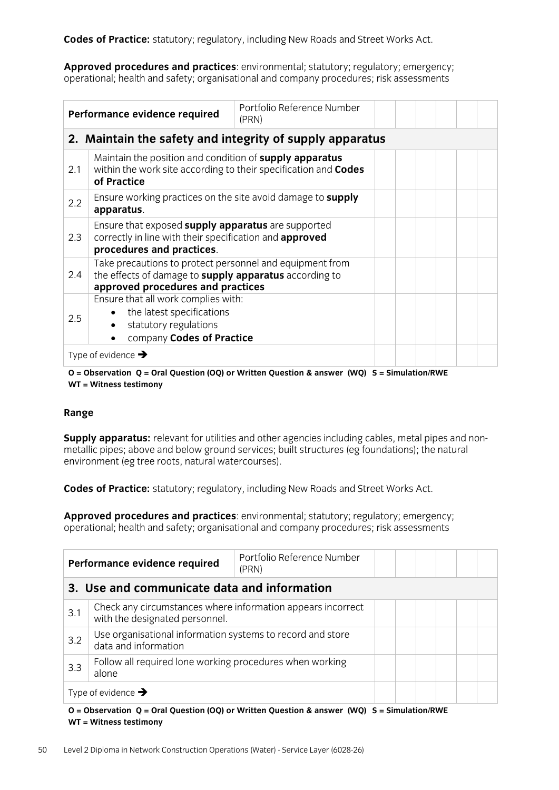**Codes of Practice:** statutory; regulatory, including New Roads and Street Works Act.

**Approved procedures and practices**: environmental; statutory; regulatory; emergency; operational; health and safety; organisational and company procedures; risk assessments

|     | Performance evidence required                                                                                                                           | Portfolio Reference Number<br>(PRN) |  |  |  |  |
|-----|---------------------------------------------------------------------------------------------------------------------------------------------------------|-------------------------------------|--|--|--|--|
|     | 2. Maintain the safety and integrity of supply apparatus                                                                                                |                                     |  |  |  |  |
| 2.1 | Maintain the position and condition of supply apparatus<br>within the work site according to their specification and Codes<br>of Practice               |                                     |  |  |  |  |
| 2.2 | Ensure working practices on the site avoid damage to <b>supply</b><br>apparatus.                                                                        |                                     |  |  |  |  |
| 2.3 | Ensure that exposed supply apparatus are supported<br>correctly in line with their specification and approved<br>procedures and practices.              |                                     |  |  |  |  |
| 2.4 | Take precautions to protect personnel and equipment from<br>the effects of damage to supply apparatus according to<br>approved procedures and practices |                                     |  |  |  |  |
| 2.5 | Ensure that all work complies with:<br>the latest specifications<br>statutory regulations<br>company Codes of Practice                                  |                                     |  |  |  |  |
|     | Type of evidence $\rightarrow$                                                                                                                          |                                     |  |  |  |  |

**O = Observation Q = Oral Question (OQ) or Written Question & answer (WQ) S = Simulation/RWE WT = Witness testimony**

### **Range**

**Supply apparatus:** relevant for utilities and other agencies including cables, metal pipes and nonmetallic pipes; above and below ground services; built structures (eg foundations); the natural environment (eg tree roots, natural watercourses).

**Codes of Practice:** statutory; regulatory, including New Roads and Street Works Act.

**Approved procedures and practices**: environmental; statutory; regulatory; emergency; operational; health and safety; organisational and company procedures; risk assessments

|     | Performance evidence required                                                                 | Portfolio Reference Number<br>(PRN) |  |  |  |  |  |  |
|-----|-----------------------------------------------------------------------------------------------|-------------------------------------|--|--|--|--|--|--|
|     | 3. Use and communicate data and information                                                   |                                     |  |  |  |  |  |  |
| 3.1 | Check any circumstances where information appears incorrect<br>with the designated personnel. |                                     |  |  |  |  |  |  |
| 3.2 | Use organisational information systems to record and store<br>data and information            |                                     |  |  |  |  |  |  |
| 3.3 | Follow all required lone working procedures when working<br>alone                             |                                     |  |  |  |  |  |  |
|     | Type of evidence $\rightarrow$                                                                |                                     |  |  |  |  |  |  |

**O = Observation Q = Oral Question (OQ) or Written Question & answer (WQ) S = Simulation/RWE WT = Witness testimony**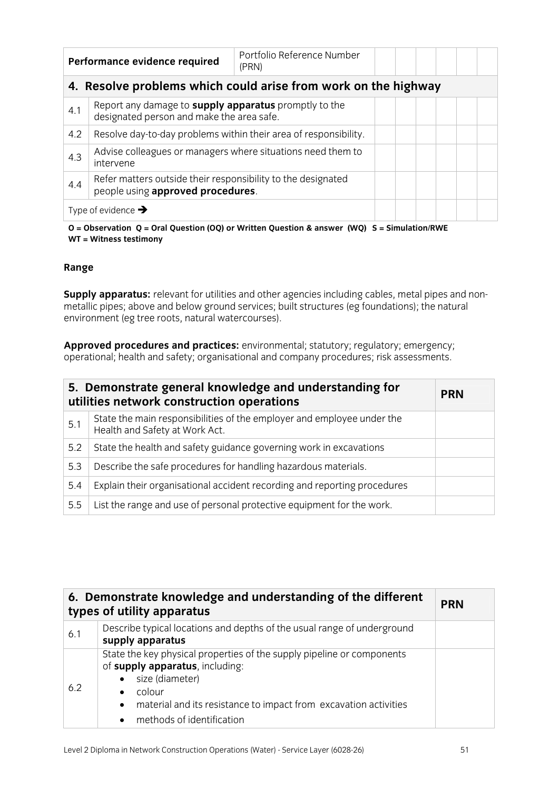|     | Performance evidence required                                                                      | Portfolio Reference Number<br>(PRN) |  |  |  |  |  |  |
|-----|----------------------------------------------------------------------------------------------------|-------------------------------------|--|--|--|--|--|--|
|     | 4. Resolve problems which could arise from work on the highway                                     |                                     |  |  |  |  |  |  |
| 4.1 | Report any damage to supply apparatus promptly to the<br>designated person and make the area safe. |                                     |  |  |  |  |  |  |
| 4.2 | Resolve day-to-day problems within their area of responsibility.                                   |                                     |  |  |  |  |  |  |
| 4.3 | Advise colleagues or managers where situations need them to<br>intervene                           |                                     |  |  |  |  |  |  |
| 4.4 | Refer matters outside their responsibility to the designated<br>people using approved procedures.  |                                     |  |  |  |  |  |  |
|     | Type of evidence $\rightarrow$                                                                     |                                     |  |  |  |  |  |  |

### **Range**

**Supply apparatus:** relevant for utilities and other agencies including cables, metal pipes and nonmetallic pipes; above and below ground services; built structures (eg foundations); the natural metallic pipes; above and below ground services; built structures (eg foundations); the natural environment (eg tree roots, natural watercourses).

**Approved procedures and practices:** environmental; statutory; regulatory; emergency; operational; health and safety; organisational and company procedures; risk assessments.

|     | 5. Demonstrate general knowledge and understanding for<br>utilities network construction operations   |  |  |
|-----|-------------------------------------------------------------------------------------------------------|--|--|
| 5.1 | State the main responsibilities of the employer and employee under the Health and Safety at Work Act. |  |  |
| 5.2 | State the health and safety guidance governing work in excavations                                    |  |  |
| 5.3 | Describe the safe procedures for handling hazardous materials.                                        |  |  |
| 5.4 | Explain their organisational accident recording and reporting procedures                              |  |  |
| 5.5 | List the range and use of personal protective equipment for the work.                                 |  |  |

| 6. Demonstrate knowledge and understanding of the different<br>types of utility apparatus |                                                                                                                                                                                                                                                                                             |  |
|-------------------------------------------------------------------------------------------|---------------------------------------------------------------------------------------------------------------------------------------------------------------------------------------------------------------------------------------------------------------------------------------------|--|
| 6.1                                                                                       | Describe typical locations and depths of the usual range of underground<br>supply apparatus                                                                                                                                                                                                 |  |
| 6.2                                                                                       | State the key physical properties of the supply pipeline or components<br>of supply apparatus, including:<br>size (diameter)<br>$\bullet$<br>colour<br>$\bullet$<br>material and its resistance to impact from excavation activities<br>$\bullet$<br>methods of identification<br>$\bullet$ |  |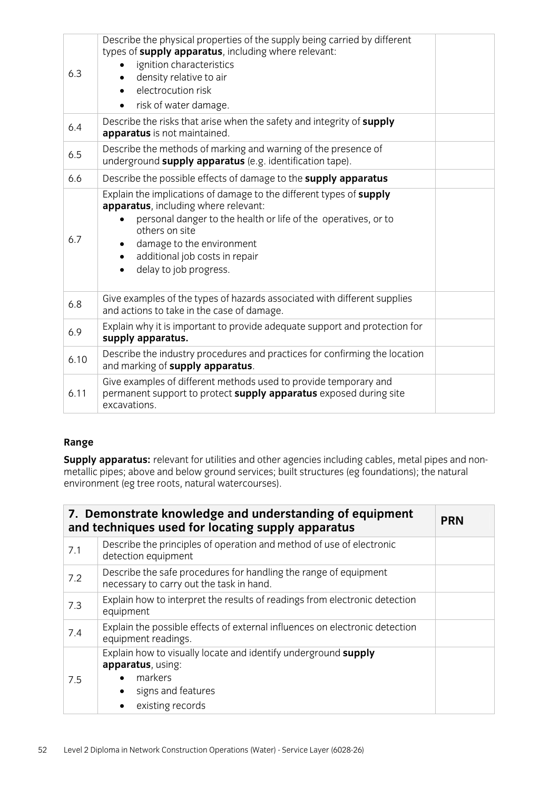| 6.3  | Describe the physical properties of the supply being carried by different<br>types of supply apparatus, including where relevant:<br>ignition characteristics<br>density relative to air<br>electrocution risk<br>$\bullet$<br>risk of water damage.<br>$\bullet$                                     |  |
|------|-------------------------------------------------------------------------------------------------------------------------------------------------------------------------------------------------------------------------------------------------------------------------------------------------------|--|
| 6.4  | Describe the risks that arise when the safety and integrity of supply<br>apparatus is not maintained.                                                                                                                                                                                                 |  |
| 6.5  | Describe the methods of marking and warning of the presence of<br>underground supply apparatus (e.g. identification tape).                                                                                                                                                                            |  |
| 6.6  | Describe the possible effects of damage to the supply apparatus                                                                                                                                                                                                                                       |  |
| 6.7  | Explain the implications of damage to the different types of supply<br>apparatus, including where relevant:<br>personal danger to the health or life of the operatives, or to<br>others on site<br>damage to the environment<br>additional job costs in repair<br>delay to job progress.<br>$\bullet$ |  |
| 6.8  | Give examples of the types of hazards associated with different supplies<br>and actions to take in the case of damage.                                                                                                                                                                                |  |
| 6.9  | Explain why it is important to provide adequate support and protection for<br>supply apparatus.                                                                                                                                                                                                       |  |
| 6.10 | Describe the industry procedures and practices for confirming the location<br>and marking of supply apparatus.                                                                                                                                                                                        |  |
| 6.11 | Give examples of different methods used to provide temporary and<br>permanent support to protect supply apparatus exposed during site<br>excavations.                                                                                                                                                 |  |

**Supply apparatus:** relevant for utilities and other agencies including cables, metal pipes and nonmetallic pipes; above and below ground services; built structures (eg foundations); the natural environment (eg tree roots, natural watercourses).

| 7. Demonstrate knowledge and understanding of equipment<br>and techniques used for locating supply apparatus |                                                                                                                                                       |  |
|--------------------------------------------------------------------------------------------------------------|-------------------------------------------------------------------------------------------------------------------------------------------------------|--|
| 7.1                                                                                                          | Describe the principles of operation and method of use of electronic<br>detection equipment                                                           |  |
| 7.2                                                                                                          | Describe the safe procedures for handling the range of equipment<br>necessary to carry out the task in hand.                                          |  |
| 7.3                                                                                                          | Explain how to interpret the results of readings from electronic detection<br>equipment                                                               |  |
| 7.4                                                                                                          | Explain the possible effects of external influences on electronic detection<br>equipment readings.                                                    |  |
| 7.5                                                                                                          | Explain how to visually locate and identify underground supply<br>apparatus, using:<br>markers<br>signs and features<br>$\bullet$<br>existing records |  |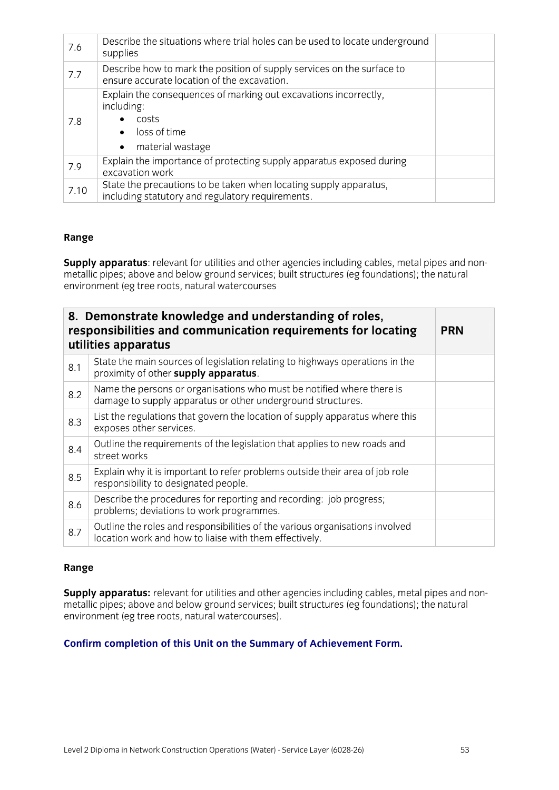| 7.6  | Describe the situations where trial holes can be used to locate underground<br>supplies                                                               |  |
|------|-------------------------------------------------------------------------------------------------------------------------------------------------------|--|
| 7.7  | Describe how to mark the position of supply services on the surface to<br>ensure accurate location of the excavation.                                 |  |
| 7.8  | Explain the consequences of marking out excavations incorrectly,<br>including:<br>costs<br>loss of time<br>$\bullet$<br>material wastage<br>$\bullet$ |  |
| 7.9  | Explain the importance of protecting supply apparatus exposed during<br>excavation work                                                               |  |
| 7.10 | State the precautions to be taken when locating supply apparatus,<br>including statutory and regulatory requirements.                                 |  |

**Supply apparatus**: relevant for utilities and other agencies including cables, metal pipes and nonmetallic pipes; above and below ground services; built structures (eg foundations); the natural environment (eg tree roots, natural watercourses

| 8. Demonstrate knowledge and understanding of roles,<br>responsibilities and communication requirements for locating<br>utilities apparatus |                                                                                                                                        |  |
|---------------------------------------------------------------------------------------------------------------------------------------------|----------------------------------------------------------------------------------------------------------------------------------------|--|
| 8.1                                                                                                                                         | State the main sources of legislation relating to highways operations in the<br>proximity of other supply apparatus.                   |  |
| 8.2                                                                                                                                         | Name the persons or organisations who must be notified where there is<br>damage to supply apparatus or other underground structures.   |  |
| 8.3                                                                                                                                         | List the regulations that govern the location of supply apparatus where this<br>exposes other services.                                |  |
| 8.4                                                                                                                                         | Outline the requirements of the legislation that applies to new roads and<br>street works                                              |  |
| 8.5                                                                                                                                         | Explain why it is important to refer problems outside their area of job role<br>responsibility to designated people.                   |  |
| 8.6                                                                                                                                         | Describe the procedures for reporting and recording: job progress;<br>problems; deviations to work programmes.                         |  |
| 8.7                                                                                                                                         | Outline the roles and responsibilities of the various organisations involved<br>location work and how to liaise with them effectively. |  |

### **Range**

**Supply apparatus:** relevant for utilities and other agencies including cables, metal pipes and nonmetallic pipes; above and below ground services; built structures (eg foundations); the natural environment (eg tree roots, natural watercourses).

### **Confirm completion of this Unit on the Summary of Achievement Form.**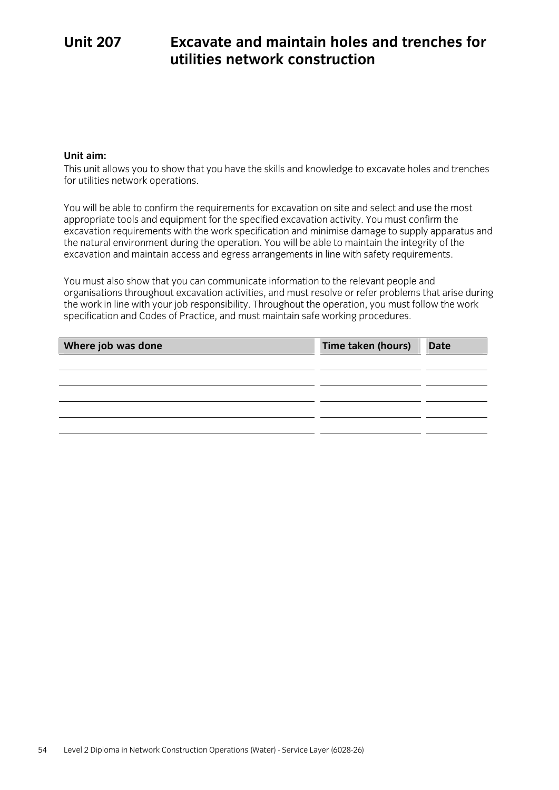### **Unit 207 Excavate and maintain holes and trenches for utilities network construction**

#### **Unit aim:**

This unit allows you to show that you have the skills and knowledge to excavate holes and trenches for utilities network operations.

You will be able to confirm the requirements for excavation on site and select and use the most appropriate tools and equipment for the specified excavation activity. You must confirm the excavation requirements with the work specification and minimise damage to supply apparatus and the natural environment during the operation. You will be able to maintain the integrity of the excavation and maintain access and egress arrangements in line with safety requirements.

You must also show that you can communicate information to the relevant people and organisations throughout excavation activities, and must resolve or refer problems that arise during the work in line with your job responsibility. Throughout the operation, you must follow the work specification and Codes of Practice, and must maintain safe working procedures.

| Where job was done | <b>Time taken (hours)</b> | <b>Date</b> |
|--------------------|---------------------------|-------------|
|                    |                           |             |
|                    |                           |             |
|                    |                           |             |
|                    |                           |             |
|                    |                           |             |
|                    |                           |             |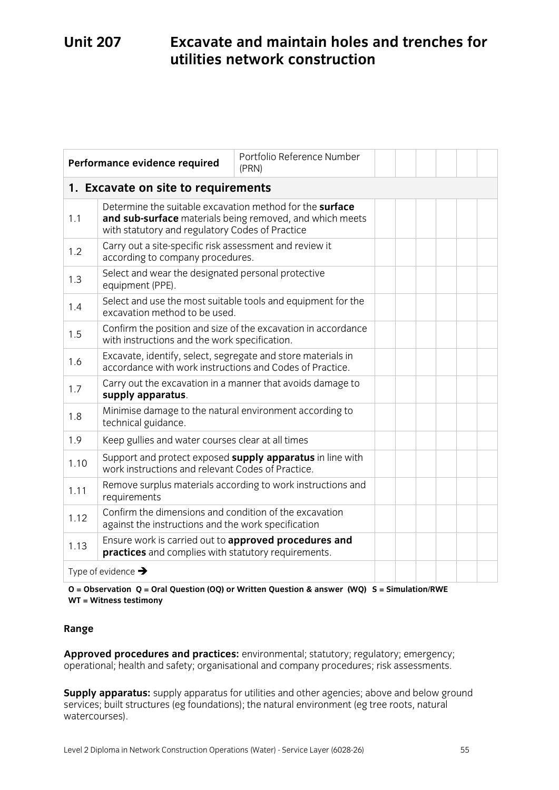# **Unit 207 Excavate and maintain holes and trenches for utilities network construction**

| Performance evidence required  |                                                                                                                          | Portfolio Reference Number<br>(PRN)                         |  |  |  |  |
|--------------------------------|--------------------------------------------------------------------------------------------------------------------------|-------------------------------------------------------------|--|--|--|--|
|                                | 1. Excavate on site to requirements                                                                                      |                                                             |  |  |  |  |
| 1.1                            | Determine the suitable excavation method for the surface<br>with statutory and regulatory Codes of Practice              | and sub-surface materials being removed, and which meets    |  |  |  |  |
| 1.2                            | Carry out a site-specific risk assessment and review it<br>according to company procedures.                              |                                                             |  |  |  |  |
| 1.3                            | Select and wear the designated personal protective<br>equipment (PPE).                                                   |                                                             |  |  |  |  |
| 1.4                            | Select and use the most suitable tools and equipment for the<br>excavation method to be used.                            |                                                             |  |  |  |  |
| 1.5                            | Confirm the position and size of the excavation in accordance<br>with instructions and the work specification.           |                                                             |  |  |  |  |
| 1.6                            | Excavate, identify, select, segregate and store materials in<br>accordance with work instructions and Codes of Practice. |                                                             |  |  |  |  |
| 1.7                            | Carry out the excavation in a manner that avoids damage to<br>supply apparatus.                                          |                                                             |  |  |  |  |
| 1.8                            | Minimise damage to the natural environment according to<br>technical guidance.                                           |                                                             |  |  |  |  |
| 1.9                            | Keep gullies and water courses clear at all times                                                                        |                                                             |  |  |  |  |
| 1.10                           | Support and protect exposed supply apparatus in line with<br>work instructions and relevant Codes of Practice.           |                                                             |  |  |  |  |
| 1.11                           | requirements                                                                                                             | Remove surplus materials according to work instructions and |  |  |  |  |
| 1.12                           | Confirm the dimensions and condition of the excavation<br>against the instructions and the work specification            |                                                             |  |  |  |  |
| 1.13                           | Ensure work is carried out to approved procedures and<br>practices and complies with statutory requirements.             |                                                             |  |  |  |  |
| Type of evidence $\rightarrow$ |                                                                                                                          |                                                             |  |  |  |  |

**O = Observation Q = Oral Question (OQ) or Written Question & answer (WQ) S = Simulation/RWE WT = Witness testimony**

### **Range**

**Approved procedures and practices:** environmental; statutory; regulatory; emergency; operational; health and safety; organisational and company procedures; risk assessments.

**Supply apparatus:** supply apparatus for utilities and other agencies; above and below ground services; built structures (eg foundations); the natural environment (eg tree roots, natural watercourses).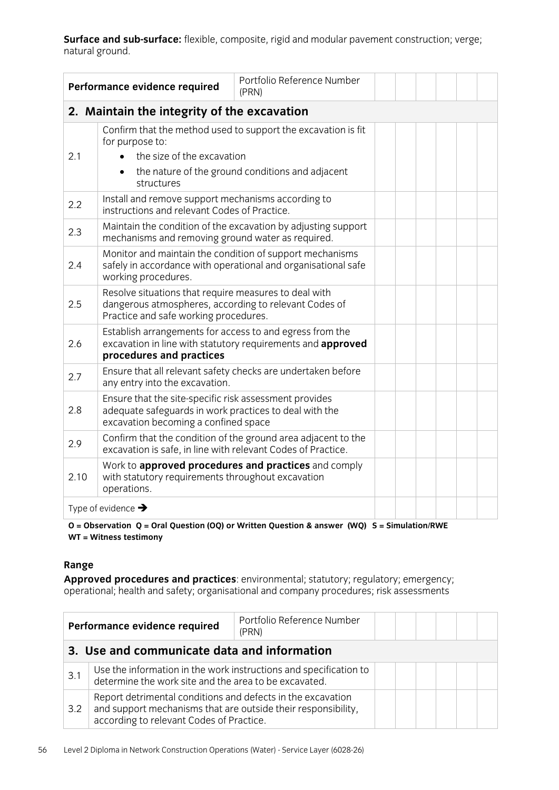**Surface and sub-surface:** flexible, composite, rigid and modular pavement construction; verge; natural ground.

|      | Performance evidence required<br>(PRN)                                                                                                                   | Portfolio Reference Number |  |  |  |
|------|----------------------------------------------------------------------------------------------------------------------------------------------------------|----------------------------|--|--|--|
|      | 2. Maintain the integrity of the excavation                                                                                                              |                            |  |  |  |
|      | Confirm that the method used to support the excavation is fit<br>for purpose to:                                                                         |                            |  |  |  |
| 2.1  | the size of the excavation                                                                                                                               |                            |  |  |  |
|      | the nature of the ground conditions and adjacent<br>structures                                                                                           |                            |  |  |  |
| 2.2  | Install and remove support mechanisms according to<br>instructions and relevant Codes of Practice.                                                       |                            |  |  |  |
| 2.3  | Maintain the condition of the excavation by adjusting support<br>mechanisms and removing ground water as required.                                       |                            |  |  |  |
| 2.4  | Monitor and maintain the condition of support mechanisms<br>safely in accordance with operational and organisational safe<br>working procedures.         |                            |  |  |  |
| 2.5  | Resolve situations that require measures to deal with<br>dangerous atmospheres, according to relevant Codes of<br>Practice and safe working procedures.  |                            |  |  |  |
| 2.6  | Establish arrangements for access to and egress from the<br>excavation in line with statutory requirements and approved<br>procedures and practices      |                            |  |  |  |
| 2.7  | Ensure that all relevant safety checks are undertaken before<br>any entry into the excavation.                                                           |                            |  |  |  |
| 2.8  | Ensure that the site-specific risk assessment provides<br>adequate safeguards in work practices to deal with the<br>excavation becoming a confined space |                            |  |  |  |
| 2.9  | Confirm that the condition of the ground area adjacent to the<br>excavation is safe, in line with relevant Codes of Practice.                            |                            |  |  |  |
| 2.10 | Work to approved procedures and practices and comply<br>with statutory requirements throughout excavation<br>operations.                                 |                            |  |  |  |
|      | Type of evidence $\rightarrow$                                                                                                                           |                            |  |  |  |

**O = Observation Q = Oral Question (OQ) or Written Question & answer (WQ) S = Simulation/RWE WT = Witness testimony**

### **Range**

**Approved procedures and practices**: environmental; statutory; regulatory; emergency; operational; health and safety; organisational and company procedures; risk assessments

|     | Performance evidence required                                                                                                                                            | Portfolio Reference Number<br>(PRN) |  |  |  |  |  |
|-----|--------------------------------------------------------------------------------------------------------------------------------------------------------------------------|-------------------------------------|--|--|--|--|--|
|     | 3. Use and communicate data and information                                                                                                                              |                                     |  |  |  |  |  |
| 3.1 | Use the information in the work instructions and specification to<br>determine the work site and the area to be excavated.                                               |                                     |  |  |  |  |  |
| 3.2 | Report detrimental conditions and defects in the excavation<br>and support mechanisms that are outside their responsibility,<br>according to relevant Codes of Practice. |                                     |  |  |  |  |  |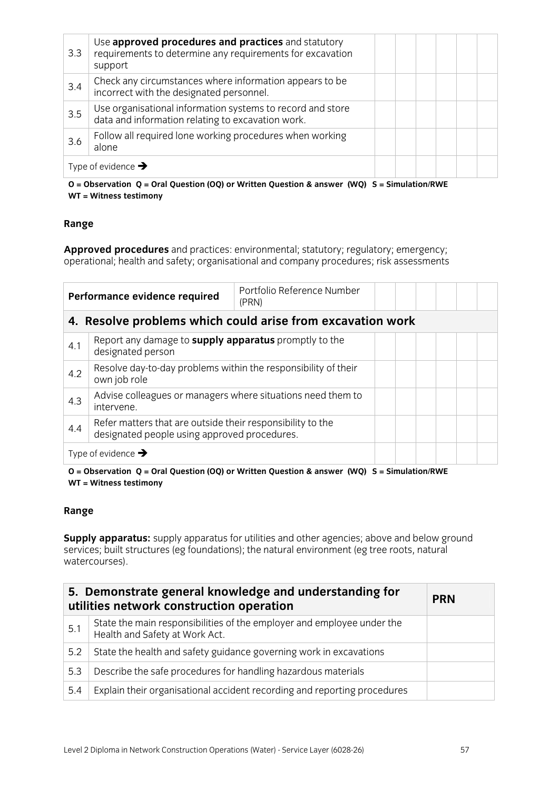| 3.3 | Use approved procedures and practices and statutory<br>requirements to determine any requirements for excavation<br>support |  |  |  |
|-----|-----------------------------------------------------------------------------------------------------------------------------|--|--|--|
| 3.4 | Check any circumstances where information appears to be<br>incorrect with the designated personnel.                         |  |  |  |
| 3.5 | Use organisational information systems to record and store<br>data and information relating to excavation work.             |  |  |  |
| 3.6 | Follow all required lone working procedures when working<br>alone                                                           |  |  |  |
|     | Type of evidence $\rightarrow$                                                                                              |  |  |  |

#### **Range**

**Approved procedures** and practices: environmental; statutory; regulatory; emergency; operational; health and safety; organisational and company procedures; risk assessments

| Performance evidence required |                                                                                                            | Portfolio Reference Number<br>(PRN) |  |  |  |  |  |
|-------------------------------|------------------------------------------------------------------------------------------------------------|-------------------------------------|--|--|--|--|--|
|                               | 4. Resolve problems which could arise from excavation work                                                 |                                     |  |  |  |  |  |
| 4.1                           | Report any damage to supply apparatus promptly to the<br>designated person                                 |                                     |  |  |  |  |  |
| 4.2                           | Resolve day-to-day problems within the responsibility of their<br>own job role                             |                                     |  |  |  |  |  |
| 4.3                           | Advise colleagues or managers where situations need them to<br>intervene.                                  |                                     |  |  |  |  |  |
| 4.4                           | Refer matters that are outside their responsibility to the<br>designated people using approved procedures. |                                     |  |  |  |  |  |
|                               | Type of evidence $\rightarrow$                                                                             |                                     |  |  |  |  |  |

**O = Observation Q = Oral Question (OQ) or Written Question & answer (WQ) S = Simulation/RWE WT = Witness testimony**

#### **Range**

**Supply apparatus:** supply apparatus for utilities and other agencies; above and below ground services; built structures (eg foundations); the natural environment (eg tree roots, natural watercourses).

| 5. Demonstrate general knowledge and understanding for<br>utilities network construction operation | <b>PRN</b>                                                                                            |  |
|----------------------------------------------------------------------------------------------------|-------------------------------------------------------------------------------------------------------|--|
| 5.1                                                                                                | State the main responsibilities of the employer and employee under the Health and Safety at Work Act. |  |
| 5.2                                                                                                | State the health and safety guidance governing work in excavations                                    |  |
| 5.3                                                                                                | Describe the safe procedures for handling hazardous materials                                         |  |
| 5.4                                                                                                | Explain their organisational accident recording and reporting procedures                              |  |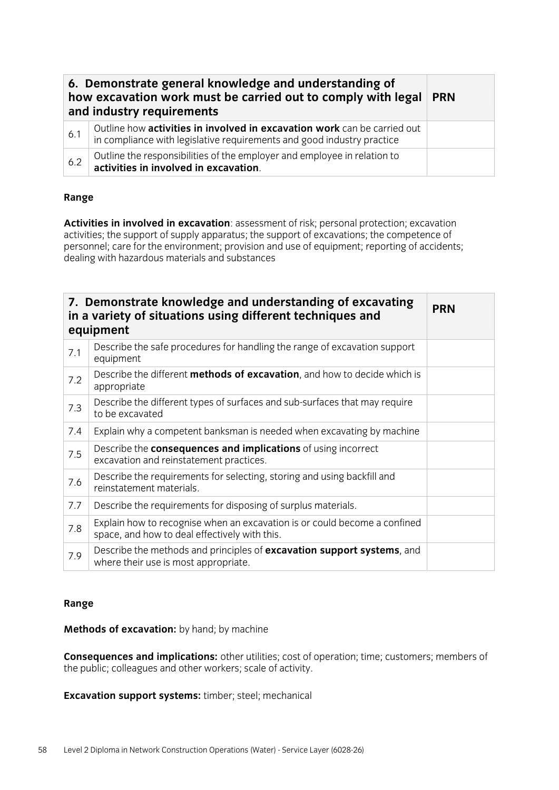|     | 6. Demonstrate general knowledge and understanding of<br>how excavation work must be carried out to comply with legal<br>and industry requirements     | <b>PRN</b> |
|-----|--------------------------------------------------------------------------------------------------------------------------------------------------------|------------|
| 6.1 | Outline how <b>activities in involved in excavation work</b> can be carried out in compliance with legislative requirements and good industry practice |            |
| 6.2 | Outline the responsibilities of the employer and employee in relation to activities in involved in excavation.                                         |            |

**Activities in involved in excavation**: assessment of risk; personal protection; excavation activities; the support of supply apparatus; the support of excavations; the competence of personnel; care for the environment; provision and use of equipment; reporting of accidents; dealing with hazardous materials and substances

| 7. Demonstrate knowledge and understanding of excavating<br>in a variety of situations using different techniques and<br>equipment | <b>PRN</b>                                                                                                                 |  |
|------------------------------------------------------------------------------------------------------------------------------------|----------------------------------------------------------------------------------------------------------------------------|--|
| 7.1                                                                                                                                | Describe the safe procedures for handling the range of excavation support<br>equipment                                     |  |
| 7.2                                                                                                                                | Describe the different methods of excavation, and how to decide which is<br>appropriate                                    |  |
| 7.3                                                                                                                                | Describe the different types of surfaces and sub-surfaces that may require<br>to be excavated                              |  |
| 7.4                                                                                                                                | Explain why a competent banksman is needed when excavating by machine                                                      |  |
| 7.5                                                                                                                                | Describe the <b>consequences and implications</b> of using incorrect<br>excavation and reinstatement practices.            |  |
| 7.6                                                                                                                                | Describe the requirements for selecting, storing and using backfill and<br>reinstatement materials.                        |  |
| 7.7                                                                                                                                | Describe the requirements for disposing of surplus materials.                                                              |  |
| 7.8                                                                                                                                | Explain how to recognise when an excavation is or could become a confined<br>space, and how to deal effectively with this. |  |
| 7.9                                                                                                                                | Describe the methods and principles of excavation support systems, and<br>where their use is most appropriate.             |  |

### **Range**

**Methods of excavation:** by hand; by machine

**Consequences and implications:** other utilities; cost of operation; time; customers; members of the public; colleagues and other workers; scale of activity.

**Excavation support systems:** timber; steel; mechanical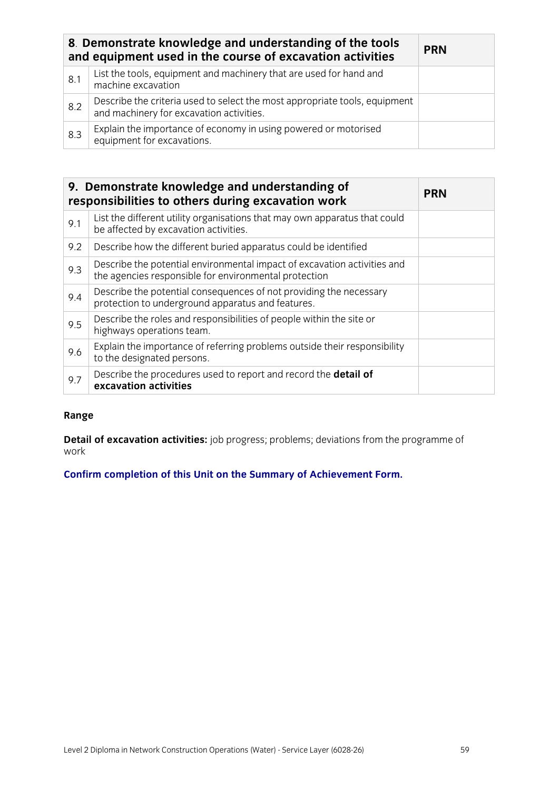| 8. Demonstrate knowledge and understanding of the tools<br>and equipment used in the course of excavation activities | <b>PRN</b>                                                                                                             |  |
|----------------------------------------------------------------------------------------------------------------------|------------------------------------------------------------------------------------------------------------------------|--|
| 8.1                                                                                                                  | List the tools, equipment and machinery that are used for hand and<br>machine excavation                               |  |
| 8.2                                                                                                                  | Describe the criteria used to select the most appropriate tools, equipment<br>and machinery for excavation activities. |  |
| 8.3                                                                                                                  | Explain the importance of economy in using powered or motorised<br>equipment for excavations.                          |  |

|     | 9. Demonstrate knowledge and understanding of<br>responsibilities to others during excavation work                                | <b>PRN</b> |
|-----|-----------------------------------------------------------------------------------------------------------------------------------|------------|
| 9.1 | List the different utility organisations that may own apparatus that could<br>be affected by excavation activities.               |            |
| 9.2 | Describe how the different buried apparatus could be identified                                                                   |            |
| 9.3 | Describe the potential environmental impact of excavation activities and<br>the agencies responsible for environmental protection |            |
| 9.4 | Describe the potential consequences of not providing the necessary<br>protection to underground apparatus and features.           |            |
| 9.5 | Describe the roles and responsibilities of people within the site or<br>highways operations team.                                 |            |
| 9.6 | Explain the importance of referring problems outside their responsibility<br>to the designated persons.                           |            |
| 9.7 | Describe the procedures used to report and record the detail of<br>excavation activities                                          |            |

**Detail of excavation activities:** job progress; problems; deviations from the programme of work

**Confirm completion of this Unit on the Summary of Achievement Form.**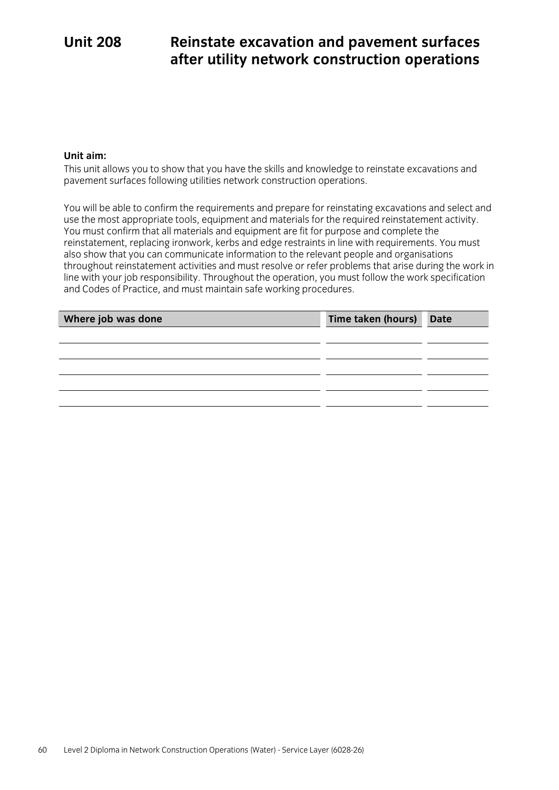## **Unit 208 Reinstate excavation and pavement surfaces after utility network construction operations**

#### **Unit aim:**

This unit allows you to show that you have the skills and knowledge to reinstate excavations and pavement surfaces following utilities network construction operations.

You will be able to confirm the requirements and prepare for reinstating excavations and select and use the most appropriate tools, equipment and materials for the required reinstatement activity. You must confirm that all materials and equipment are fit for purpose and complete the reinstatement, replacing ironwork, kerbs and edge restraints in line with requirements. You must also show that you can communicate information to the relevant people and organisations throughout reinstatement activities and must resolve or refer problems that arise during the work in line with your job responsibility. Throughout the operation, you must follow the work specification and Codes of Practice, and must maintain safe working procedures.

| Where job was done | Time taken (hours) Date |  |
|--------------------|-------------------------|--|
|                    |                         |  |
|                    |                         |  |
|                    |                         |  |
|                    |                         |  |
|                    |                         |  |
|                    |                         |  |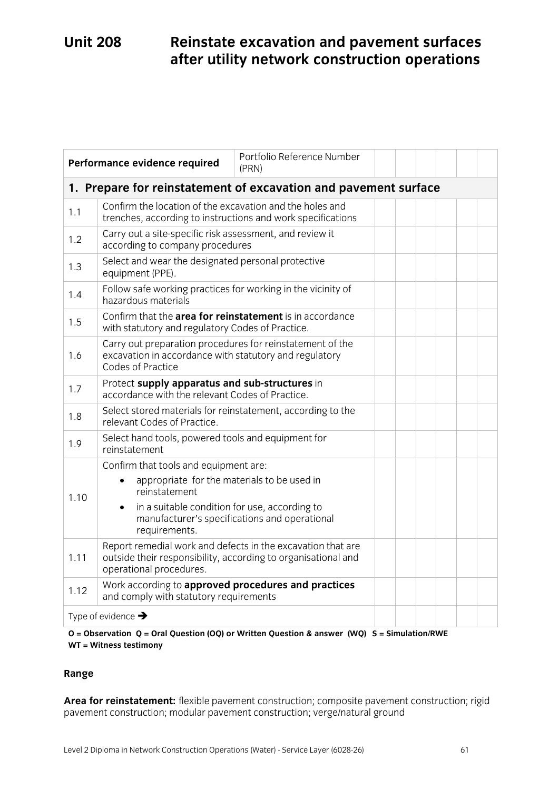# **Unit 208 Reinstate excavation and pavement surfaces after utility network construction operations**

|                                                                 | Performance evidence required                                                                                                                           | Portfolio Reference Number<br>(PRN)           |  |  |  |  |
|-----------------------------------------------------------------|---------------------------------------------------------------------------------------------------------------------------------------------------------|-----------------------------------------------|--|--|--|--|
| 1. Prepare for reinstatement of excavation and pavement surface |                                                                                                                                                         |                                               |  |  |  |  |
| 1.1                                                             | Confirm the location of the excavation and the holes and<br>trenches, according to instructions and work specifications                                 |                                               |  |  |  |  |
| 1.2                                                             | Carry out a site-specific risk assessment, and review it<br>according to company procedures                                                             |                                               |  |  |  |  |
| 1.3                                                             | Select and wear the designated personal protective<br>equipment (PPE).                                                                                  |                                               |  |  |  |  |
| 1.4                                                             | Follow safe working practices for working in the vicinity of<br>hazardous materials                                                                     |                                               |  |  |  |  |
| 1.5                                                             | Confirm that the area for reinstatement is in accordance<br>with statutory and regulatory Codes of Practice.                                            |                                               |  |  |  |  |
| 1.6                                                             | Carry out preparation procedures for reinstatement of the<br>excavation in accordance with statutory and regulatory<br>Codes of Practice                |                                               |  |  |  |  |
| 1.7                                                             | Protect supply apparatus and sub-structures in<br>accordance with the relevant Codes of Practice.                                                       |                                               |  |  |  |  |
| 1.8                                                             | Select stored materials for reinstatement, according to the<br>relevant Codes of Practice.                                                              |                                               |  |  |  |  |
| 1.9                                                             | Select hand tools, powered tools and equipment for<br>reinstatement                                                                                     |                                               |  |  |  |  |
|                                                                 | Confirm that tools and equipment are:                                                                                                                   |                                               |  |  |  |  |
| 1.10                                                            | appropriate for the materials to be used in<br>$\bullet$<br>reinstatement                                                                               |                                               |  |  |  |  |
|                                                                 | in a suitable condition for use, according to<br>$\bullet$<br>requirements.                                                                             | manufacturer's specifications and operational |  |  |  |  |
| 1.11                                                            | Report remedial work and defects in the excavation that are<br>outside their responsibility, according to organisational and<br>operational procedures. |                                               |  |  |  |  |
| 1.12                                                            | Work according to approved procedures and practices<br>and comply with statutory requirements                                                           |                                               |  |  |  |  |
|                                                                 | Type of evidence $\rightarrow$                                                                                                                          |                                               |  |  |  |  |

**O = Observation Q = Oral Question (OQ) or Written Question & answer (WQ) S = Simulation/RWE WT = Witness testimony**

### **Range**

Area for reinstatement: flexible pavement construction; composite pavement construction; rigid pavement construction; modular pavement construction; verge/natural ground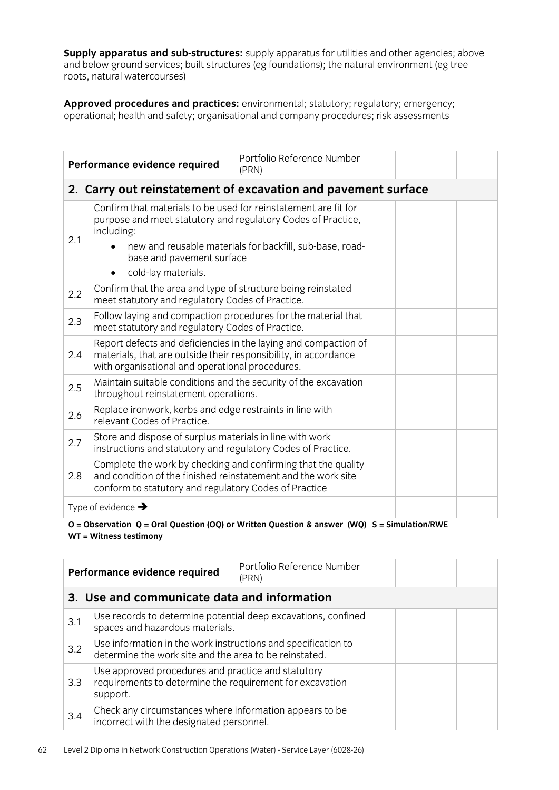**Supply apparatus and sub-structures:** supply apparatus for utilities and other agencies; above and below ground services; built structures (eg foundations); the natural environment (eg tree roots, natural watercourses)

**Approved procedures and practices:** environmental; statutory; regulatory; emergency; operational; health and safety; organisational and company procedures; risk assessments

| Performance evidence required |                                                                                                                                                                                         | Portfolio Reference Number<br>(PRN)                      |  |  |  |  |
|-------------------------------|-----------------------------------------------------------------------------------------------------------------------------------------------------------------------------------------|----------------------------------------------------------|--|--|--|--|
|                               | 2. Carry out reinstatement of excavation and pavement surface                                                                                                                           |                                                          |  |  |  |  |
| 2.1                           | Confirm that materials to be used for reinstatement are fit for<br>purpose and meet statutory and regulatory Codes of Practice,<br>including:                                           |                                                          |  |  |  |  |
|                               | base and pavement surface                                                                                                                                                               | new and reusable materials for backfill, sub-base, road- |  |  |  |  |
|                               | cold-lay materials.                                                                                                                                                                     |                                                          |  |  |  |  |
| 2.2                           | Confirm that the area and type of structure being reinstated<br>meet statutory and regulatory Codes of Practice.                                                                        |                                                          |  |  |  |  |
| 2.3                           | Follow laying and compaction procedures for the material that<br>meet statutory and regulatory Codes of Practice.                                                                       |                                                          |  |  |  |  |
| 2.4                           | Report defects and deficiencies in the laying and compaction of<br>materials, that are outside their responsibility, in accordance<br>with organisational and operational procedures.   |                                                          |  |  |  |  |
| 2.5                           | Maintain suitable conditions and the security of the excavation<br>throughout reinstatement operations.                                                                                 |                                                          |  |  |  |  |
| 2.6                           | Replace ironwork, kerbs and edge restraints in line with<br>relevant Codes of Practice.                                                                                                 |                                                          |  |  |  |  |
| 2.7                           | Store and dispose of surplus materials in line with work<br>instructions and statutory and regulatory Codes of Practice.                                                                |                                                          |  |  |  |  |
| 2.8                           | Complete the work by checking and confirming that the quality<br>and condition of the finished reinstatement and the work site<br>conform to statutory and regulatory Codes of Practice |                                                          |  |  |  |  |
|                               | Type of evidence $\rightarrow$                                                                                                                                                          |                                                          |  |  |  |  |

**O = Observation Q = Oral Question (OQ) or Written Question & answer (WQ) S = Simulation/RWE WT = Witness testimony**

|     | Performance evidence required                                                                                              | Portfolio Reference Number<br>(PRN) |  |  |  |  |  |  |
|-----|----------------------------------------------------------------------------------------------------------------------------|-------------------------------------|--|--|--|--|--|--|
|     | 3. Use and communicate data and information                                                                                |                                     |  |  |  |  |  |  |
| 3.1 | Use records to determine potential deep excavations, confined<br>spaces and hazardous materials.                           |                                     |  |  |  |  |  |  |
| 3.2 | Use information in the work instructions and specification to<br>determine the work site and the area to be reinstated.    |                                     |  |  |  |  |  |  |
| 3.3 | Use approved procedures and practice and statutory<br>requirements to determine the requirement for excavation<br>support. |                                     |  |  |  |  |  |  |
| 3.4 | Check any circumstances where information appears to be<br>incorrect with the designated personnel.                        |                                     |  |  |  |  |  |  |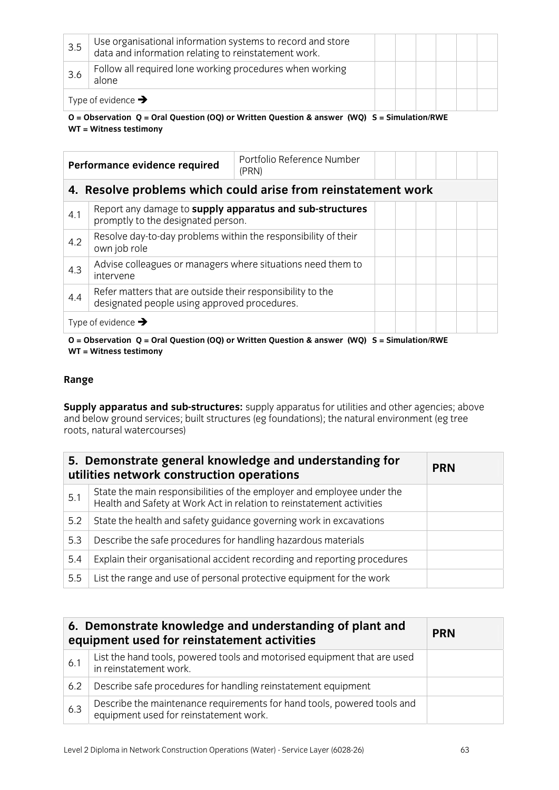| 3.5                            | Use organisational information systems to record and store<br>data and information relating to reinstatement work. |  |  |  |
|--------------------------------|--------------------------------------------------------------------------------------------------------------------|--|--|--|
| 3.6                            | Follow all required lone working procedures when working<br>alone                                                  |  |  |  |
| Type of evidence $\rightarrow$ |                                                                                                                    |  |  |  |

|     | Performance evidence required                                                                              | Portfolio Reference Number<br>(PRN) |  |  |  |  |  |  |
|-----|------------------------------------------------------------------------------------------------------------|-------------------------------------|--|--|--|--|--|--|
|     | 4. Resolve problems which could arise from reinstatement work                                              |                                     |  |  |  |  |  |  |
| 4.1 | Report any damage to supply apparatus and sub-structures<br>promptly to the designated person.             |                                     |  |  |  |  |  |  |
| 4.2 | Resolve day-to-day problems within the responsibility of their<br>own job role                             |                                     |  |  |  |  |  |  |
| 4.3 | Advise colleagues or managers where situations need them to<br>intervene                                   |                                     |  |  |  |  |  |  |
| 4.4 | Refer matters that are outside their responsibility to the<br>designated people using approved procedures. |                                     |  |  |  |  |  |  |
|     | Type of evidence $\rightarrow$                                                                             |                                     |  |  |  |  |  |  |

#### **O = Observation Q = Oral Question (OQ) or Written Question & answer (WQ) S = Simulation/RWE WT = Witness testimony**

### **Range**

**Supply apparatus and sub-structures:** supply apparatus for utilities and other agencies; above and below ground services; built structures (eg foundations); the natural environment (eg tree roots, natural watercourses)

|     | 5. Demonstrate general knowledge and understanding for<br>utilities network construction operations                                          | <b>PRN</b> |
|-----|----------------------------------------------------------------------------------------------------------------------------------------------|------------|
| 5.1 | State the main responsibilities of the employer and employee under the Health and Safety at Work Act in relation to reinstatement activities |            |
| 5.2 | State the health and safety guidance governing work in excavations                                                                           |            |
| 5.3 | Describe the safe procedures for handling hazardous materials                                                                                |            |
| 5.4 | Explain their organisational accident recording and reporting procedures                                                                     |            |
| 5.5 | List the range and use of personal protective equipment for the work                                                                         |            |

|     | 6. Demonstrate knowledge and understanding of plant and<br>equipment used for reinstatement activities            | <b>PRN</b> |
|-----|-------------------------------------------------------------------------------------------------------------------|------------|
| 6.1 | List the hand tools, powered tools and motorised equipment that are used<br>in reinstatement work.                |            |
| 6.2 | Describe safe procedures for handling reinstatement equipment                                                     |            |
| 6.3 | Describe the maintenance requirements for hand tools, powered tools and<br>equipment used for reinstatement work. |            |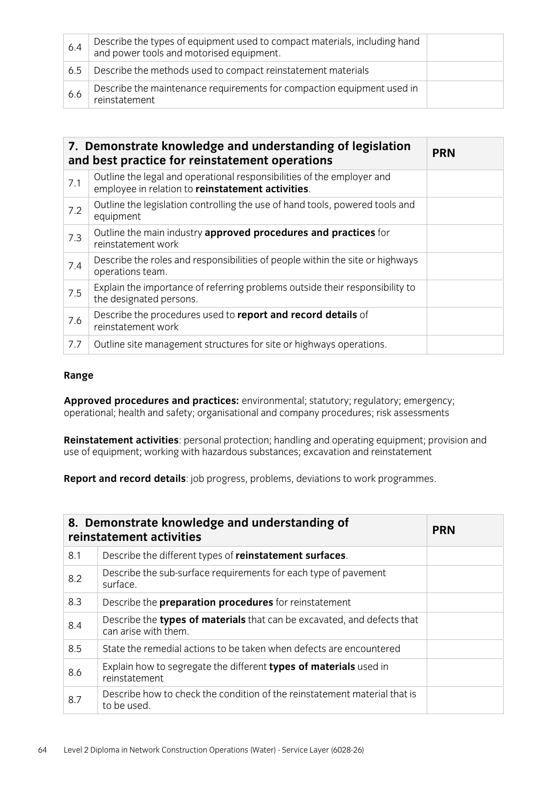| 6.4 | Describe the types of equipment used to compact materials, including hand<br>and power tools and motorised equipment. |  |
|-----|-----------------------------------------------------------------------------------------------------------------------|--|
| 6.5 | Describe the methods used to compact reinstatement materials                                                          |  |
| 6.6 | Describe the maintenance requirements for compaction equipment used in<br>reinstatement                               |  |

|     | 7. Demonstrate knowledge and understanding of legislation<br>and best practice for reinstatement operations                 | <b>PRN</b> |
|-----|-----------------------------------------------------------------------------------------------------------------------------|------------|
| 7.1 | Outline the legal and operational responsibilities of the employer and<br>employee in relation to reinstatement activities. |            |
| 7.2 | Outline the legislation controlling the use of hand tools, powered tools and<br>equipment                                   |            |
| 7.3 | Outline the main industry approved procedures and practices for<br>reinstatement work                                       |            |
| 7.4 | Describe the roles and responsibilities of people within the site or highways<br>operations team.                           |            |
| 7.5 | Explain the importance of referring problems outside their responsibility to<br>the designated persons.                     |            |
| 7.6 | Describe the procedures used to report and record details of<br>reinstatement work                                          |            |
| 7.7 | Outline site management structures for site or highways operations.                                                         |            |

**Approved procedures and practices:** environmental; statutory; regulatory; emergency; operational; health and safety; organisational and company procedures; risk assessments

**Reinstatement activities**: personal protection; handling and operating equipment; provision and use of equipment; working with hazardous substances; excavation and reinstatement

**Report and record details**: job progress, problems, deviations to work programmes.

|     | 8. Demonstrate knowledge and understanding of<br>reinstatement activities                       | <b>PRN</b> |
|-----|-------------------------------------------------------------------------------------------------|------------|
| 8.1 | Describe the different types of reinstatement surfaces.                                         |            |
| 8.2 | Describe the sub-surface requirements for each type of pavement<br>surface.                     |            |
| 8.3 | Describe the <b>preparation procedures</b> for reinstatement                                    |            |
| 8.4 | Describe the types of materials that can be excavated, and defects that<br>can arise with them. |            |
| 8.5 | State the remedial actions to be taken when defects are encountered                             |            |
| 8.6 | Explain how to segregate the different types of materials used in<br>reinstatement              |            |
| 8.7 | Describe how to check the condition of the reinstatement material that is<br>to be used.        |            |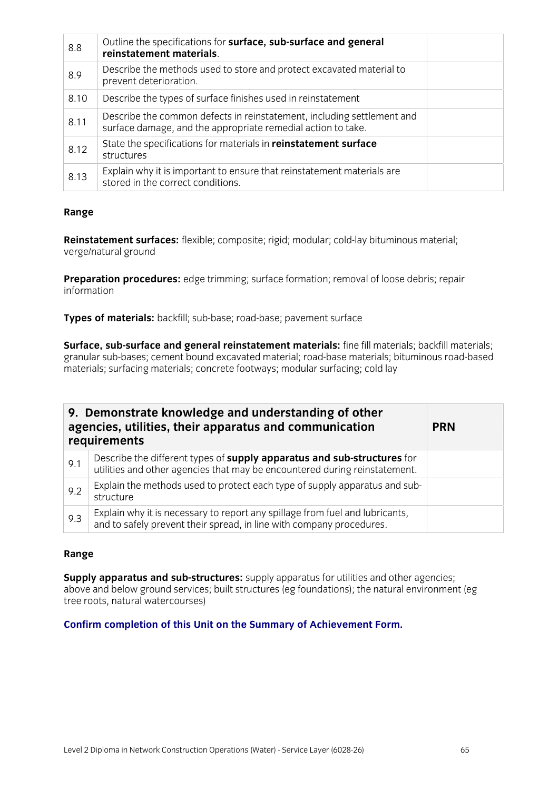| 8.8  | Outline the specifications for surface, sub-surface and general<br>reinstatement materials.                                            |  |
|------|----------------------------------------------------------------------------------------------------------------------------------------|--|
| 8.9  | Describe the methods used to store and protect excavated material to<br>prevent deterioration.                                         |  |
| 8.10 | Describe the types of surface finishes used in reinstatement                                                                           |  |
| 8.11 | Describe the common defects in reinstatement, including settlement and<br>surface damage, and the appropriate remedial action to take. |  |
| 8.12 | State the specifications for materials in reinstatement surface<br>structures                                                          |  |
| 8.13 | Explain why it is important to ensure that reinstatement materials are<br>stored in the correct conditions.                            |  |

**Reinstatement surfaces:** flexible; composite; rigid; modular; cold-lay bituminous material; verge/natural ground

**Preparation procedures:** edge trimming; surface formation; removal of loose debris; repair information

**Types of materials:** backfill; sub-base; road-base; pavement surface

**Surface, sub-surface and general reinstatement materials:** fine fill materials; backfill materials; granular sub-bases; cement bound excavated material; road-base materials; bituminous road-based materials; surfacing materials; concrete footways; modular surfacing; cold lay

|     | 9. Demonstrate knowledge and understanding of other<br>agencies, utilities, their apparatus and communication<br>requirements                         | <b>PRN</b> |
|-----|-------------------------------------------------------------------------------------------------------------------------------------------------------|------------|
| 9.1 | Describe the different types of supply apparatus and sub-structures for<br>utilities and other agencies that may be encountered during reinstatement. |            |
| 9.2 | Explain the methods used to protect each type of supply apparatus and sub-<br>structure                                                               |            |
| 9.3 | Explain why it is necessary to report any spillage from fuel and lubricants, and to safely prevent their spread, in line with company procedures.     |            |

### **Range**

**Supply apparatus and sub-structures:** supply apparatus for utilities and other agencies; above and below ground services; built structures (eg foundations); the natural environment (eg tree roots, natural watercourses)

### **Confirm completion of this Unit on the Summary of Achievement Form.**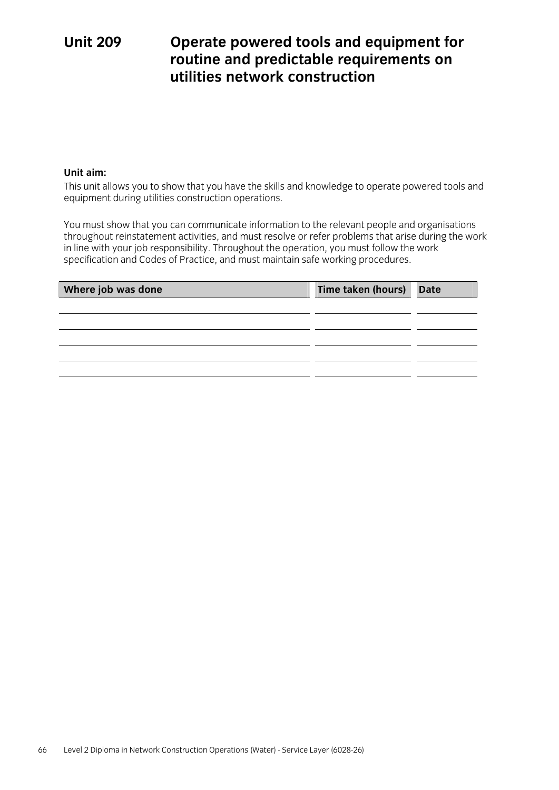## **Unit 209 Operate powered tools and equipment for routine and predictable requirements on utilities network construction**

#### **Unit aim:**

This unit allows you to show that you have the skills and knowledge to operate powered tools and equipment during utilities construction operations.

You must show that you can communicate information to the relevant people and organisations throughout reinstatement activities, and must resolve or refer problems that arise during the work in line with your job responsibility. Throughout the operation, you must follow the work specification and Codes of Practice, and must maintain safe working procedures.

| Where job was done | Time taken (hours) | <b>Date</b> |
|--------------------|--------------------|-------------|
|                    |                    |             |
|                    |                    |             |
|                    |                    |             |
|                    |                    |             |
|                    |                    |             |
|                    |                    |             |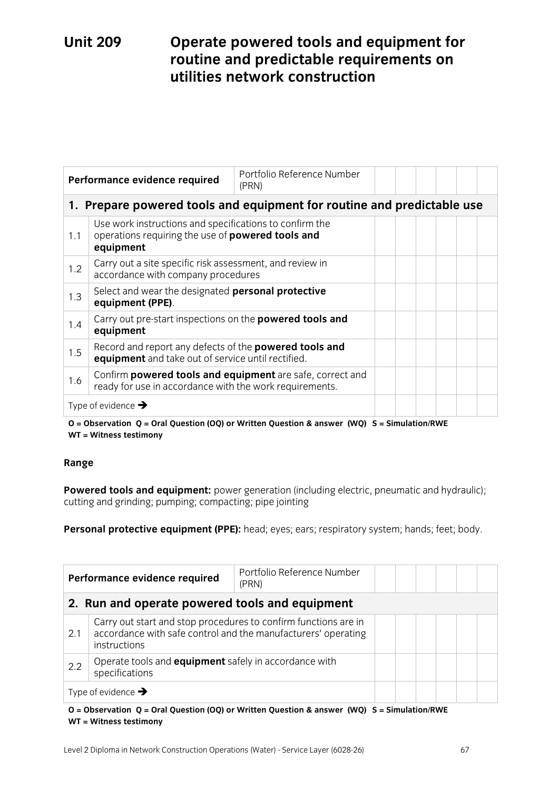# **Unit 209 Operate powered tools and equipment for routine and predictable requirements on utilities network construction**

| Performance evidence required                                                                                                    |                                                                                                                     | Portfolio Reference Number<br>(PRN) |  |  |  |  |
|----------------------------------------------------------------------------------------------------------------------------------|---------------------------------------------------------------------------------------------------------------------|-------------------------------------|--|--|--|--|
|                                                                                                                                  | 1. Prepare powered tools and equipment for routine and predictable use                                              |                                     |  |  |  |  |
| Use work instructions and specifications to confirm the<br>operations requiring the use of powered tools and<br>1.1<br>equipment |                                                                                                                     |                                     |  |  |  |  |
| 1.2                                                                                                                              | Carry out a site specific risk assessment, and review in<br>accordance with company procedures                      |                                     |  |  |  |  |
| 1.3                                                                                                                              | Select and wear the designated personal protective<br>equipment (PPE).                                              |                                     |  |  |  |  |
| 1.4                                                                                                                              | Carry out pre-start inspections on the powered tools and<br>equipment                                               |                                     |  |  |  |  |
| 1.5                                                                                                                              | Record and report any defects of the <b>powered tools and</b><br>equipment and take out of service until rectified. |                                     |  |  |  |  |
| Confirm powered tools and equipment are safe, correct and<br>1.6<br>ready for use in accordance with the work requirements.      |                                                                                                                     |                                     |  |  |  |  |
|                                                                                                                                  | Type of evidence $\rightarrow$                                                                                      |                                     |  |  |  |  |

**O = Observation Q = Oral Question (OQ) or Written Question & answer (WQ) S = Simulation/RWE WT = Witness testimony**

### **Range**

**Powered tools and equipment:** power generation (including electric, pneumatic and hydraulic); cutting and grinding; pumping; compacting; pipe jointing

Personal protective equipment (PPE): head; eyes; ears; respiratory system; hands; feet; body.

| Performance evidence required                                                         |                                                                                                                                                  | Portfolio Reference Number<br>(PRN) |  |  |  |
|---------------------------------------------------------------------------------------|--------------------------------------------------------------------------------------------------------------------------------------------------|-------------------------------------|--|--|--|
| 2. Run and operate powered tools and equipment                                        |                                                                                                                                                  |                                     |  |  |  |
| 2.1                                                                                   | Carry out start and stop procedures to confirm functions are in<br>accordance with safe control and the manufacturers' operating<br>instructions |                                     |  |  |  |
| Operate tools and <b>equipment</b> safely in accordance with<br>2.2<br>specifications |                                                                                                                                                  |                                     |  |  |  |
|                                                                                       | Type of evidence $\rightarrow$                                                                                                                   |                                     |  |  |  |

**O = Observation Q = Oral Question (OQ) or Written Question & answer (WQ) S = Simulation/RWE WT = Witness testimony**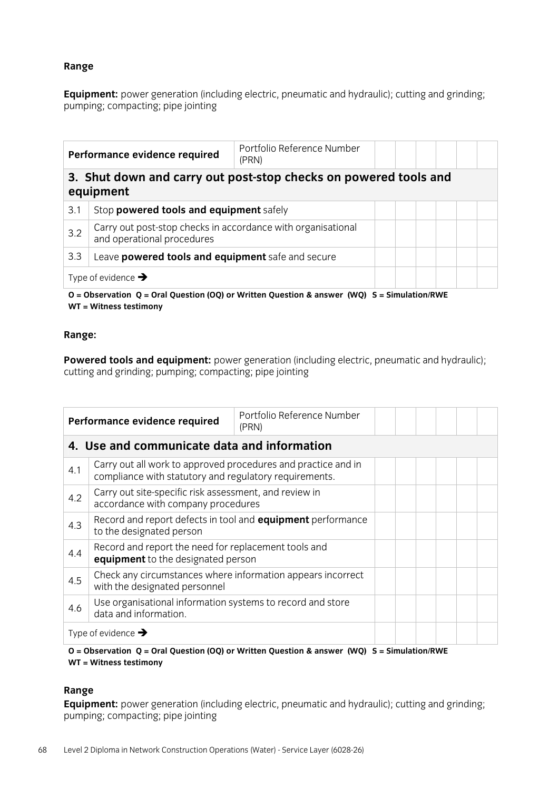**Equipment:** power generation (including electric, pneumatic and hydraulic); cutting and grinding; pumping; compacting; pipe jointing

| Performance evidence required                                                 |                                                                                            | Portfolio Reference Number<br>(PRN) |  |  |  |  |
|-------------------------------------------------------------------------------|--------------------------------------------------------------------------------------------|-------------------------------------|--|--|--|--|
| 3. Shut down and carry out post-stop checks on powered tools and<br>equipment |                                                                                            |                                     |  |  |  |  |
| 3.1                                                                           | Stop powered tools and equipment safely                                                    |                                     |  |  |  |  |
| 3.2                                                                           | Carry out post-stop checks in accordance with organisational<br>and operational procedures |                                     |  |  |  |  |
| 3.3                                                                           | Leave powered tools and equipment safe and secure                                          |                                     |  |  |  |  |
|                                                                               | Type of evidence $\rightarrow$                                                             |                                     |  |  |  |  |

**O = Observation Q = Oral Question (OQ) or Written Question & answer (WQ) S = Simulation/RWE WT = Witness testimony**

#### **Range:**

**Powered tools and equipment:** power generation (including electric, pneumatic and hydraulic); cutting and grinding; pumping; compacting; pipe jointing

| Performance evidence required                                                                                                  |                                                                                              | Portfolio Reference Number<br>(PRN) |  |  |  |  |
|--------------------------------------------------------------------------------------------------------------------------------|----------------------------------------------------------------------------------------------|-------------------------------------|--|--|--|--|
|                                                                                                                                | 4. Use and communicate data and information                                                  |                                     |  |  |  |  |
| Carry out all work to approved procedures and practice and in<br>4.1<br>compliance with statutory and regulatory requirements. |                                                                                              |                                     |  |  |  |  |
| 4.2                                                                                                                            | Carry out site-specific risk assessment, and review in<br>accordance with company procedures |                                     |  |  |  |  |
| 4.3                                                                                                                            | Record and report defects in tool and equipment performance<br>to the designated person      |                                     |  |  |  |  |
| 4.4                                                                                                                            | Record and report the need for replacement tools and<br>equipment to the designated person   |                                     |  |  |  |  |
| 4.5                                                                                                                            | Check any circumstances where information appears incorrect<br>with the designated personnel |                                     |  |  |  |  |
| 4.6                                                                                                                            | Use organisational information systems to record and store<br>data and information.          |                                     |  |  |  |  |
|                                                                                                                                | Type of evidence $\rightarrow$                                                               |                                     |  |  |  |  |

**O = Observation Q = Oral Question (OQ) or Written Question & answer (WQ) S = Simulation/RWE WT = Witness testimony**

### **Range**

**Equipment:** power generation (including electric, pneumatic and hydraulic); cutting and grinding; pumping; compacting; pipe jointing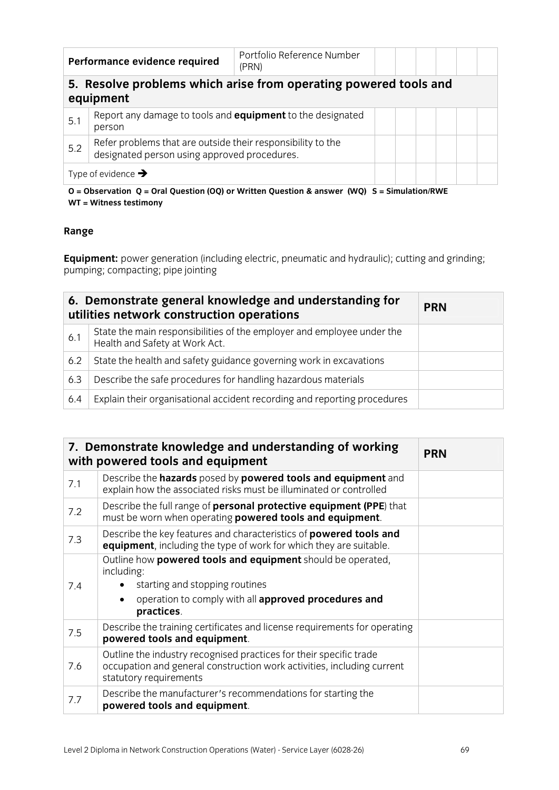| Performance evidence required                                                 |                                                                                                          | Portfolio Reference Number<br>(PRN) |  |  |  |  |  |
|-------------------------------------------------------------------------------|----------------------------------------------------------------------------------------------------------|-------------------------------------|--|--|--|--|--|
| 5. Resolve problems which arise from operating powered tools and<br>equipment |                                                                                                          |                                     |  |  |  |  |  |
| 5.1                                                                           | Report any damage to tools and <b>equipment</b> to the designated<br>person                              |                                     |  |  |  |  |  |
| 5.2                                                                           | Refer problems that are outside their responsibility to the designated person using approved procedures. |                                     |  |  |  |  |  |
| Type of evidence $\rightarrow$                                                |                                                                                                          |                                     |  |  |  |  |  |

### **Range**

**Equipment:** power generation (including electric, pneumatic and hydraulic); cutting and grinding; pumping; compacting; pipe jointing

| 6. Demonstrate general knowledge and understanding for<br>utilities network construction operations | <b>PRN</b>                                                                                               |  |
|-----------------------------------------------------------------------------------------------------|----------------------------------------------------------------------------------------------------------|--|
| 6.1                                                                                                 | State the main responsibilities of the employer and employee under the<br>Health and Safety at Work Act. |  |
| 6.2                                                                                                 | State the health and safety guidance governing work in excavations                                       |  |
| 6.3                                                                                                 | Describe the safe procedures for handling hazardous materials                                            |  |
| 6.4                                                                                                 | Explain their organisational accident recording and reporting procedures                                 |  |

| 7. Demonstrate knowledge and understanding of working<br>with powered tools and equipment |                                                                                                                                                                                   | <b>PRN</b> |
|-------------------------------------------------------------------------------------------|-----------------------------------------------------------------------------------------------------------------------------------------------------------------------------------|------------|
| 7.1                                                                                       | Describe the hazards posed by powered tools and equipment and<br>explain how the associated risks must be illuminated or controlled                                               |            |
| 7.2                                                                                       | Describe the full range of personal protective equipment (PPE) that<br>must be worn when operating powered tools and equipment.                                                   |            |
| 7.3                                                                                       | Describe the key features and characteristics of powered tools and<br>equipment, including the type of work for which they are suitable.                                          |            |
| 7.4                                                                                       | Outline how powered tools and equipment should be operated,<br>including:<br>starting and stopping routines<br>operation to comply with all approved procedures and<br>practices. |            |
| 7.5                                                                                       | Describe the training certificates and license requirements for operating<br>powered tools and equipment.                                                                         |            |
| 7.6                                                                                       | Outline the industry recognised practices for their specific trade<br>occupation and general construction work activities, including current<br>statutory requirements            |            |
| 7.7                                                                                       | Describe the manufacturer's recommendations for starting the<br>powered tools and equipment.                                                                                      |            |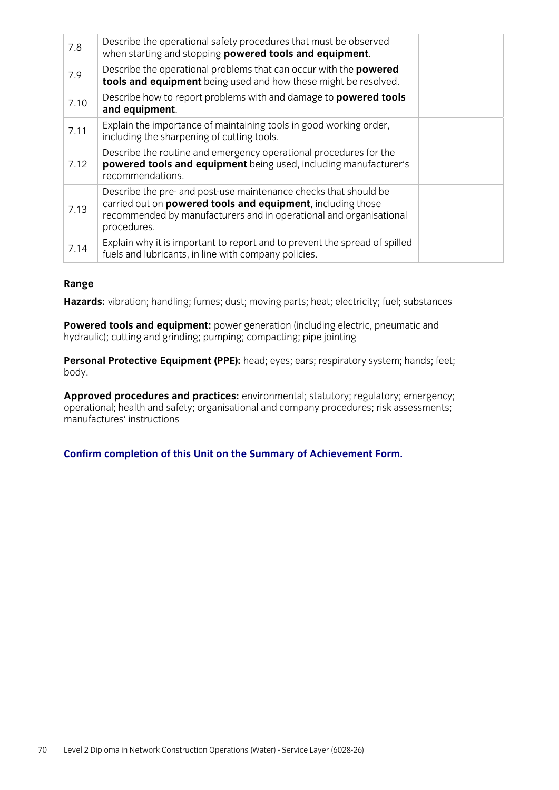| 7.8  | Describe the operational safety procedures that must be observed<br>when starting and stopping powered tools and equipment.                                                                                          |  |
|------|----------------------------------------------------------------------------------------------------------------------------------------------------------------------------------------------------------------------|--|
| 7.9  | Describe the operational problems that can occur with the <b>powered</b><br>tools and equipment being used and how these might be resolved.                                                                          |  |
| 7.10 | Describe how to report problems with and damage to <b>powered tools</b><br>and equipment.                                                                                                                            |  |
| 7.11 | Explain the importance of maintaining tools in good working order,<br>including the sharpening of cutting tools.                                                                                                     |  |
| 7.12 | Describe the routine and emergency operational procedures for the<br>powered tools and equipment being used, including manufacturer's<br>recommendations.                                                            |  |
| 7.13 | Describe the pre- and post-use maintenance checks that should be<br>carried out on powered tools and equipment, including those<br>recommended by manufacturers and in operational and organisational<br>procedures. |  |
| 7.14 | Explain why it is important to report and to prevent the spread of spilled<br>fuels and lubricants, in line with company policies.                                                                                   |  |

Hazards: vibration; handling; fumes; dust; moving parts; heat; electricity; fuel; substances

**Powered tools and equipment:** power generation (including electric, pneumatic and hydraulic); cutting and grinding; pumping; compacting; pipe jointing

Personal Protective Equipment (PPE): head; eyes; ears; respiratory system; hands; feet; body.

**Approved procedures and practices:** environmental; statutory; regulatory; emergency; operational; health and safety; organisational and company procedures; risk assessments; manufactures' instructions

**Confirm completion of this Unit on the Summary of Achievement Form.**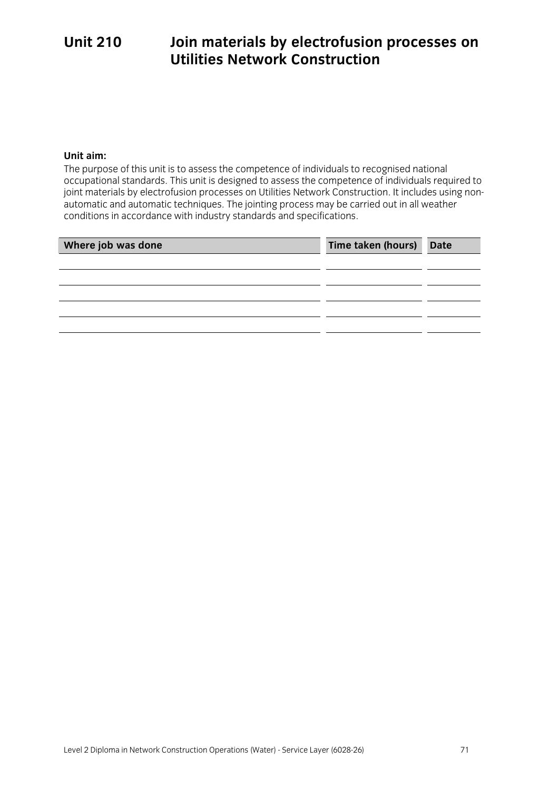#### **Unit aim:**

The purpose of this unit is to assess the competence of individuals to recognised national occupational standards. This unit is designed to assess the competence of individuals required to joint materials by electrofusion processes on Utilities Network Construction. It includes using nonautomatic and automatic techniques. The jointing process may be carried out in all weather conditions in accordance with industry standards and specifications.

| Where job was done | Time taken (hours) Date |  |
|--------------------|-------------------------|--|
|                    |                         |  |
|                    |                         |  |
|                    |                         |  |
|                    |                         |  |
|                    |                         |  |
|                    |                         |  |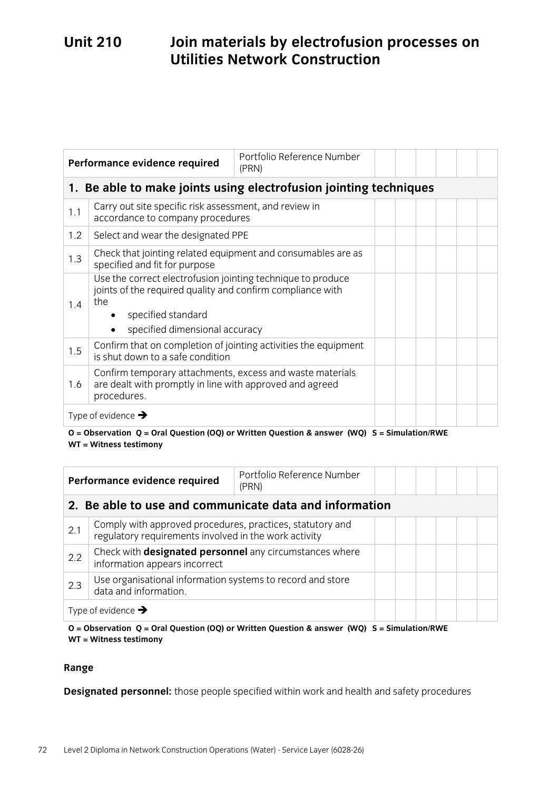## **Unit 210 Join materials by electrofusion processes on Utilities Network Construction**

| Performance evidence required  |                                                                                                                                                                                          | Portfolio Reference Number<br>(PRN) |  |  |  |  |  |  |
|--------------------------------|------------------------------------------------------------------------------------------------------------------------------------------------------------------------------------------|-------------------------------------|--|--|--|--|--|--|
|                                | 1. Be able to make joints using electrofusion jointing techniques                                                                                                                        |                                     |  |  |  |  |  |  |
| 1.1                            | Carry out site specific risk assessment, and review in<br>accordance to company procedures                                                                                               |                                     |  |  |  |  |  |  |
| 1.2                            | Select and wear the designated PPE                                                                                                                                                       |                                     |  |  |  |  |  |  |
| 1.3                            | Check that jointing related equipment and consumables are as<br>specified and fit for purpose                                                                                            |                                     |  |  |  |  |  |  |
| 1.4                            | Use the correct electrofusion jointing technique to produce<br>joints of the required quality and confirm compliance with<br>the<br>specified standard<br>specified dimensional accuracy |                                     |  |  |  |  |  |  |
| 1.5                            | Confirm that on completion of jointing activities the equipment<br>is shut down to a safe condition                                                                                      |                                     |  |  |  |  |  |  |
| 1.6                            | Confirm temporary attachments, excess and waste materials<br>are dealt with promptly in line with approved and agreed<br>procedures.                                                     |                                     |  |  |  |  |  |  |
| Type of evidence $\rightarrow$ |                                                                                                                                                                                          |                                     |  |  |  |  |  |  |

#### **O = Observation Q = Oral Question (OQ) or Written Question & answer (WQ) S = Simulation/RWE WT = Witness testimony**

| Performance evidence required  |                                                                                                                    | Portfolio Reference Number<br>(PRN) |  |  |  |  |  |  |
|--------------------------------|--------------------------------------------------------------------------------------------------------------------|-------------------------------------|--|--|--|--|--|--|
|                                | 2. Be able to use and communicate data and information                                                             |                                     |  |  |  |  |  |  |
| 2.1                            | Comply with approved procedures, practices, statutory and<br>regulatory requirements involved in the work activity |                                     |  |  |  |  |  |  |
| 2.2                            | Check with designated personnel any circumstances where<br>information appears incorrect                           |                                     |  |  |  |  |  |  |
| 2.3                            | Use organisational information systems to record and store<br>data and information.                                |                                     |  |  |  |  |  |  |
| Type of evidence $\rightarrow$ |                                                                                                                    |                                     |  |  |  |  |  |  |

**O = Observation Q = Oral Question (OQ) or Written Question & answer (WQ) S = Simulation/RWE WT = Witness testimony**

### **Range**

**Designated personnel:** those people specified within work and health and safety procedures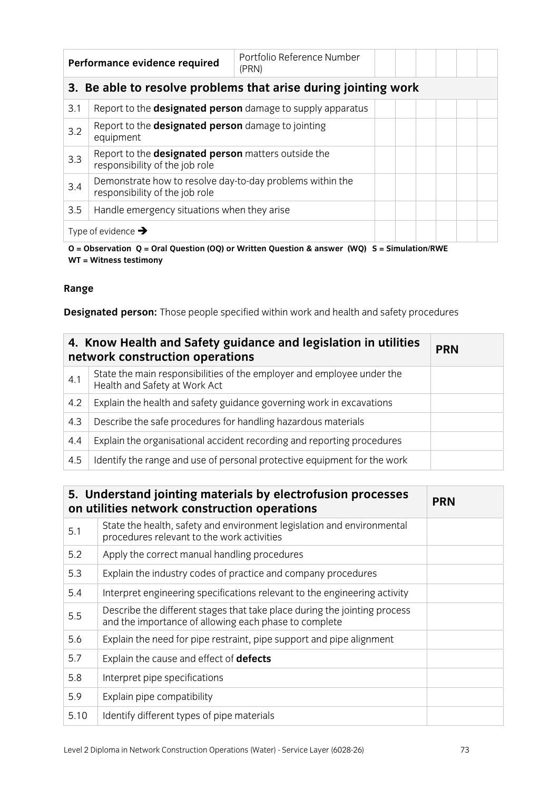| Performance evidence required                                  |                                                                                              | Portfolio Reference Number<br>(PRN) |  |  |  |  |
|----------------------------------------------------------------|----------------------------------------------------------------------------------------------|-------------------------------------|--|--|--|--|
| 3. Be able to resolve problems that arise during jointing work |                                                                                              |                                     |  |  |  |  |
| 3.1                                                            | Report to the <b>designated person</b> damage to supply apparatus                            |                                     |  |  |  |  |
| 3.2                                                            | Report to the <b>designated person</b> damage to jointing<br>equipment                       |                                     |  |  |  |  |
| 3.3                                                            | Report to the <b>designated person</b> matters outside the<br>responsibility of the job role |                                     |  |  |  |  |
| 3.4                                                            | Demonstrate how to resolve day-to-day problems within the<br>responsibility of the job role  |                                     |  |  |  |  |
| 3.5                                                            | Handle emergency situations when they arise                                                  |                                     |  |  |  |  |
| Type of evidence $\rightarrow$                                 |                                                                                              |                                     |  |  |  |  |

#### **Range**

**Designated person:** Those people specified within work and health and safety procedures

|     | 4. Know Health and Safety guidance and legislation in utilities<br>network construction operations      |  |  |
|-----|---------------------------------------------------------------------------------------------------------|--|--|
| 4.1 | State the main responsibilities of the employer and employee under the<br>Health and Safety at Work Act |  |  |
| 4.2 | Explain the health and safety guidance governing work in excavations                                    |  |  |
| 4.3 | Describe the safe procedures for handling hazardous materials                                           |  |  |
| 4.4 | Explain the organisational accident recording and reporting procedures                                  |  |  |
| 4.5 | Identify the range and use of personal protective equipment for the work                                |  |  |

|      | 5. Understand jointing materials by electrofusion processes<br>on utilities network construction operations                        | <b>PRN</b> |
|------|------------------------------------------------------------------------------------------------------------------------------------|------------|
| 5.1  | State the health, safety and environment legislation and environmental<br>procedures relevant to the work activities               |            |
| 5.2  | Apply the correct manual handling procedures                                                                                       |            |
| 5.3  | Explain the industry codes of practice and company procedures                                                                      |            |
| 5.4  | Interpret engineering specifications relevant to the engineering activity                                                          |            |
| 5.5  | Describe the different stages that take place during the jointing process<br>and the importance of allowing each phase to complete |            |
| 5.6  | Explain the need for pipe restraint, pipe support and pipe alignment                                                               |            |
| 5.7  | Explain the cause and effect of defects                                                                                            |            |
| 5.8  | Interpret pipe specifications                                                                                                      |            |
| 5.9  | Explain pipe compatibility                                                                                                         |            |
| 5.10 | Identify different types of pipe materials                                                                                         |            |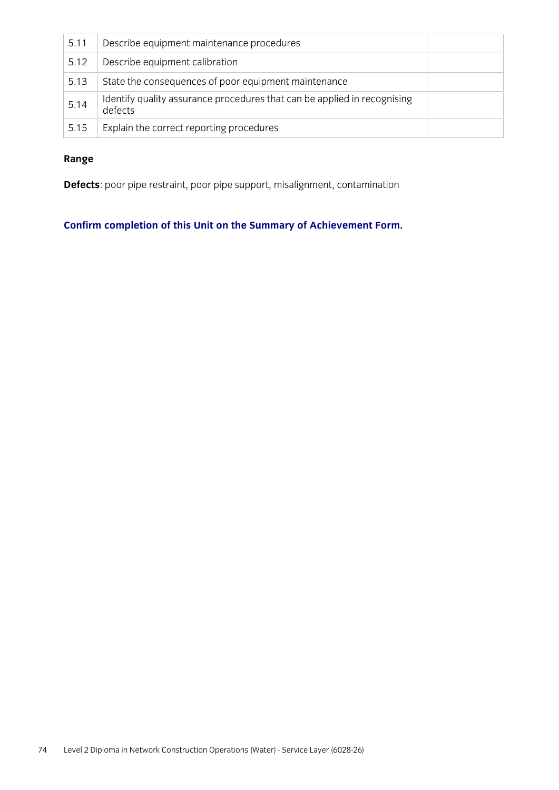| 5.11 | Describe equipment maintenance procedures                                           |  |
|------|-------------------------------------------------------------------------------------|--|
| 5.12 | Describe equipment calibration                                                      |  |
| 5.13 | State the consequences of poor equipment maintenance                                |  |
| 5.14 | Identify quality assurance procedures that can be applied in recognising<br>defects |  |
| 5.15 | Explain the correct reporting procedures                                            |  |

### **Range**

**Defects**: poor pipe restraint, poor pipe support, misalignment, contamination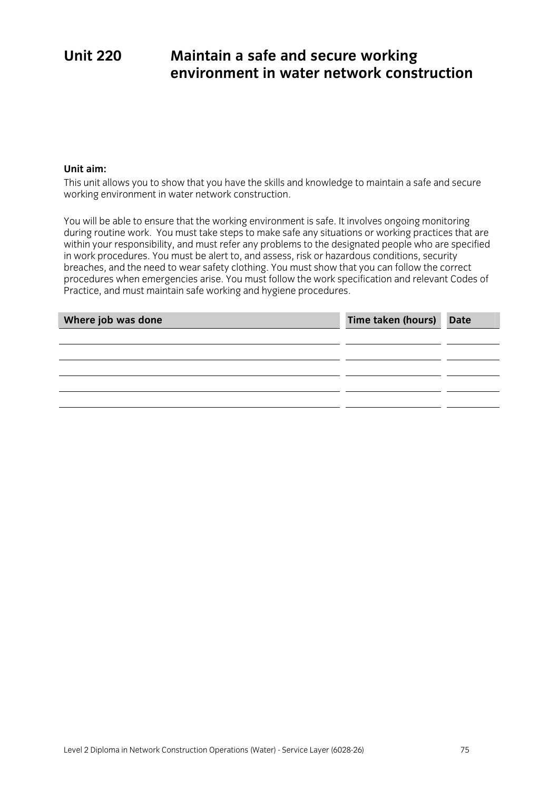## **Unit 220 Maintain a safe and secure working environment in water network construction**

#### **Unit aim:**

This unit allows you to show that you have the skills and knowledge to maintain a safe and secure working environment in water network construction.

You will be able to ensure that the working environment is safe. It involves ongoing monitoring during routine work. You must take steps to make safe any situations or working practices that are within your responsibility, and must refer any problems to the designated people who are specified in work procedures. You must be alert to, and assess, risk or hazardous conditions, security breaches, and the need to wear safety clothing. You must show that you can follow the correct procedures when emergencies arise. You must follow the work specification and relevant Codes of Practice, and must maintain safe working and hygiene procedures.

| Where job was done | Time taken (hours) Date |  |
|--------------------|-------------------------|--|
|                    |                         |  |
|                    |                         |  |
|                    |                         |  |
|                    |                         |  |
|                    |                         |  |
|                    |                         |  |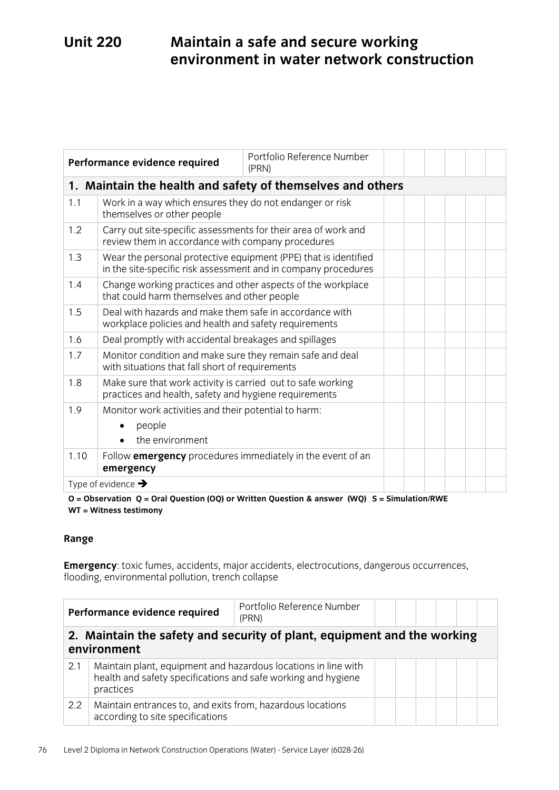## **Unit 220 Maintain a safe and secure working environment in water network construction**

|      | Performance evidence required                                                                                                     | Portfolio Reference Number<br>(PRN) |  |  |  |  |  |  |
|------|-----------------------------------------------------------------------------------------------------------------------------------|-------------------------------------|--|--|--|--|--|--|
|      | 1. Maintain the health and safety of themselves and others                                                                        |                                     |  |  |  |  |  |  |
| 1.1  | Work in a way which ensures they do not endanger or risk<br>themselves or other people                                            |                                     |  |  |  |  |  |  |
| 1.2  | Carry out site-specific assessments for their area of work and<br>review them in accordance with company procedures               |                                     |  |  |  |  |  |  |
| 1.3  | Wear the personal protective equipment (PPE) that is identified<br>in the site-specific risk assessment and in company procedures |                                     |  |  |  |  |  |  |
| 1.4  | Change working practices and other aspects of the workplace<br>that could harm themselves and other people                        |                                     |  |  |  |  |  |  |
| 1.5  | Deal with hazards and make them safe in accordance with<br>workplace policies and health and safety requirements                  |                                     |  |  |  |  |  |  |
| 1.6  | Deal promptly with accidental breakages and spillages                                                                             |                                     |  |  |  |  |  |  |
| 1.7  | Monitor condition and make sure they remain safe and deal<br>with situations that fall short of requirements                      |                                     |  |  |  |  |  |  |
| 1.8  | Make sure that work activity is carried out to safe working<br>practices and health, safety and hygiene requirements              |                                     |  |  |  |  |  |  |
| 1.9  | Monitor work activities and their potential to harm:                                                                              |                                     |  |  |  |  |  |  |
|      | people                                                                                                                            |                                     |  |  |  |  |  |  |
|      | the environment                                                                                                                   |                                     |  |  |  |  |  |  |
| 1.10 | Follow <b>emergency</b> procedures immediately in the event of an<br>emergency                                                    |                                     |  |  |  |  |  |  |
|      | Type of evidence $\rightarrow$                                                                                                    |                                     |  |  |  |  |  |  |

**O = Observation Q = Oral Question (OQ) or Written Question & answer (WQ) S = Simulation/RWE WT = Witness testimony**

#### **Range**

**Emergency**: toxic fumes, accidents, major accidents, electrocutions, dangerous occurrences, flooding, environmental pollution, trench collapse

|     | Performance evidence required                                                                                                                | Portfolio Reference Number<br>(PRN) |  |  |  |  |  |  |
|-----|----------------------------------------------------------------------------------------------------------------------------------------------|-------------------------------------|--|--|--|--|--|--|
|     | 2. Maintain the safety and security of plant, equipment and the working<br>environment                                                       |                                     |  |  |  |  |  |  |
| 2.1 | Maintain plant, equipment and hazardous locations in line with<br>health and safety specifications and safe working and hygiene<br>practices |                                     |  |  |  |  |  |  |
| 2.2 | Maintain entrances to, and exits from, hazardous locations<br>according to site specifications                                               |                                     |  |  |  |  |  |  |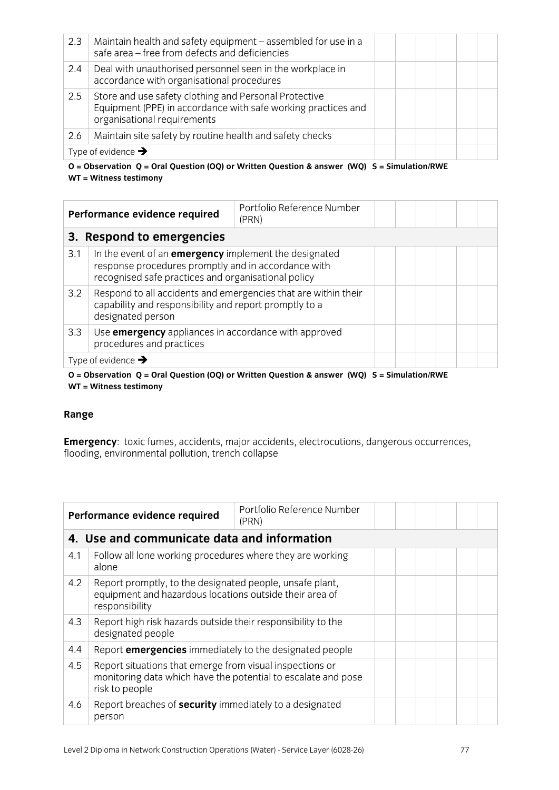| 2.3 | Maintain health and safety equipment - assembled for use in a<br>safe area - free from defects and deficiencies                                       |  |  |  |  |
|-----|-------------------------------------------------------------------------------------------------------------------------------------------------------|--|--|--|--|
| 2.4 | Deal with unauthorised personnel seen in the workplace in<br>accordance with organisational procedures                                                |  |  |  |  |
| 2.5 | Store and use safety clothing and Personal Protective<br>Equipment (PPE) in accordance with safe working practices and<br>organisational requirements |  |  |  |  |
| 2.6 | Maintain site safety by routine health and safety checks                                                                                              |  |  |  |  |
|     | Type of evidence $\rightarrow$                                                                                                                        |  |  |  |  |

|                                                                                                                                                                                   | Performance evidence required                                                                                                                 | Portfolio Reference Number<br>(PRN) |  |  |  |  |  |  |
|-----------------------------------------------------------------------------------------------------------------------------------------------------------------------------------|-----------------------------------------------------------------------------------------------------------------------------------------------|-------------------------------------|--|--|--|--|--|--|
|                                                                                                                                                                                   | 3. Respond to emergencies                                                                                                                     |                                     |  |  |  |  |  |  |
| 3.1<br>In the event of an <b>emergency</b> implement the designated<br>response procedures promptly and in accordance with<br>recognised safe practices and organisational policy |                                                                                                                                               |                                     |  |  |  |  |  |  |
| 3.2                                                                                                                                                                               | Respond to all accidents and emergencies that are within their<br>capability and responsibility and report promptly to a<br>designated person |                                     |  |  |  |  |  |  |
| 3.3                                                                                                                                                                               | Use <b>emergency</b> appliances in accordance with approved<br>procedures and practices                                                       |                                     |  |  |  |  |  |  |
|                                                                                                                                                                                   | Type of evidence $\rightarrow$                                                                                                                |                                     |  |  |  |  |  |  |
|                                                                                                                                                                                   | $\Omega$ $\Omega$<br>Ciperdetion DIAIP                                                                                                        |                                     |  |  |  |  |  |  |

**O = Observation Q = Oral Question (OQ) or Written Question & answer (WQ) S = Simulation/RWE WT = Witness testimony**

#### **Range**

**Emergency**: toxic fumes, accidents, major accidents, electrocutions, dangerous occurrences, flooding, environmental pollution, trench collapse

|                                                                           | Performance evidence required                                                                                                               | Portfolio Reference Number<br>(PRN) |  |  |  |  |  |  |
|---------------------------------------------------------------------------|---------------------------------------------------------------------------------------------------------------------------------------------|-------------------------------------|--|--|--|--|--|--|
|                                                                           | 4. Use and communicate data and information                                                                                                 |                                     |  |  |  |  |  |  |
| Follow all lone working procedures where they are working<br>4.1<br>alone |                                                                                                                                             |                                     |  |  |  |  |  |  |
| 4.2                                                                       | Report promptly, to the designated people, unsafe plant,<br>equipment and hazardous locations outside their area of<br>responsibility       |                                     |  |  |  |  |  |  |
| 4.3                                                                       | Report high risk hazards outside their responsibility to the<br>designated people                                                           |                                     |  |  |  |  |  |  |
| 4.4                                                                       | Report <b>emergencies</b> immediately to the designated people                                                                              |                                     |  |  |  |  |  |  |
| 4.5                                                                       | Report situations that emerge from visual inspections or<br>monitoring data which have the potential to escalate and pose<br>risk to people |                                     |  |  |  |  |  |  |
| 4.6                                                                       | Report breaches of <b>security</b> immediately to a designated<br>person                                                                    |                                     |  |  |  |  |  |  |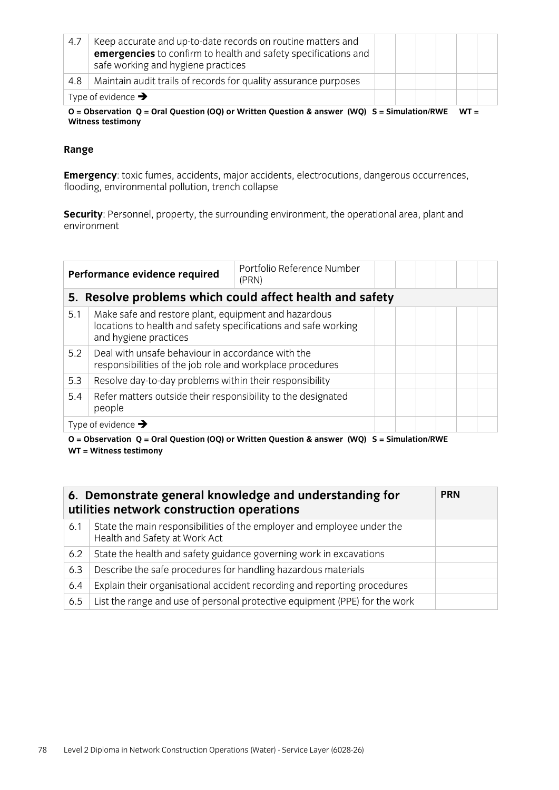| Type of evidence $\rightarrow$                                                                                                                                             |  |  |
|----------------------------------------------------------------------------------------------------------------------------------------------------------------------------|--|--|
| Maintain audit trails of records for quality assurance purposes<br>4.8                                                                                                     |  |  |
| Keep accurate and up-to-date records on routine matters and<br>4.7<br>emergencies to confirm to health and safety specifications and<br>safe working and hygiene practices |  |  |

### **Range**

**Emergency**: toxic fumes, accidents, major accidents, electrocutions, dangerous occurrences, flooding, environmental pollution, trench collapse

**Security**: Personnel, property, the surrounding environment, the operational area, plant and environment

|                                                                                                                                                        | Performance evidence required                                                                                  | Portfolio Reference Number<br>(PRN) |  |  |  |
|--------------------------------------------------------------------------------------------------------------------------------------------------------|----------------------------------------------------------------------------------------------------------------|-------------------------------------|--|--|--|
|                                                                                                                                                        | 5. Resolve problems which could affect health and safety                                                       |                                     |  |  |  |
| Make safe and restore plant, equipment and hazardous<br>5.1<br>locations to health and safety specifications and safe working<br>and hygiene practices |                                                                                                                |                                     |  |  |  |
| 5.2                                                                                                                                                    | Deal with unsafe behaviour in accordance with the<br>responsibilities of the job role and workplace procedures |                                     |  |  |  |
| 5.3                                                                                                                                                    | Resolve day-to-day problems within their responsibility                                                        |                                     |  |  |  |
| 5.4                                                                                                                                                    | Refer matters outside their responsibility to the designated<br>people                                         |                                     |  |  |  |
|                                                                                                                                                        | Type of evidence $\rightarrow$                                                                                 |                                     |  |  |  |

| 6. Demonstrate general knowledge and understanding for<br>utilities network construction operations |                                                                                                         |  |
|-----------------------------------------------------------------------------------------------------|---------------------------------------------------------------------------------------------------------|--|
| 6.1                                                                                                 | State the main responsibilities of the employer and employee under the<br>Health and Safety at Work Act |  |
| 6.2                                                                                                 | State the health and safety guidance governing work in excavations                                      |  |
| 6.3                                                                                                 | Describe the safe procedures for handling hazardous materials                                           |  |
| 6.4                                                                                                 | Explain their organisational accident recording and reporting procedures                                |  |
| 6.5                                                                                                 | List the range and use of personal protective equipment (PPE) for the work                              |  |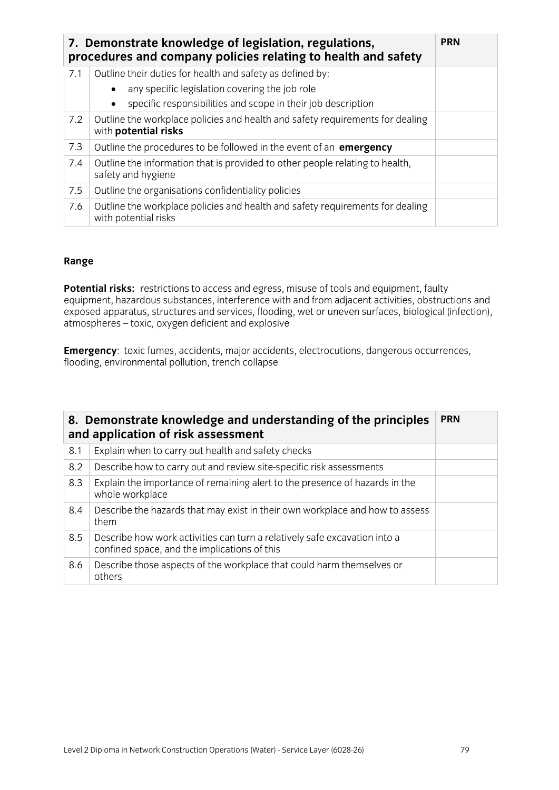|     | 7. Demonstrate knowledge of legislation, regulations,<br>procedures and company policies relating to health and safety | <b>PRN</b> |
|-----|------------------------------------------------------------------------------------------------------------------------|------------|
| 7.1 | Outline their duties for health and safety as defined by:                                                              |            |
|     | any specific legislation covering the job role                                                                         |            |
|     | specific responsibilities and scope in their job description                                                           |            |
| 7.2 | Outline the workplace policies and health and safety requirements for dealing<br>with potential risks                  |            |
| 7.3 | Outline the procedures to be followed in the event of an emergency                                                     |            |
| 7.4 | Outline the information that is provided to other people relating to health,<br>safety and hygiene                     |            |
| 7.5 | Outline the organisations confidentiality policies                                                                     |            |
| 7.6 | Outline the workplace policies and health and safety requirements for dealing<br>with potential risks                  |            |

#### **Range**

**Potential risks:** restrictions to access and egress, misuse of tools and equipment, faulty equipment, hazardous substances, interference with and from adjacent activities, obstructions and exposed apparatus, structures and services, flooding, wet or uneven surfaces, biological (infection), atmospheres – toxic, oxygen deficient and explosive

**Emergency**: toxic fumes, accidents, major accidents, electrocutions, dangerous occurrences, flooding, environmental pollution, trench collapse

| 8. Demonstrate knowledge and understanding of the principles<br>and application of risk assessment |                                                                                                                           |  |  |
|----------------------------------------------------------------------------------------------------|---------------------------------------------------------------------------------------------------------------------------|--|--|
| 8.1                                                                                                | Explain when to carry out health and safety checks                                                                        |  |  |
| 8.2                                                                                                | Describe how to carry out and review site-specific risk assessments                                                       |  |  |
| 8.3                                                                                                | Explain the importance of remaining alert to the presence of hazards in the<br>whole workplace                            |  |  |
| 8.4                                                                                                | Describe the hazards that may exist in their own workplace and how to assess<br>them                                      |  |  |
| 8.5                                                                                                | Describe how work activities can turn a relatively safe excavation into a<br>confined space, and the implications of this |  |  |
| 8.6                                                                                                | Describe those aspects of the workplace that could harm themselves or<br>others                                           |  |  |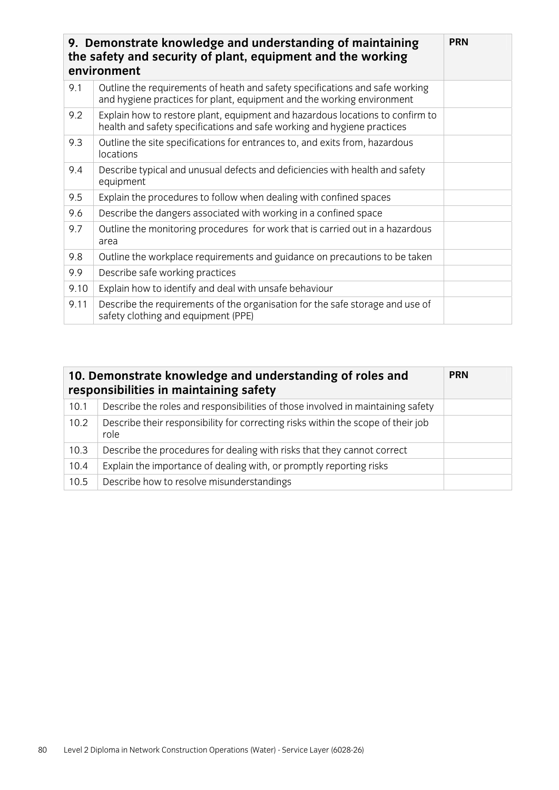| 9. Demonstrate knowledge and understanding of maintaining<br>the safety and security of plant, equipment and the working<br>environment |                                                                                                                                                          |  |
|-----------------------------------------------------------------------------------------------------------------------------------------|----------------------------------------------------------------------------------------------------------------------------------------------------------|--|
| 9.1                                                                                                                                     | Outline the requirements of heath and safety specifications and safe working<br>and hygiene practices for plant, equipment and the working environment   |  |
| 9.2                                                                                                                                     | Explain how to restore plant, equipment and hazardous locations to confirm to<br>health and safety specifications and safe working and hygiene practices |  |
| 9.3                                                                                                                                     | Outline the site specifications for entrances to, and exits from, hazardous<br>locations                                                                 |  |
| 9.4                                                                                                                                     | Describe typical and unusual defects and deficiencies with health and safety<br>equipment                                                                |  |
| 9.5                                                                                                                                     | Explain the procedures to follow when dealing with confined spaces                                                                                       |  |
| 9.6                                                                                                                                     | Describe the dangers associated with working in a confined space                                                                                         |  |
| 9.7                                                                                                                                     | Outline the monitoring procedures for work that is carried out in a hazardous<br>area                                                                    |  |
| 9.8                                                                                                                                     | Outline the workplace requirements and guidance on precautions to be taken                                                                               |  |
| 9.9                                                                                                                                     | Describe safe working practices                                                                                                                          |  |
| 9.10                                                                                                                                    | Explain how to identify and deal with unsafe behaviour                                                                                                   |  |
| 9.11                                                                                                                                    | Describe the requirements of the organisation for the safe storage and use of<br>safety clothing and equipment (PPE)                                     |  |

| 10. Demonstrate knowledge and understanding of roles and<br>responsibilities in maintaining safety |                                                                                          |  |
|----------------------------------------------------------------------------------------------------|------------------------------------------------------------------------------------------|--|
| 10.1                                                                                               | Describe the roles and responsibilities of those involved in maintaining safety          |  |
| 10.2                                                                                               | Describe their responsibility for correcting risks within the scope of their job<br>role |  |
| 10.3                                                                                               | Describe the procedures for dealing with risks that they cannot correct                  |  |
| 10.4                                                                                               | Explain the importance of dealing with, or promptly reporting risks                      |  |
| 10.5                                                                                               | Describe how to resolve misunderstandings                                                |  |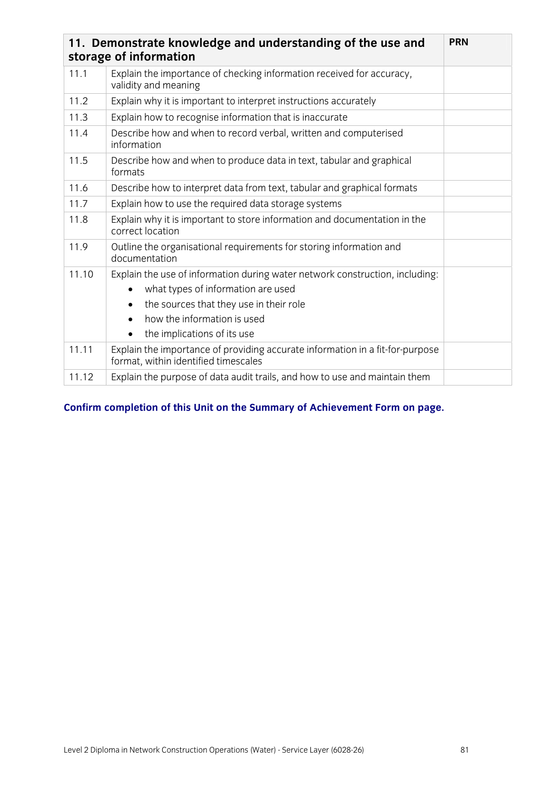|       | 11. Demonstrate knowledge and understanding of the use and<br>storage of information                                                                                                                                                                  | <b>PRN</b> |
|-------|-------------------------------------------------------------------------------------------------------------------------------------------------------------------------------------------------------------------------------------------------------|------------|
| 11.1  | Explain the importance of checking information received for accuracy,<br>validity and meaning                                                                                                                                                         |            |
| 11.2  | Explain why it is important to interpret instructions accurately                                                                                                                                                                                      |            |
| 11.3  | Explain how to recognise information that is inaccurate                                                                                                                                                                                               |            |
| 11.4  | Describe how and when to record verbal, written and computerised<br>information                                                                                                                                                                       |            |
| 11.5  | Describe how and when to produce data in text, tabular and graphical<br>formats                                                                                                                                                                       |            |
| 11.6  | Describe how to interpret data from text, tabular and graphical formats                                                                                                                                                                               |            |
| 11.7  | Explain how to use the required data storage systems                                                                                                                                                                                                  |            |
| 11.8  | Explain why it is important to store information and documentation in the<br>correct location                                                                                                                                                         |            |
| 11.9  | Outline the organisational requirements for storing information and<br>documentation                                                                                                                                                                  |            |
| 11.10 | Explain the use of information during water network construction, including:<br>what types of information are used<br>$\bullet$<br>the sources that they use in their role<br>how the information is used<br>the implications of its use<br>$\bullet$ |            |
| 11.11 | Explain the importance of providing accurate information in a fit-for-purpose<br>format, within identified timescales                                                                                                                                 |            |
| 11.12 | Explain the purpose of data audit trails, and how to use and maintain them                                                                                                                                                                            |            |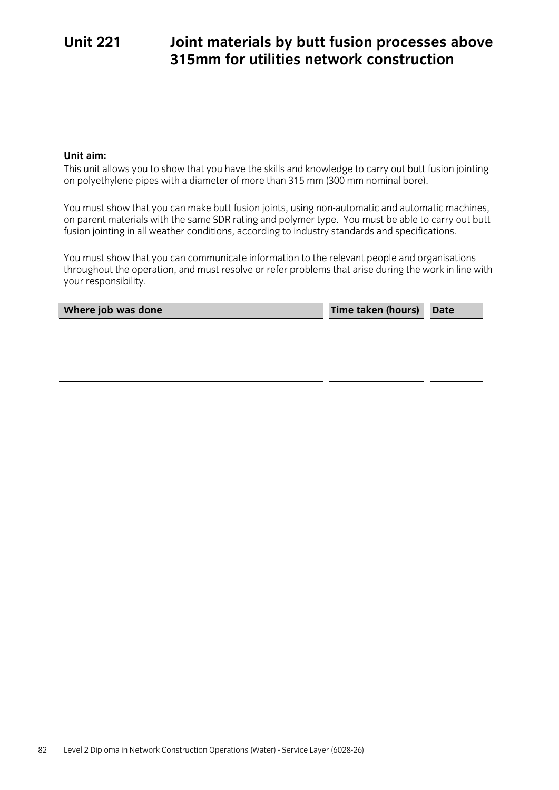## **Unit 221 Joint materials by butt fusion processes above 315mm for utilities network construction**

#### **Unit aim:**

This unit allows you to show that you have the skills and knowledge to carry out butt fusion jointing on polyethylene pipes with a diameter of more than 315 mm (300 mm nominal bore).

You must show that you can make butt fusion joints, using non-automatic and automatic machines, on parent materials with the same SDR rating and polymer type. You must be able to carry out butt fusion jointing in all weather conditions, according to industry standards and specifications.

You must show that you can communicate information to the relevant people and organisations throughout the operation, and must resolve or refer problems that arise during the work in line with your responsibility.

| Where job was done | Time taken (hours) Date |  |
|--------------------|-------------------------|--|
|                    |                         |  |
|                    |                         |  |
|                    |                         |  |
|                    |                         |  |
|                    |                         |  |
|                    |                         |  |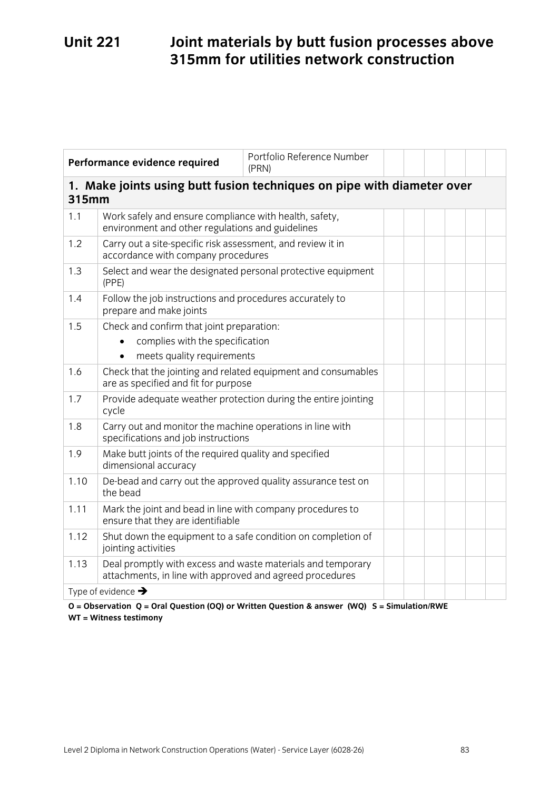|                                                                                 | Performance evidence required                                                                                                        | Portfolio Reference Number<br>(PRN) |  |  |  |  |
|---------------------------------------------------------------------------------|--------------------------------------------------------------------------------------------------------------------------------------|-------------------------------------|--|--|--|--|
| 1. Make joints using butt fusion techniques on pipe with diameter over<br>315mm |                                                                                                                                      |                                     |  |  |  |  |
| 1.1                                                                             | Work safely and ensure compliance with health, safety,<br>environment and other regulations and guidelines                           |                                     |  |  |  |  |
| 1.2                                                                             | Carry out a site-specific risk assessment, and review it in<br>accordance with company procedures                                    |                                     |  |  |  |  |
| 1.3                                                                             | Select and wear the designated personal protective equipment<br>(PPE)                                                                |                                     |  |  |  |  |
| 1.4                                                                             | Follow the job instructions and procedures accurately to<br>prepare and make joints                                                  |                                     |  |  |  |  |
| 1.5                                                                             | Check and confirm that joint preparation:<br>complies with the specification<br>$\bullet$<br>meets quality requirements<br>$\bullet$ |                                     |  |  |  |  |
| 1.6                                                                             | Check that the jointing and related equipment and consumables<br>are as specified and fit for purpose                                |                                     |  |  |  |  |
| 1.7                                                                             | Provide adequate weather protection during the entire jointing<br>cycle                                                              |                                     |  |  |  |  |
| 1.8                                                                             | Carry out and monitor the machine operations in line with<br>specifications and job instructions                                     |                                     |  |  |  |  |
| 1.9                                                                             | Make butt joints of the required quality and specified<br>dimensional accuracy                                                       |                                     |  |  |  |  |
| 1.10                                                                            | De-bead and carry out the approved quality assurance test on<br>the bead                                                             |                                     |  |  |  |  |
| 1.11                                                                            | Mark the joint and bead in line with company procedures to<br>ensure that they are identifiable                                      |                                     |  |  |  |  |
| 1.12                                                                            | Shut down the equipment to a safe condition on completion of<br>jointing activities                                                  |                                     |  |  |  |  |
| 1.13                                                                            | Deal promptly with excess and waste materials and temporary<br>attachments, in line with approved and agreed procedures              |                                     |  |  |  |  |
|                                                                                 | Type of evidence $\rightarrow$                                                                                                       |                                     |  |  |  |  |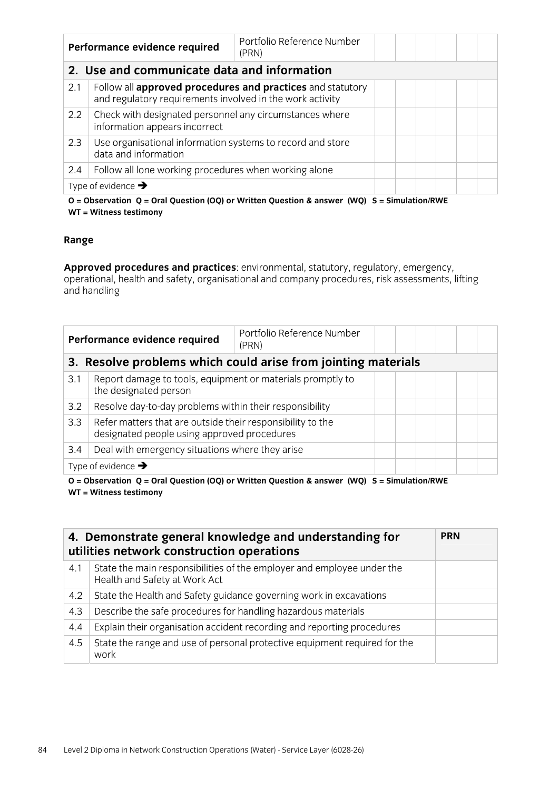| Performance evidence required |                                                                                                                         | Portfolio Reference Number<br>(PRN) |  |  |  |  |  |  |
|-------------------------------|-------------------------------------------------------------------------------------------------------------------------|-------------------------------------|--|--|--|--|--|--|
|                               | 2. Use and communicate data and information                                                                             |                                     |  |  |  |  |  |  |
| 2.1                           | Follow all approved procedures and practices and statutory<br>and regulatory requirements involved in the work activity |                                     |  |  |  |  |  |  |
| 2.2                           | Check with designated personnel any circumstances where<br>information appears incorrect                                |                                     |  |  |  |  |  |  |
| 2.3                           | Use organisational information systems to record and store<br>data and information                                      |                                     |  |  |  |  |  |  |
| 2.4                           | Follow all lone working procedures when working alone                                                                   |                                     |  |  |  |  |  |  |
|                               | Type of evidence $\rightarrow$                                                                                          |                                     |  |  |  |  |  |  |

#### **Range**

**Approved procedures and practices**: environmental, statutory, regulatory, emergency, operational, health and safety, organisational and company procedures, risk assessments, lifting and handling

|     | Performance evidence required                                                                             | Portfolio Reference Number<br>(PRN) |  |  |  |  |  |  |
|-----|-----------------------------------------------------------------------------------------------------------|-------------------------------------|--|--|--|--|--|--|
|     | 3. Resolve problems which could arise from jointing materials                                             |                                     |  |  |  |  |  |  |
| 3.1 | Report damage to tools, equipment or materials promptly to<br>the designated person                       |                                     |  |  |  |  |  |  |
| 3.2 | Resolve day-to-day problems within their responsibility                                                   |                                     |  |  |  |  |  |  |
| 3.3 | Refer matters that are outside their responsibility to the<br>designated people using approved procedures |                                     |  |  |  |  |  |  |
| 3.4 | Deal with emergency situations where they arise                                                           |                                     |  |  |  |  |  |  |
|     | Type of evidence $\rightarrow$                                                                            |                                     |  |  |  |  |  |  |

|     | 4. Demonstrate general knowledge and understanding for<br>utilities network construction operations     | <b>PRN</b> |
|-----|---------------------------------------------------------------------------------------------------------|------------|
| 4.1 | State the main responsibilities of the employer and employee under the<br>Health and Safety at Work Act |            |
| 4.2 | State the Health and Safety guidance governing work in excavations                                      |            |
| 4.3 | Describe the safe procedures for handling hazardous materials                                           |            |
| 4.4 | Explain their organisation accident recording and reporting procedures                                  |            |
| 4.5 | State the range and use of personal protective equipment required for the<br>work                       |            |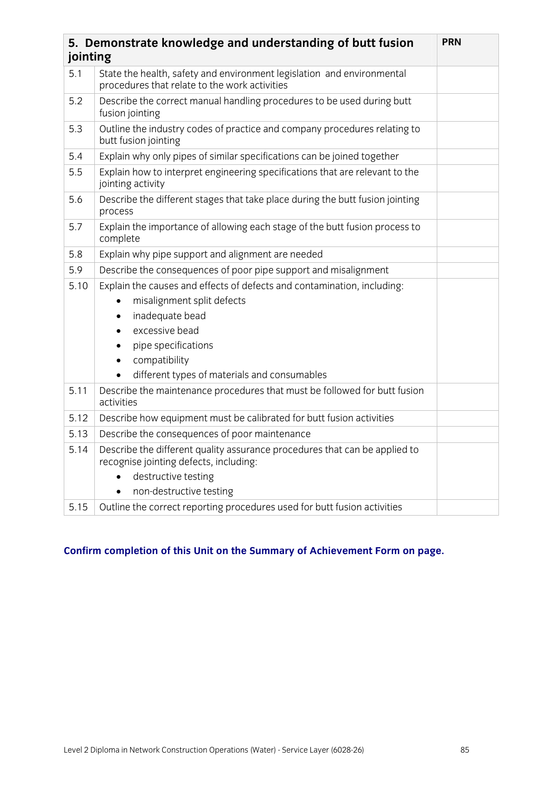| jointing | 5. Demonstrate knowledge and understanding of butt fusion                                                               | <b>PRN</b> |
|----------|-------------------------------------------------------------------------------------------------------------------------|------------|
| 5.1      | State the health, safety and environment legislation and environmental<br>procedures that relate to the work activities |            |
| 5.2      | Describe the correct manual handling procedures to be used during butt<br>fusion jointing                               |            |
| 5.3      | Outline the industry codes of practice and company procedures relating to<br>butt fusion jointing                       |            |
| 5.4      | Explain why only pipes of similar specifications can be joined together                                                 |            |
| 5.5      | Explain how to interpret engineering specifications that are relevant to the<br>jointing activity                       |            |
| 5.6      | Describe the different stages that take place during the butt fusion jointing<br>process                                |            |
| 5.7      | Explain the importance of allowing each stage of the butt fusion process to<br>complete                                 |            |
| 5.8      | Explain why pipe support and alignment are needed                                                                       |            |
| 5.9      | Describe the consequences of poor pipe support and misalignment                                                         |            |
| 5.10     | Explain the causes and effects of defects and contamination, including:                                                 |            |
|          | misalignment split defects<br>$\bullet$                                                                                 |            |
|          | inadequate bead<br>$\bullet$                                                                                            |            |
|          | excessive bead<br>$\bullet$                                                                                             |            |
|          | pipe specifications<br>$\bullet$                                                                                        |            |
|          | compatibility                                                                                                           |            |
|          | different types of materials and consumables                                                                            |            |
| 5.11     | Describe the maintenance procedures that must be followed for butt fusion<br>activities                                 |            |
| 5.12     | Describe how equipment must be calibrated for butt fusion activities                                                    |            |
| 5.13     | Describe the consequences of poor maintenance                                                                           |            |
| 5.14     | Describe the different quality assurance procedures that can be applied to<br>recognise jointing defects, including:    |            |
|          | destructive testing<br>$\bullet$                                                                                        |            |
|          | non-destructive testing                                                                                                 |            |
| 5.15     | Outline the correct reporting procedures used for butt fusion activities                                                |            |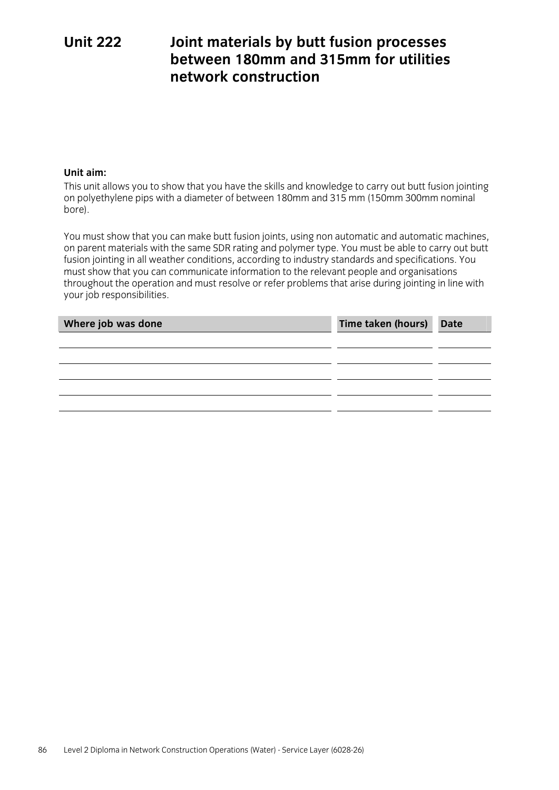## **Unit 222 Joint materials by butt fusion processes between 180mm and 315mm for utilities network construction**

#### **Unit aim:**

This unit allows you to show that you have the skills and knowledge to carry out butt fusion jointing on polyethylene pips with a diameter of between 180mm and 315 mm (150mm 300mm nominal bore).

You must show that you can make butt fusion joints, using non automatic and automatic machines, on parent materials with the same SDR rating and polymer type. You must be able to carry out butt fusion jointing in all weather conditions, according to industry standards and specifications. You must show that you can communicate information to the relevant people and organisations throughout the operation and must resolve or refer problems that arise during jointing in line with your job responsibilities.

| Where job was done | Time taken (hours) Date |  |
|--------------------|-------------------------|--|
|                    |                         |  |
|                    |                         |  |
|                    |                         |  |
|                    |                         |  |
|                    |                         |  |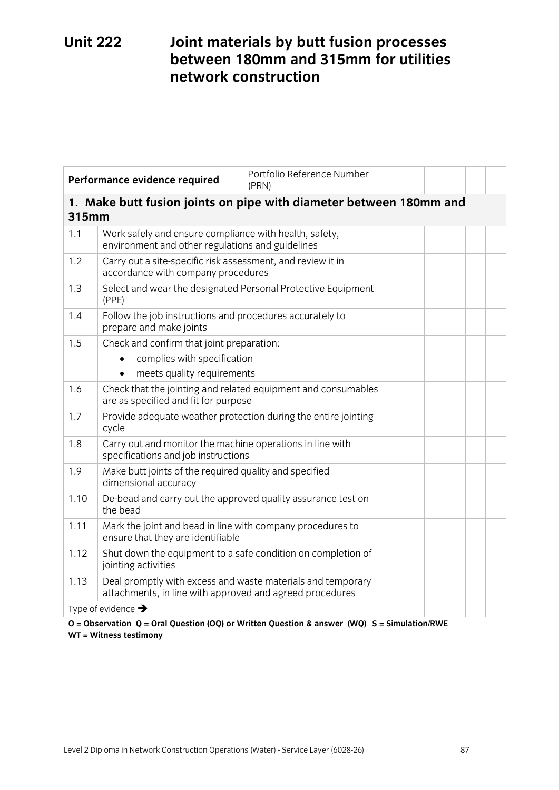## **Unit 222 Joint materials by butt fusion processes between 180mm and 315mm for utilities network construction**

|                                                                             | Performance evidence required                                                                                           | Portfolio Reference Number<br>(PRN) |  |  |  |  |  |  |
|-----------------------------------------------------------------------------|-------------------------------------------------------------------------------------------------------------------------|-------------------------------------|--|--|--|--|--|--|
| 1. Make butt fusion joints on pipe with diameter between 180mm and<br>315mm |                                                                                                                         |                                     |  |  |  |  |  |  |
| 1.1                                                                         | Work safely and ensure compliance with health, safety,<br>environment and other regulations and guidelines              |                                     |  |  |  |  |  |  |
| 1.2                                                                         | Carry out a site-specific risk assessment, and review it in<br>accordance with company procedures                       |                                     |  |  |  |  |  |  |
| 1.3                                                                         | Select and wear the designated Personal Protective Equipment<br>(PPE)                                                   |                                     |  |  |  |  |  |  |
| 1.4                                                                         | Follow the job instructions and procedures accurately to<br>prepare and make joints                                     |                                     |  |  |  |  |  |  |
| 1.5                                                                         | Check and confirm that joint preparation:<br>complies with specification<br>meets quality requirements<br>$\bullet$     |                                     |  |  |  |  |  |  |
| 1.6                                                                         | Check that the jointing and related equipment and consumables<br>are as specified and fit for purpose                   |                                     |  |  |  |  |  |  |
| 1.7                                                                         | Provide adequate weather protection during the entire jointing<br>cycle                                                 |                                     |  |  |  |  |  |  |
| 1.8                                                                         | Carry out and monitor the machine operations in line with<br>specifications and job instructions                        |                                     |  |  |  |  |  |  |
| 1.9                                                                         | Make butt joints of the required quality and specified<br>dimensional accuracy                                          |                                     |  |  |  |  |  |  |
| 1.10                                                                        | De-bead and carry out the approved quality assurance test on<br>the bead                                                |                                     |  |  |  |  |  |  |
| 1.11                                                                        | Mark the joint and bead in line with company procedures to<br>ensure that they are identifiable                         |                                     |  |  |  |  |  |  |
| 1.12                                                                        | Shut down the equipment to a safe condition on completion of<br>jointing activities                                     |                                     |  |  |  |  |  |  |
| 1.13                                                                        | Deal promptly with excess and waste materials and temporary<br>attachments, in line with approved and agreed procedures |                                     |  |  |  |  |  |  |
|                                                                             | Type of evidence $\rightarrow$                                                                                          |                                     |  |  |  |  |  |  |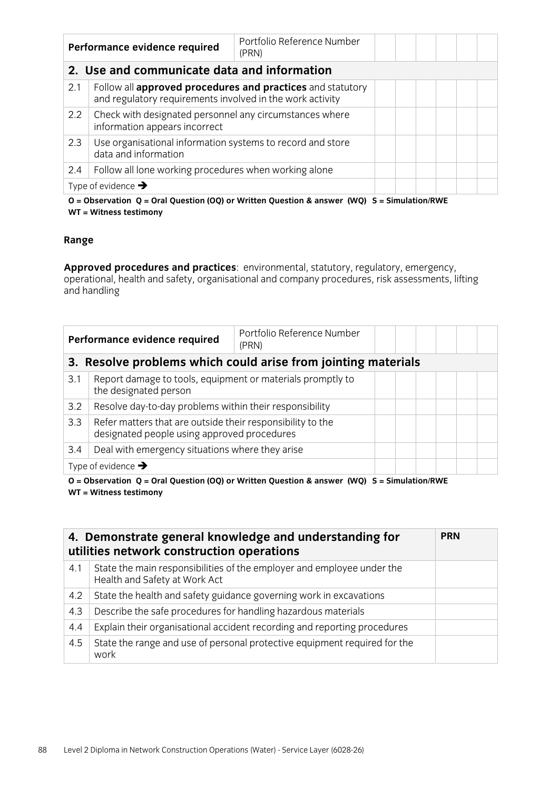|                                | Performance evidence required                                                                                           | Portfolio Reference Number<br>(PRN) |  |  |  |  |  |  |
|--------------------------------|-------------------------------------------------------------------------------------------------------------------------|-------------------------------------|--|--|--|--|--|--|
|                                | 2. Use and communicate data and information                                                                             |                                     |  |  |  |  |  |  |
| 2.1                            | Follow all approved procedures and practices and statutory<br>and regulatory requirements involved in the work activity |                                     |  |  |  |  |  |  |
| 2.2                            | Check with designated personnel any circumstances where<br>information appears incorrect                                |                                     |  |  |  |  |  |  |
| 2.3                            | Use organisational information systems to record and store<br>data and information                                      |                                     |  |  |  |  |  |  |
| 2.4                            | Follow all lone working procedures when working alone                                                                   |                                     |  |  |  |  |  |  |
| Type of evidence $\rightarrow$ |                                                                                                                         |                                     |  |  |  |  |  |  |

#### **Range**

**Approved procedures and practices**: environmental, statutory, regulatory, emergency, operational, health and safety, organisational and company procedures, risk assessments, lifting and handling

|                                                               | Performance evidence required                                                                             | Portfolio Reference Number<br>(PRN) |  |  |  |  |  |  |  |
|---------------------------------------------------------------|-----------------------------------------------------------------------------------------------------------|-------------------------------------|--|--|--|--|--|--|--|
| 3. Resolve problems which could arise from jointing materials |                                                                                                           |                                     |  |  |  |  |  |  |  |
| 3.1                                                           | Report damage to tools, equipment or materials promptly to<br>the designated person                       |                                     |  |  |  |  |  |  |  |
| 3.2                                                           | Resolve day-to-day problems within their responsibility                                                   |                                     |  |  |  |  |  |  |  |
| 3.3                                                           | Refer matters that are outside their responsibility to the<br>designated people using approved procedures |                                     |  |  |  |  |  |  |  |
| 3.4                                                           | Deal with emergency situations where they arise                                                           |                                     |  |  |  |  |  |  |  |
| Type of evidence $\rightarrow$                                |                                                                                                           |                                     |  |  |  |  |  |  |  |

|     | 4. Demonstrate general knowledge and understanding for<br>utilities network construction operations     | <b>PRN</b> |
|-----|---------------------------------------------------------------------------------------------------------|------------|
| 4.1 | State the main responsibilities of the employer and employee under the<br>Health and Safety at Work Act |            |
| 4.2 | State the health and safety guidance governing work in excavations                                      |            |
| 4.3 | Describe the safe procedures for handling hazardous materials                                           |            |
| 4.4 | Explain their organisational accident recording and reporting procedures                                |            |
| 4.5 | State the range and use of personal protective equipment required for the<br>work                       |            |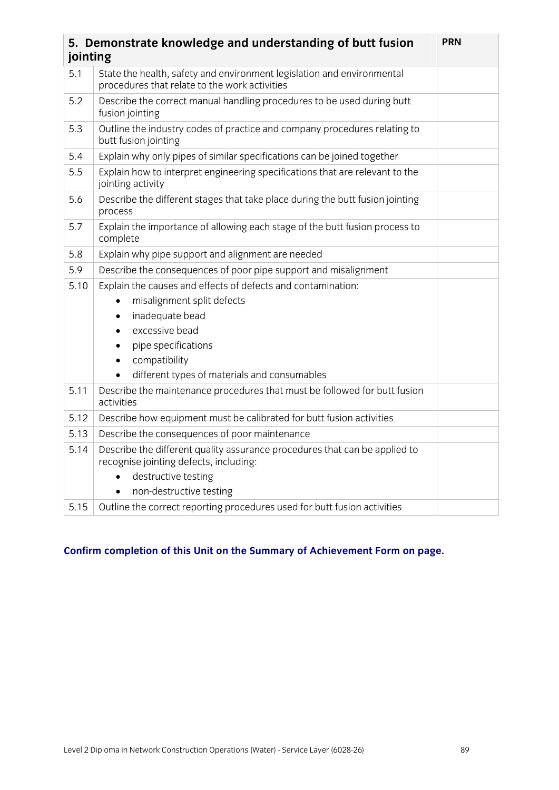| jointing | 5. Demonstrate knowledge and understanding of butt fusion                                                               | <b>PRN</b> |  |  |  |
|----------|-------------------------------------------------------------------------------------------------------------------------|------------|--|--|--|
| 5.1      | State the health, safety and environment legislation and environmental<br>procedures that relate to the work activities |            |  |  |  |
| 5.2      | Describe the correct manual handling procedures to be used during butt<br>fusion jointing                               |            |  |  |  |
| 5.3      | Outline the industry codes of practice and company procedures relating to<br>butt fusion jointing                       |            |  |  |  |
| 5.4      | Explain why only pipes of similar specifications can be joined together                                                 |            |  |  |  |
| 5.5      | Explain how to interpret engineering specifications that are relevant to the<br>jointing activity                       |            |  |  |  |
| 5.6      | Describe the different stages that take place during the butt fusion jointing<br>process                                |            |  |  |  |
| 5.7      | Explain the importance of allowing each stage of the butt fusion process to<br>complete                                 |            |  |  |  |
| 5.8      | Explain why pipe support and alignment are needed                                                                       |            |  |  |  |
| 5.9      | Describe the consequences of poor pipe support and misalignment                                                         |            |  |  |  |
| 5.10     | Explain the causes and effects of defects and contamination:                                                            |            |  |  |  |
|          | misalignment split defects<br>$\bullet$                                                                                 |            |  |  |  |
|          | inadequate bead<br>$\bullet$                                                                                            |            |  |  |  |
|          | excessive bead<br>$\bullet$                                                                                             |            |  |  |  |
|          | pipe specifications<br>$\bullet$                                                                                        |            |  |  |  |
|          | compatibility                                                                                                           |            |  |  |  |
|          | different types of materials and consumables                                                                            |            |  |  |  |
| 5.11     | Describe the maintenance procedures that must be followed for butt fusion<br>activities                                 |            |  |  |  |
| 5.12     | Describe how equipment must be calibrated for butt fusion activities                                                    |            |  |  |  |
| 5.13     | Describe the consequences of poor maintenance                                                                           |            |  |  |  |
| 5.14     | Describe the different quality assurance procedures that can be applied to<br>recognise jointing defects, including:    |            |  |  |  |
|          | destructive testing<br>$\bullet$                                                                                        |            |  |  |  |
|          | non-destructive testing                                                                                                 |            |  |  |  |
| 5.15     | Outline the correct reporting procedures used for butt fusion activities                                                |            |  |  |  |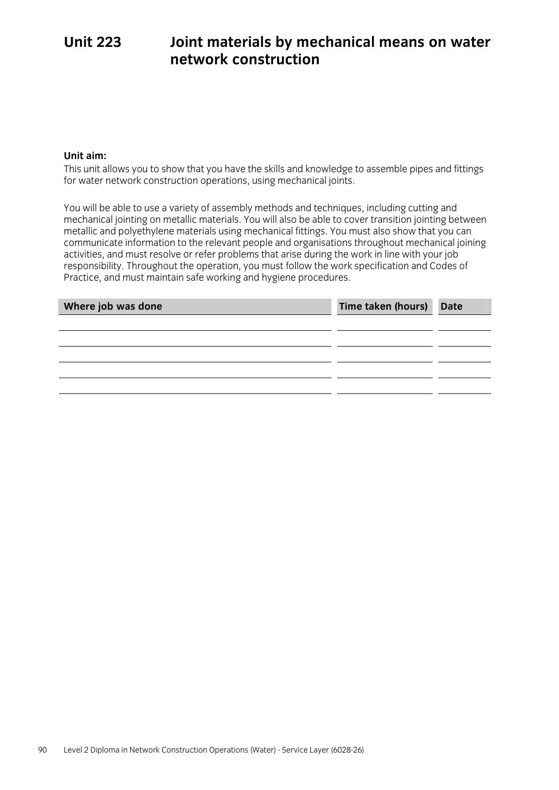## **Unit 223 Joint materials by mechanical means on water network construction**

#### **Unit aim:**

This unit allows you to show that you have the skills and knowledge to assemble pipes and fittings for water network construction operations, using mechanical joints.

You will be able to use a variety of assembly methods and techniques, including cutting and mechanical jointing on metallic materials. You will also be able to cover transition jointing between metallic and polyethylene materials using mechanical fittings. You must also show that you can communicate information to the relevant people and organisations throughout mechanical joining activities, and must resolve or refer problems that arise during the work in line with your job responsibility. Throughout the operation, you must follow the work specification and Codes of Practice, and must maintain safe working and hygiene procedures.

| Where job was done | Time taken (hours) Date |  |
|--------------------|-------------------------|--|
|                    |                         |  |
|                    |                         |  |
|                    |                         |  |
|                    |                         |  |
|                    |                         |  |
|                    |                         |  |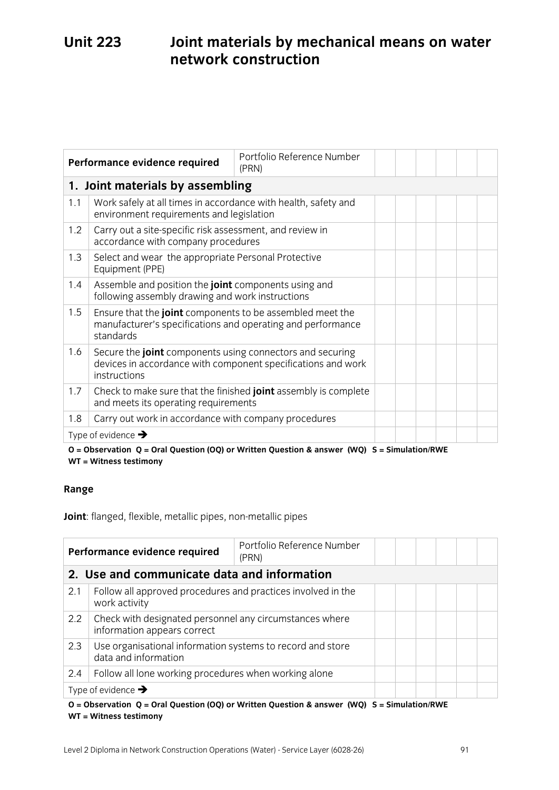## **Unit 223 Joint materials by mechanical means on water network construction**

|     | Performance evidence required                                                                                                             | Portfolio Reference Number<br>(PRN) |  |  |  |  |  |  |
|-----|-------------------------------------------------------------------------------------------------------------------------------------------|-------------------------------------|--|--|--|--|--|--|
|     | 1. Joint materials by assembling                                                                                                          |                                     |  |  |  |  |  |  |
| 1.1 | Work safely at all times in accordance with health, safety and<br>environment requirements and legislation                                |                                     |  |  |  |  |  |  |
| 1.2 | Carry out a site-specific risk assessment, and review in<br>accordance with company procedures                                            |                                     |  |  |  |  |  |  |
| 1.3 | Select and wear the appropriate Personal Protective<br>Equipment (PPE)                                                                    |                                     |  |  |  |  |  |  |
| 1.4 | Assemble and position the joint components using and<br>following assembly drawing and work instructions                                  |                                     |  |  |  |  |  |  |
| 1.5 | Ensure that the joint components to be assembled meet the<br>manufacturer's specifications and operating and performance<br>standards     |                                     |  |  |  |  |  |  |
| 1.6 | Secure the joint components using connectors and securing<br>devices in accordance with component specifications and work<br>instructions |                                     |  |  |  |  |  |  |
| 1.7 | Check to make sure that the finished joint assembly is complete<br>and meets its operating requirements                                   |                                     |  |  |  |  |  |  |
| 1.8 | Carry out work in accordance with company procedures                                                                                      |                                     |  |  |  |  |  |  |
|     | Type of evidence $\rightarrow$                                                                                                            |                                     |  |  |  |  |  |  |

**O = Observation Q = Oral Question (OQ) or Written Question & answer (WQ) S = Simulation/RWE WT = Witness testimony**

#### **Range**

**Joint**: flanged, flexible, metallic pipes, non-metallic pipes

|                                             | Performance evidence required                                                          | Portfolio Reference Number<br>(PRN) |  |  |  |  |  |  |  |
|---------------------------------------------|----------------------------------------------------------------------------------------|-------------------------------------|--|--|--|--|--|--|--|
| 2. Use and communicate data and information |                                                                                        |                                     |  |  |  |  |  |  |  |
| 2.1                                         | Follow all approved procedures and practices involved in the<br>work activity          |                                     |  |  |  |  |  |  |  |
| $2.2\phantom{0}$                            | Check with designated personnel any circumstances where<br>information appears correct |                                     |  |  |  |  |  |  |  |
| 2.3                                         | Use organisational information systems to record and store<br>data and information     |                                     |  |  |  |  |  |  |  |
| 2.4                                         | Follow all lone working procedures when working alone                                  |                                     |  |  |  |  |  |  |  |
|                                             | Type of evidence $\rightarrow$                                                         |                                     |  |  |  |  |  |  |  |
|                                             |                                                                                        |                                     |  |  |  |  |  |  |  |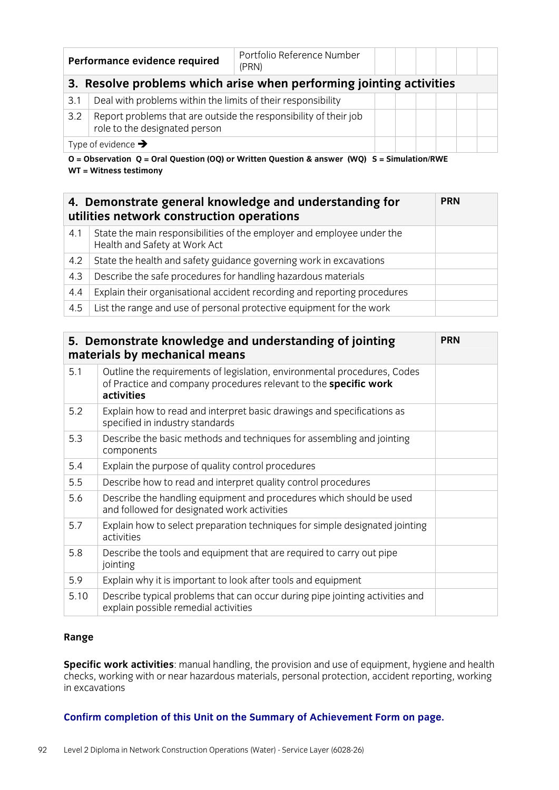|                                                                     | Performance evidence required                                                                     | Portfolio Reference Number<br>(PRN) |  |  |  |  |  |  |
|---------------------------------------------------------------------|---------------------------------------------------------------------------------------------------|-------------------------------------|--|--|--|--|--|--|
| 3. Resolve problems which arise when performing jointing activities |                                                                                                   |                                     |  |  |  |  |  |  |
| 3.1                                                                 | Deal with problems within the limits of their responsibility                                      |                                     |  |  |  |  |  |  |
| 3.2                                                                 | Report problems that are outside the responsibility of their job<br>role to the designated person |                                     |  |  |  |  |  |  |
| Type of evidence $\rightarrow$                                      |                                                                                                   |                                     |  |  |  |  |  |  |

 $\parallel$  Type of evidence  $\rightarrow$ 

**O = Observation Q = Oral Question (OQ) or Written Question & answer (WQ) S = Simulation/RWE WT = Witness testimony**

| 4. Demonstrate general knowledge and understanding for<br>utilities network construction operations |                                                                                                         |  |  |  |
|-----------------------------------------------------------------------------------------------------|---------------------------------------------------------------------------------------------------------|--|--|--|
| 4.1                                                                                                 | State the main responsibilities of the employer and employee under the<br>Health and Safety at Work Act |  |  |  |
| 4.2                                                                                                 | State the health and safety guidance governing work in excavations                                      |  |  |  |
| 4.3                                                                                                 | Describe the safe procedures for handling hazardous materials                                           |  |  |  |
| 4.4                                                                                                 | Explain their organisational accident recording and reporting procedures                                |  |  |  |
| 4.5                                                                                                 | List the range and use of personal protective equipment for the work                                    |  |  |  |

|      | 5. Demonstrate knowledge and understanding of jointing<br>materials by mechanical means                                                                    | <b>PRN</b> |
|------|------------------------------------------------------------------------------------------------------------------------------------------------------------|------------|
| 5.1  | Outline the requirements of legislation, environmental procedures, Codes<br>of Practice and company procedures relevant to the specific work<br>activities |            |
| 5.2  | Explain how to read and interpret basic drawings and specifications as<br>specified in industry standards                                                  |            |
| 5.3  | Describe the basic methods and techniques for assembling and jointing<br>components                                                                        |            |
| 5.4  | Explain the purpose of quality control procedures                                                                                                          |            |
| 5.5  | Describe how to read and interpret quality control procedures                                                                                              |            |
| 5.6  | Describe the handling equipment and procedures which should be used<br>and followed for designated work activities                                         |            |
| 5.7  | Explain how to select preparation techniques for simple designated jointing<br>activities                                                                  |            |
| 5.8  | Describe the tools and equipment that are required to carry out pipe<br>jointing                                                                           |            |
| 5.9  | Explain why it is important to look after tools and equipment                                                                                              |            |
| 5.10 | Describe typical problems that can occur during pipe jointing activities and<br>explain possible remedial activities                                       |            |

#### **Range**

**Specific work activities**: manual handling, the provision and use of equipment, hygiene and health checks, working with or near hazardous materials, personal protection, accident reporting, working in excavations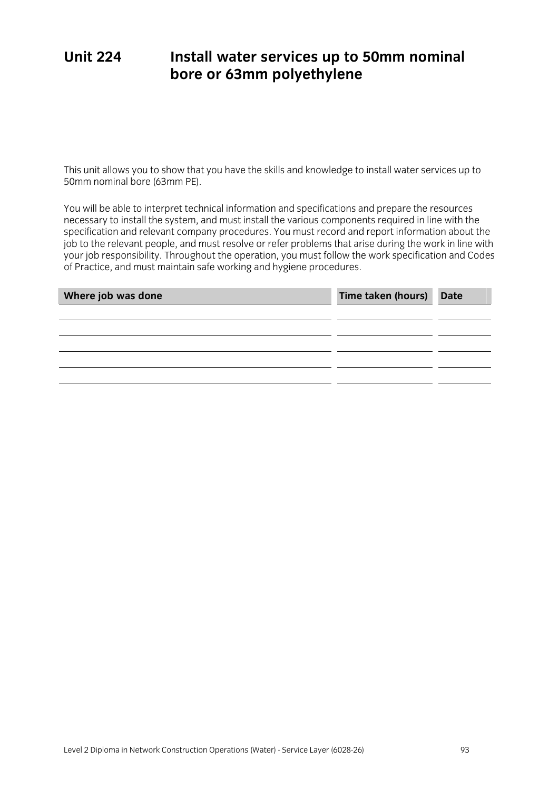## **Unit 224 Install water services up to 50mm nominal bore or 63mm polyethylene**

This unit allows you to show that you have the skills and knowledge to install water services up to 50mm nominal bore (63mm PE).

You will be able to interpret technical information and specifications and prepare the resources necessary to install the system, and must install the various components required in line with the specification and relevant company procedures. You must record and report information about the job to the relevant people, and must resolve or refer problems that arise during the work in line with your job responsibility. Throughout the operation, you must follow the work specification and Codes of Practice, and must maintain safe working and hygiene procedures.

| Where job was done | Time taken (hours) Date |  |
|--------------------|-------------------------|--|
|                    |                         |  |
|                    |                         |  |
|                    |                         |  |
|                    |                         |  |
|                    |                         |  |
|                    |                         |  |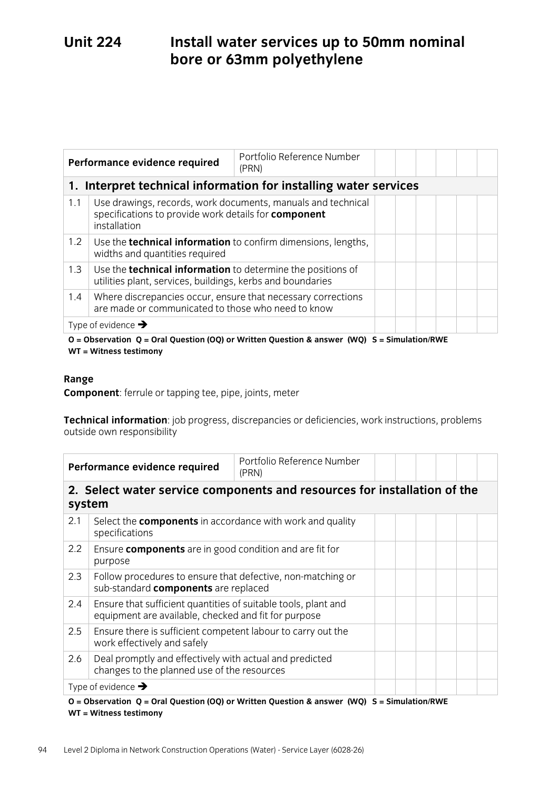## **Unit 224 Install water services up to 50mm nominal bore or 63mm polyethylene**

| Performance evidence required                                                                                                               | Portfolio Reference Number<br>(PRN)                                                                                              |  |  |  |  |
|---------------------------------------------------------------------------------------------------------------------------------------------|----------------------------------------------------------------------------------------------------------------------------------|--|--|--|--|
| 1. Interpret technical information for installing water services                                                                            |                                                                                                                                  |  |  |  |  |
| Use drawings, records, work documents, manuals and technical<br>1.1<br>specifications to provide work details for component<br>installation |                                                                                                                                  |  |  |  |  |
| 1.2<br>widths and quantities required                                                                                                       | Use the <b>technical information</b> to confirm dimensions, lengths,                                                             |  |  |  |  |
| 1.3                                                                                                                                         | Use the <b>technical information</b> to determine the positions of<br>utilities plant, services, buildings, kerbs and boundaries |  |  |  |  |
| Where discrepancies occur, ensure that necessary corrections<br>1.4<br>are made or communicated to those who need to know                   |                                                                                                                                  |  |  |  |  |
| Type of evidence $\rightarrow$                                                                                                              |                                                                                                                                  |  |  |  |  |

**O = Observation Q = Oral Question (OQ) or Written Question & answer (WQ) S = Simulation/RWE WT = Witness testimony**

#### **Range**

**Component**: ferrule or tapping tee, pipe, joints, meter

**Technical information**: job progress, discrepancies or deficiencies, work instructions, problems outside own responsibility

|     | Performance evidence required                                                                                          | Portfolio Reference Number<br>(PRN) |  |  |  |  |  |  |
|-----|------------------------------------------------------------------------------------------------------------------------|-------------------------------------|--|--|--|--|--|--|
|     | 2. Select water service components and resources for installation of the<br>system                                     |                                     |  |  |  |  |  |  |
| 2.1 | Select the <b>components</b> in accordance with work and quality<br>specifications                                     |                                     |  |  |  |  |  |  |
| 2.2 | Ensure <b>components</b> are in good condition and are fit for<br>purpose                                              |                                     |  |  |  |  |  |  |
| 2.3 | Follow procedures to ensure that defective, non-matching or<br>sub-standard components are replaced                    |                                     |  |  |  |  |  |  |
| 2.4 | Ensure that sufficient quantities of suitable tools, plant and<br>equipment are available, checked and fit for purpose |                                     |  |  |  |  |  |  |
| 2.5 | Ensure there is sufficient competent labour to carry out the<br>work effectively and safely                            |                                     |  |  |  |  |  |  |
| 2.6 | Deal promptly and effectively with actual and predicted<br>changes to the planned use of the resources                 |                                     |  |  |  |  |  |  |
|     | Type of evidence $\rightarrow$                                                                                         |                                     |  |  |  |  |  |  |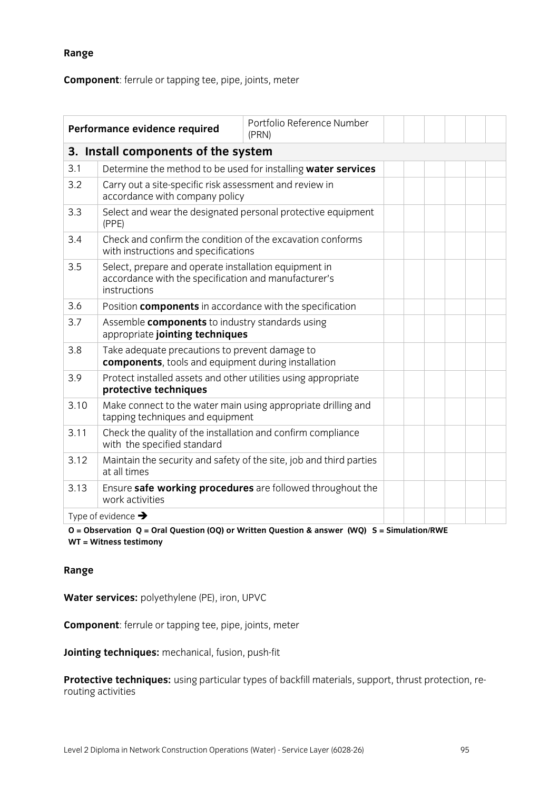#### **Range**

**Component**: ferrule or tapping tee, pipe, joints, meter

|                                     | Performance evidence required                                                                                                 | Portfolio Reference Number<br>(PRN) |  |  |  |  |  |
|-------------------------------------|-------------------------------------------------------------------------------------------------------------------------------|-------------------------------------|--|--|--|--|--|
| 3. Install components of the system |                                                                                                                               |                                     |  |  |  |  |  |
| 3.1                                 | Determine the method to be used for installing water services                                                                 |                                     |  |  |  |  |  |
| 3.2                                 | Carry out a site-specific risk assessment and review in<br>accordance with company policy                                     |                                     |  |  |  |  |  |
| 3.3                                 | Select and wear the designated personal protective equipment<br>(PPE)                                                         |                                     |  |  |  |  |  |
| 3.4                                 | Check and confirm the condition of the excavation conforms<br>with instructions and specifications                            |                                     |  |  |  |  |  |
| 3.5                                 | Select, prepare and operate installation equipment in<br>accordance with the specification and manufacturer's<br>instructions |                                     |  |  |  |  |  |
| 3.6                                 | Position components in accordance with the specification                                                                      |                                     |  |  |  |  |  |
| 3.7                                 | Assemble components to industry standards using<br>appropriate jointing techniques                                            |                                     |  |  |  |  |  |
| 3.8                                 | Take adequate precautions to prevent damage to<br>components, tools and equipment during installation                         |                                     |  |  |  |  |  |
| 3.9                                 | Protect installed assets and other utilities using appropriate<br>protective techniques                                       |                                     |  |  |  |  |  |
| 3.10                                | Make connect to the water main using appropriate drilling and<br>tapping techniques and equipment                             |                                     |  |  |  |  |  |
| 3.11                                | Check the quality of the installation and confirm compliance<br>with the specified standard                                   |                                     |  |  |  |  |  |
| 3.12                                | Maintain the security and safety of the site, job and third parties<br>at all times                                           |                                     |  |  |  |  |  |
| 3.13                                | Ensure safe working procedures are followed throughout the<br>work activities                                                 |                                     |  |  |  |  |  |
|                                     | Type of evidence $\rightarrow$                                                                                                |                                     |  |  |  |  |  |

**O = Observation Q = Oral Question (OQ) or Written Question & answer (WQ) S = Simulation/RWE WT = Witness testimony**

#### **Range**

**Water services:** polyethylene (PE), iron, UPVC

**Component**: ferrule or tapping tee, pipe, joints, meter

**Jointing techniques:** mechanical, fusion, push-fit

**Protective techniques:** using particular types of backfill materials, support, thrust protection, rerouting activities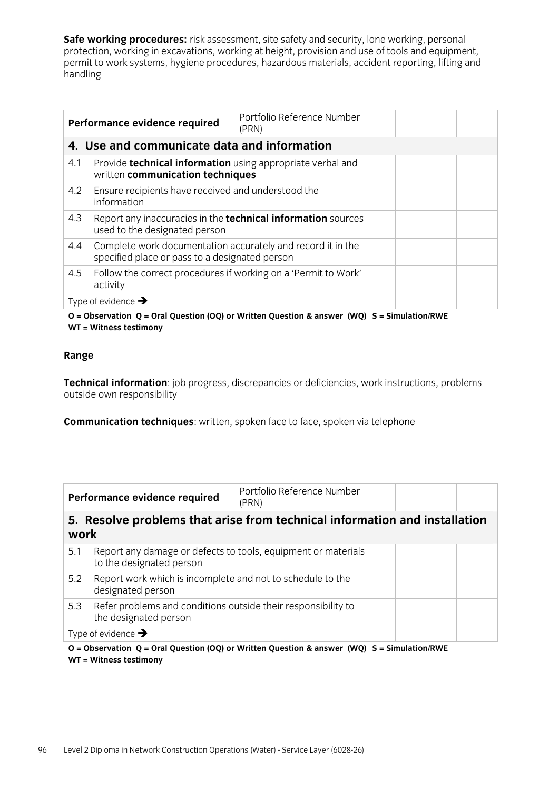**Safe working procedures:** risk assessment, site safety and security, lone working, personal protection, working in excavations, working at height, provision and use of tools and equipment, permit to work systems, hygiene procedures, hazardous materials, accident reporting, lifting and handling

|     | Performance evidence required                                                                                 | Portfolio Reference Number<br>(PRN) |  |  |  |  |  |
|-----|---------------------------------------------------------------------------------------------------------------|-------------------------------------|--|--|--|--|--|
|     | 4. Use and communicate data and information                                                                   |                                     |  |  |  |  |  |
| 4.1 | Provide technical information using appropriate verbal and<br>written communication techniques                |                                     |  |  |  |  |  |
| 4.2 | Ensure recipients have received and understood the<br>information                                             |                                     |  |  |  |  |  |
| 4.3 | Report any inaccuracies in the <b>technical information</b> sources<br>used to the designated person          |                                     |  |  |  |  |  |
| 4.4 | Complete work documentation accurately and record it in the<br>specified place or pass to a designated person |                                     |  |  |  |  |  |
| 4.5 | Follow the correct procedures if working on a 'Permit to Work'<br>activity                                    |                                     |  |  |  |  |  |
|     | Type of evidence $\rightarrow$                                                                                |                                     |  |  |  |  |  |

**O = Observation Q = Oral Question (OQ) or Written Question & answer (WQ) S = Simulation/RWE WT = Witness testimony**

#### **Range**

**Technical information**: job progress, discrepancies or deficiencies, work instructions, problems outside own responsibility

**Communication techniques**: written, spoken face to face, spoken via telephone

|     | Performance evidence required                                                             | Portfolio Reference Number<br>(PRN) |  |  |  |  |  |
|-----|-------------------------------------------------------------------------------------------|-------------------------------------|--|--|--|--|--|
|     | 5. Resolve problems that arise from technical information and installation<br>work        |                                     |  |  |  |  |  |
| 5.1 | Report any damage or defects to tools, equipment or materials<br>to the designated person |                                     |  |  |  |  |  |
| 5.2 | Report work which is incomplete and not to schedule to the<br>designated person           |                                     |  |  |  |  |  |
| 5.3 | Refer problems and conditions outside their responsibility to<br>the designated person    |                                     |  |  |  |  |  |
|     | Type of evidence $\rightarrow$                                                            |                                     |  |  |  |  |  |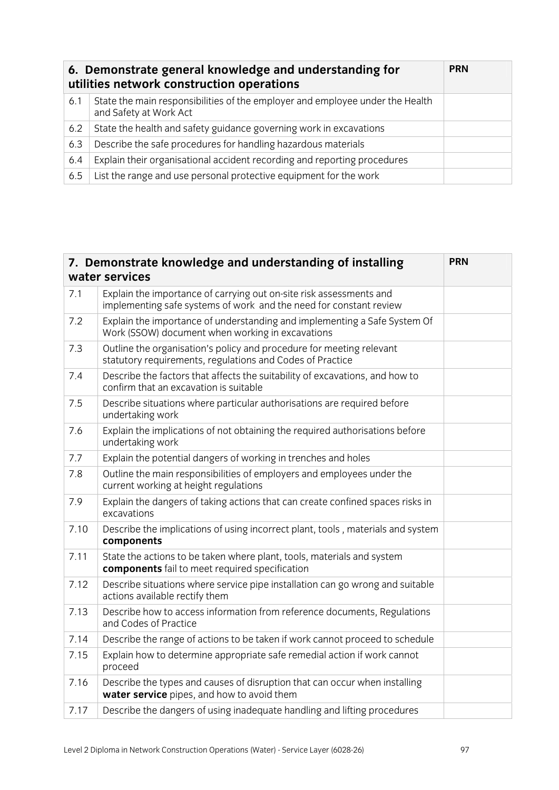|     | 6. Demonstrate general knowledge and understanding for<br>utilities network construction operations     |  |  |  |  |
|-----|---------------------------------------------------------------------------------------------------------|--|--|--|--|
| 6.1 | State the main responsibilities of the employer and employee under the Health<br>and Safety at Work Act |  |  |  |  |
| 6.2 | State the health and safety guidance governing work in excavations                                      |  |  |  |  |
| 6.3 | Describe the safe procedures for handling hazardous materials                                           |  |  |  |  |
| 6.4 | Explain their organisational accident recording and reporting procedures                                |  |  |  |  |
| 6.5 | List the range and use personal protective equipment for the work                                       |  |  |  |  |

|      | 7. Demonstrate knowledge and understanding of installing<br>water services                                                                | <b>PRN</b> |
|------|-------------------------------------------------------------------------------------------------------------------------------------------|------------|
| 7.1  | Explain the importance of carrying out on-site risk assessments and<br>implementing safe systems of work and the need for constant review |            |
| 7.2  | Explain the importance of understanding and implementing a Safe System Of<br>Work (SSOW) document when working in excavations             |            |
| 7.3  | Outline the organisation's policy and procedure for meeting relevant<br>statutory requirements, regulations and Codes of Practice         |            |
| 7.4  | Describe the factors that affects the suitability of excavations, and how to<br>confirm that an excavation is suitable                    |            |
| 7.5  | Describe situations where particular authorisations are required before<br>undertaking work                                               |            |
| 7.6  | Explain the implications of not obtaining the required authorisations before<br>undertaking work                                          |            |
| 7.7  | Explain the potential dangers of working in trenches and holes                                                                            |            |
| 7.8  | Outline the main responsibilities of employers and employees under the<br>current working at height regulations                           |            |
| 7.9  | Explain the dangers of taking actions that can create confined spaces risks in<br>excavations                                             |            |
| 7.10 | Describe the implications of using incorrect plant, tools, materials and system<br>components                                             |            |
| 7.11 | State the actions to be taken where plant, tools, materials and system<br>components fail to meet required specification                  |            |
| 7.12 | Describe situations where service pipe installation can go wrong and suitable<br>actions available rectify them                           |            |
| 7.13 | Describe how to access information from reference documents, Regulations<br>and Codes of Practice                                         |            |
| 7.14 | Describe the range of actions to be taken if work cannot proceed to schedule                                                              |            |
| 7.15 | Explain how to determine appropriate safe remedial action if work cannot<br>proceed                                                       |            |
| 7.16 | Describe the types and causes of disruption that can occur when installing<br>water service pipes, and how to avoid them                  |            |
| 7.17 | Describe the dangers of using inadequate handling and lifting procedures                                                                  |            |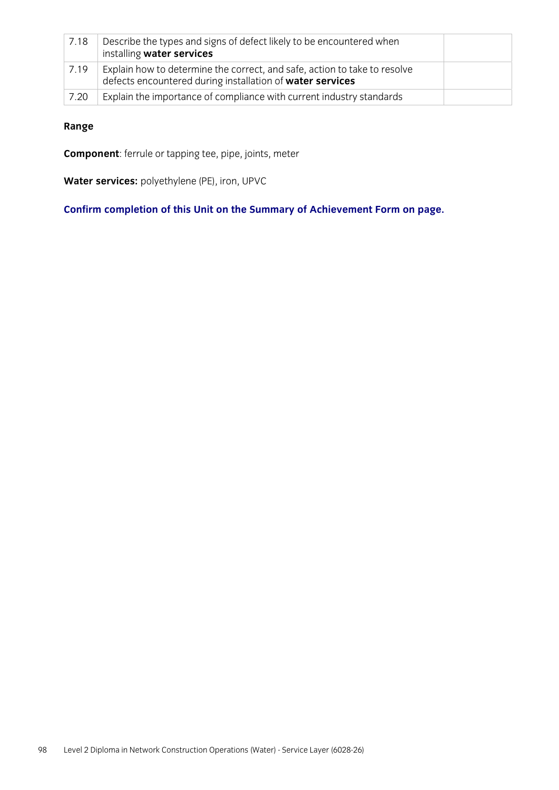| 7.18 | Describe the types and signs of defect likely to be encountered when<br>installing water services                                      |  |
|------|----------------------------------------------------------------------------------------------------------------------------------------|--|
| 7.19 | Explain how to determine the correct, and safe, action to take to resolve<br>defects encountered during installation of water services |  |
| 7.20 | Explain the importance of compliance with current industry standards                                                                   |  |

#### **Range**

**Component**: ferrule or tapping tee, pipe, joints, meter

**Water services:** polyethylene (PE), iron, UPVC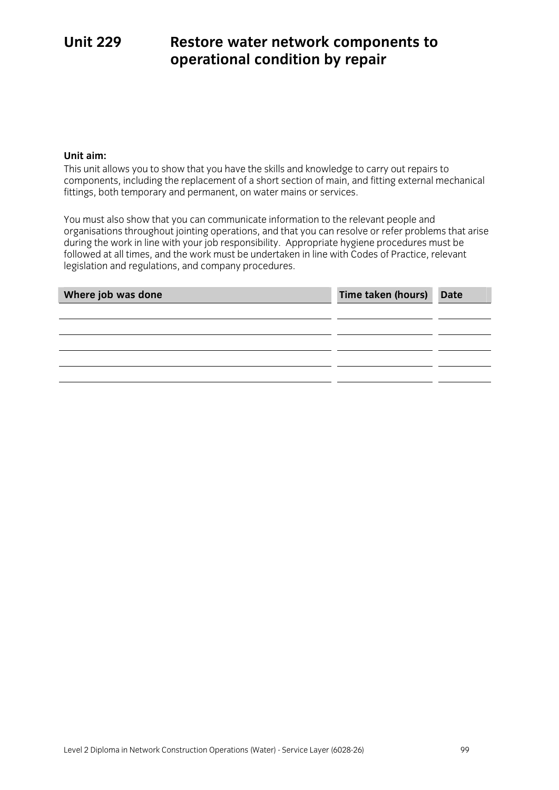## **Unit 229 Restore water network components to operational condition by repair**

#### **Unit aim:**

This unit allows you to show that you have the skills and knowledge to carry out repairs to components, including the replacement of a short section of main, and fitting external mechanical fittings, both temporary and permanent, on water mains or services.

You must also show that you can communicate information to the relevant people and organisations throughout jointing operations, and that you can resolve or refer problems that arise during the work in line with your job responsibility. Appropriate hygiene procedures must be followed at all times, and the work must be undertaken in line with Codes of Practice, relevant legislation and regulations, and company procedures.

| Where job was done | Time taken (hours) Date |  |
|--------------------|-------------------------|--|
|                    |                         |  |
|                    |                         |  |
|                    |                         |  |
|                    |                         |  |
|                    |                         |  |
|                    |                         |  |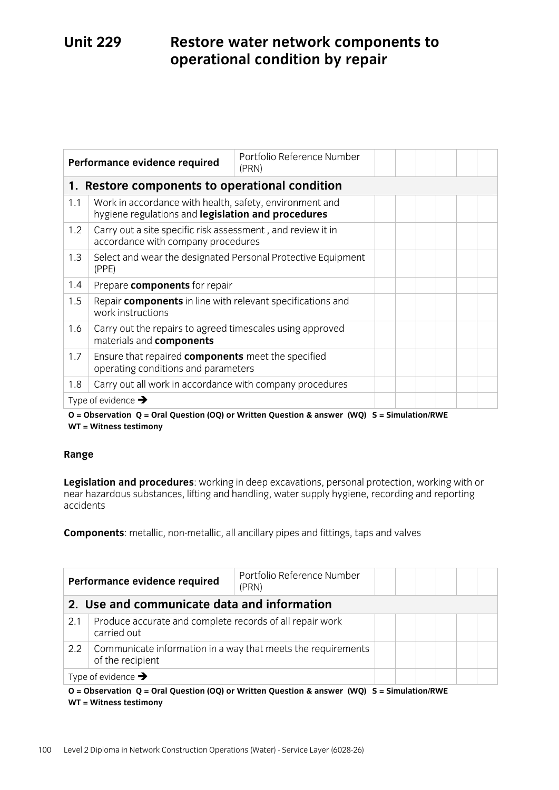## **Unit 229 Restore water network components to operational condition by repair**

|     | Performance evidence required                                                                                 | Portfolio Reference Number<br>(PRN) |  |  |  |  |
|-----|---------------------------------------------------------------------------------------------------------------|-------------------------------------|--|--|--|--|
|     | 1. Restore components to operational condition                                                                |                                     |  |  |  |  |
| 1.1 | Work in accordance with health, safety, environment and<br>hygiene regulations and legislation and procedures |                                     |  |  |  |  |
| 1.2 | Carry out a site specific risk assessment, and review it in<br>accordance with company procedures             |                                     |  |  |  |  |
| 1.3 | Select and wear the designated Personal Protective Equipment<br>(PPE)                                         |                                     |  |  |  |  |
| 1.4 | Prepare components for repair                                                                                 |                                     |  |  |  |  |
| 1.5 | Repair components in line with relevant specifications and<br>work instructions                               |                                     |  |  |  |  |
| 1.6 | Carry out the repairs to agreed timescales using approved<br>materials and components                         |                                     |  |  |  |  |
| 1.7 | Ensure that repaired components meet the specified<br>operating conditions and parameters                     |                                     |  |  |  |  |
| 1.8 | Carry out all work in accordance with company procedures                                                      |                                     |  |  |  |  |
|     | Type of evidence $\rightarrow$                                                                                |                                     |  |  |  |  |

**O = Observation Q = Oral Question (OQ) or Written Question & answer (WQ) S = Simulation/RWE WT = Witness testimony**

#### **Range**

**Legislation and procedures**: working in deep excavations, personal protection, working with or near hazardous substances, lifting and handling, water supply hygiene, recording and reporting accidents

**Components**: metallic, non-metallic, all ancillary pipes and fittings, taps and valves

|     | Performance evidence required                                                    | Portfolio Reference Number<br>(PRN) |  |  |  |  |  |  |
|-----|----------------------------------------------------------------------------------|-------------------------------------|--|--|--|--|--|--|
|     | 2. Use and communicate data and information                                      |                                     |  |  |  |  |  |  |
| 2.1 | Produce accurate and complete records of all repair work<br>carried out          |                                     |  |  |  |  |  |  |
| 2.2 | Communicate information in a way that meets the requirements<br>of the recipient |                                     |  |  |  |  |  |  |
|     | Type of evidence $\rightarrow$                                                   |                                     |  |  |  |  |  |  |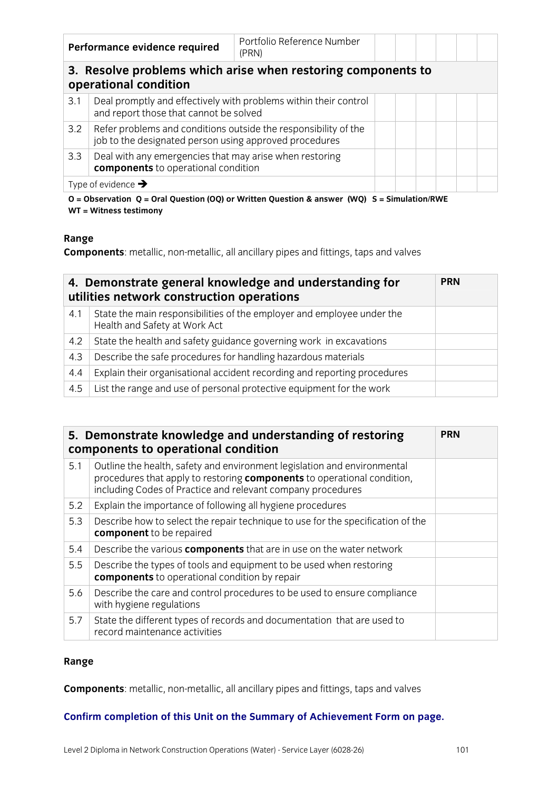| Performance evidence required                                                         |                                                                                                                           | Portfolio Reference Number<br>(PRN) |  |  |  |  |  |  |
|---------------------------------------------------------------------------------------|---------------------------------------------------------------------------------------------------------------------------|-------------------------------------|--|--|--|--|--|--|
| 3. Resolve problems which arise when restoring components to<br>operational condition |                                                                                                                           |                                     |  |  |  |  |  |  |
| 3.1                                                                                   | Deal promptly and effectively with problems within their control<br>and report those that cannot be solved                |                                     |  |  |  |  |  |  |
| 3.2                                                                                   | Refer problems and conditions outside the responsibility of the<br>job to the designated person using approved procedures |                                     |  |  |  |  |  |  |
| 3.3                                                                                   | Deal with any emergencies that may arise when restoring<br>components to operational condition                            |                                     |  |  |  |  |  |  |
| Type of evidence $\rightarrow$                                                        |                                                                                                                           |                                     |  |  |  |  |  |  |

#### **Range**

**Components**: metallic, non-metallic, all ancillary pipes and fittings, taps and valves

| 4. Demonstrate general knowledge and understanding for<br>utilities network construction operations |                                                                                                         |  |  |
|-----------------------------------------------------------------------------------------------------|---------------------------------------------------------------------------------------------------------|--|--|
| 4.1                                                                                                 | State the main responsibilities of the employer and employee under the<br>Health and Safety at Work Act |  |  |
| 4.2                                                                                                 | State the health and safety guidance governing work in excavations                                      |  |  |
| 4.3                                                                                                 | Describe the safe procedures for handling hazardous materials                                           |  |  |
| 4.4                                                                                                 | Explain their organisational accident recording and reporting procedures                                |  |  |
| 4.5                                                                                                 | List the range and use of personal protective equipment for the work                                    |  |  |

| 5. Demonstrate knowledge and understanding of restoring<br>components to operational condition |                                                                                                                                                                                                                    |  |
|------------------------------------------------------------------------------------------------|--------------------------------------------------------------------------------------------------------------------------------------------------------------------------------------------------------------------|--|
| 5.1                                                                                            | Outline the health, safety and environment legislation and environmental<br>procedures that apply to restoring components to operational condition,<br>including Codes of Practice and relevant company procedures |  |
| 5.2                                                                                            | Explain the importance of following all hygiene procedures                                                                                                                                                         |  |
| 5.3                                                                                            | Describe how to select the repair technique to use for the specification of the<br>component to be repaired                                                                                                        |  |
| 5.4                                                                                            | Describe the various <b>components</b> that are in use on the water network                                                                                                                                        |  |
| 5.5                                                                                            | Describe the types of tools and equipment to be used when restoring<br>components to operational condition by repair                                                                                               |  |
| 5.6                                                                                            | Describe the care and control procedures to be used to ensure compliance<br>with hygiene regulations                                                                                                               |  |
| 5.7                                                                                            | State the different types of records and documentation that are used to<br>record maintenance activities                                                                                                           |  |

#### **Range**

**Components**: metallic, non-metallic, all ancillary pipes and fittings, taps and valves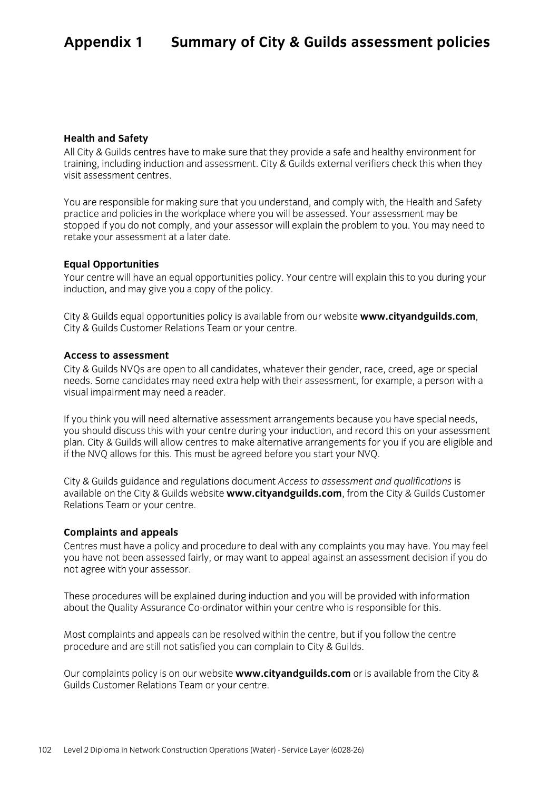#### **Health and Safety**

All City & Guilds centres have to make sure that they provide a safe and healthy environment for training, including induction and assessment. City & Guilds external verifiers check this when they visit assessment centres.

You are responsible for making sure that you understand, and comply with, the Health and Safety practice and policies in the workplace where you will be assessed. Your assessment may be stopped if you do not comply, and your assessor will explain the problem to you. You may need to retake your assessment at a later date.

#### **Equal Opportunities**

Your centre will have an equal opportunities policy. Your centre will explain this to you during your induction, and may give you a copy of the policy.

City & Guilds equal opportunities policy is available from our website **[www.cityandguilds.com](http://www.cityandguilds.com/)**, City & Guilds Customer Relations Team or your centre.

#### **Access to assessment**

City & Guilds NVQs are open to all candidates, whatever their gender, race, creed, age or special needs. Some candidates may need extra help with their assessment, for example, a person with a visual impairment may need a reader.

If you think you will need alternative assessment arrangements because you have special needs, you should discuss this with your centre during your induction, and record this on your assessment plan. City & Guilds will allow centres to make alternative arrangements for you if you are eligible and if the NVQ allows for this. This must be agreed before you start your NVQ.

City & Guilds guidance and regulations document *Access to assessment and qualifications* is available on the City & Guilds website **[www.cityandguilds.com](http://www.cityandguilds.com/)**, from the City & Guilds Customer Relations Team or your centre.

#### **Complaints and appeals**

Centres must have a policy and procedure to deal with any complaints you may have. You may feel you have not been assessed fairly, or may want to appeal against an assessment decision if you do not agree with your assessor.

These procedures will be explained during induction and you will be provided with information about the Quality Assurance Co-ordinator within your centre who is responsible for this.

Most complaints and appeals can be resolved within the centre, but if you follow the centre procedure and are still not satisfied you can complain to City & Guilds.

Our complaints policy is on our website **[www.cityandguilds.com](http://www.cityandguilds.com/)** or is available from the City & Guilds Customer Relations Team or your centre.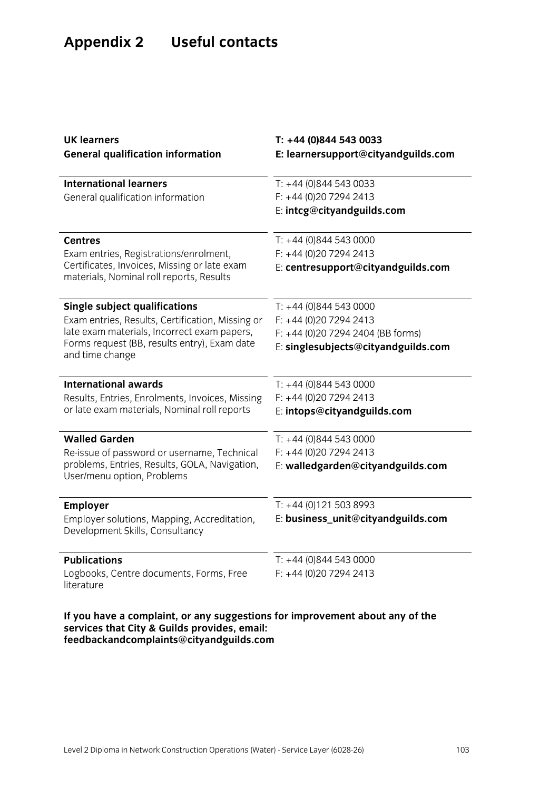# **Appendix 2 Useful contacts**

| UK learners<br><b>General qualification information</b>                                  | T: +44 (0)844 543 0033<br>E: learnersupport@cityandguilds.com |
|------------------------------------------------------------------------------------------|---------------------------------------------------------------|
| <b>International learners</b>                                                            | $T: +44(0)8445430033$                                         |
| General qualification information                                                        | F: +44 (0)20 7294 2413                                        |
|                                                                                          | E: intcg@cityandguilds.com                                    |
| <b>Centres</b>                                                                           | $T: +44(0)8445430000$                                         |
| Exam entries, Registrations/enrolment,                                                   | $F: +44(0)2072942413$                                         |
| Certificates, Invoices, Missing or late exam<br>materials, Nominal roll reports, Results | E: centresupport@cityandguilds.com                            |
| <b>Single subject qualifications</b>                                                     | $T: +44(0)8445430000$                                         |
| Exam entries, Results, Certification, Missing or                                         | $F: +44(0)2072942413$                                         |
| late exam materials, Incorrect exam papers,                                              | F: +44 (0) 20 7294 2404 (BB forms)                            |
| Forms request (BB, results entry), Exam date<br>and time change                          | E: singlesubjects@cityandguilds.com                           |
| <b>International awards</b>                                                              | $T: +44(0)8445430000$                                         |
| Results, Entries, Enrolments, Invoices, Missing                                          | $F: +44(0)2072942413$                                         |
| or late exam materials, Nominal roll reports                                             | E: intops@cityandguilds.com                                   |
| <b>Walled Garden</b>                                                                     | $T: +44(0)8445430000$                                         |
| Re-issue of password or username, Technical                                              | $F: +44(0)2072942413$                                         |
| problems, Entries, Results, GOLA, Navigation,<br>User/menu option, Problems              | E: walledgarden@cityandguilds.com                             |
| <b>Employer</b>                                                                          | $T: +44(0)1215038993$                                         |
| Employer solutions, Mapping, Accreditation,<br>Development Skills, Consultancy           | E: business_unit@cityandguilds.com                            |
| <b>Publications</b>                                                                      | $T: +44(0)8445430000$                                         |
| Logbooks, Centre documents, Forms, Free<br>literature                                    | $F: +44(0)2072942413$                                         |
|                                                                                          |                                                               |

**If you have a complaint, or any suggestions for improvement about any of the services that City & Guilds provides, email: feedbackandcomplaints@cityandguilds.com**